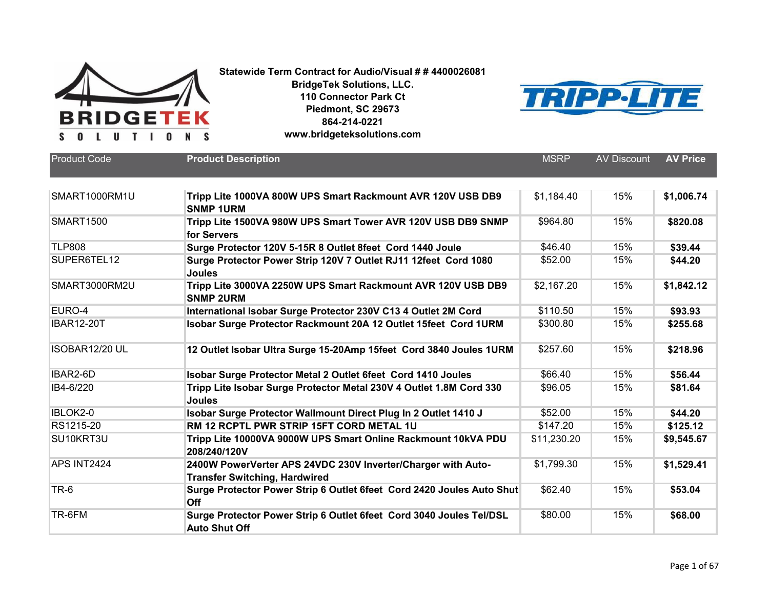



| Product Code      | <b>Product Description</b>                                                                           | <b>MSRP</b> | <b>AV Discount</b> | <b>AV Price</b> |
|-------------------|------------------------------------------------------------------------------------------------------|-------------|--------------------|-----------------|
| SMART1000RM1U     | Tripp Lite 1000VA 800W UPS Smart Rackmount AVR 120V USB DB9<br><b>SNMP 1URM</b>                      | \$1,184.40  | 15%                | \$1,006.74      |
| <b>SMART1500</b>  | Tripp Lite 1500VA 980W UPS Smart Tower AVR 120V USB DB9 SNMP<br>for Servers                          | \$964.80    | 15%                | \$820.08        |
| <b>TLP808</b>     | Surge Protector 120V 5-15R 8 Outlet 8feet Cord 1440 Joule                                            | \$46.40     | 15%                | \$39.44         |
| SUPER6TEL12       | Surge Protector Power Strip 120V 7 Outlet RJ11 12feet Cord 1080<br><b>Joules</b>                     | \$52.00     | 15%                | \$44.20         |
| SMART3000RM2U     | Tripp Lite 3000VA 2250W UPS Smart Rackmount AVR 120V USB DB9<br><b>SNMP 2URM</b>                     | \$2,167.20  | 15%                | \$1,842.12      |
| EURO-4            | International Isobar Surge Protector 230V C13 4 Outlet 2M Cord                                       | \$110.50    | 15%                | \$93.93         |
| <b>IBAR12-20T</b> | Isobar Surge Protector Rackmount 20A 12 Outlet 15feet Cord 1URM                                      | \$300.80    | 15%                | \$255.68        |
| ISOBAR12/20 UL    | 12 Outlet Isobar Ultra Surge 15-20Amp 15feet Cord 3840 Joules 1URM                                   | \$257.60    | 15%                | \$218.96        |
| IBAR2-6D          | Isobar Surge Protector Metal 2 Outlet 6feet Cord 1410 Joules                                         | \$66.40     | 15%                | \$56.44         |
| IB4-6/220         | Tripp Lite Isobar Surge Protector Metal 230V 4 Outlet 1.8M Cord 330<br><b>Joules</b>                 | \$96.05     | 15%                | \$81.64         |
| IBLOK2-0          | Isobar Surge Protector Wallmount Direct Plug In 2 Outlet 1410 J                                      | \$52.00     | 15%                | \$44.20         |
| RS1215-20         | RM 12 RCPTL PWR STRIP 15FT CORD METAL 1U                                                             | \$147.20    | 15%                | \$125.12        |
| SU10KRT3U         | Tripp Lite 10000VA 9000W UPS Smart Online Rackmount 10kVA PDU<br>208/240/120V                        | \$11,230.20 | 15%                | \$9,545.67      |
| APS INT2424       | 2400W PowerVerter APS 24VDC 230V Inverter/Charger with Auto-<br><b>Transfer Switching, Hardwired</b> | \$1,799.30  | 15%                | \$1,529.41      |
| TR-6              | Surge Protector Power Strip 6 Outlet 6feet Cord 2420 Joules Auto Shut<br>Off                         | \$62.40     | 15%                | \$53.04         |
| TR-6FM            | Surge Protector Power Strip 6 Outlet 6feet Cord 3040 Joules Tel/DSL<br><b>Auto Shut Off</b>          | \$80.00     | 15%                | \$68.00         |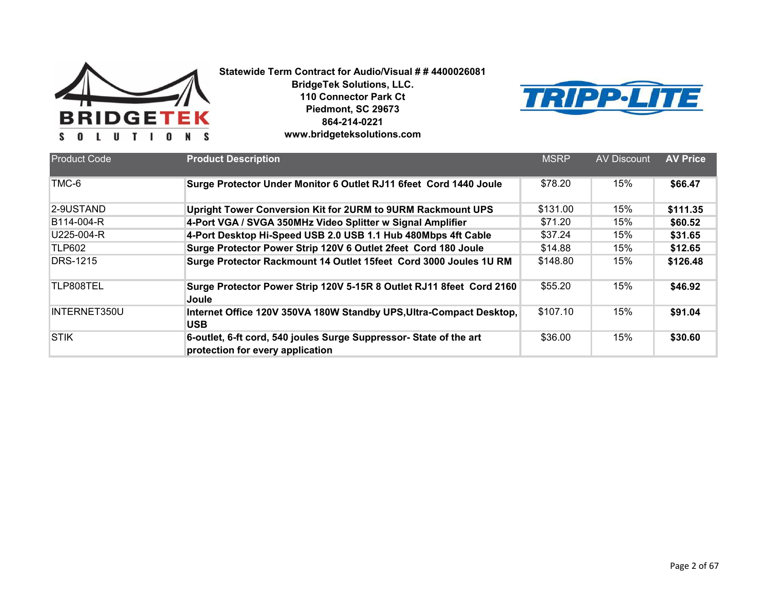



| <b>Product Code</b> | <b>Product Description</b>                                                                             | <b>MSRP</b> | AV Discount | <b>AV Price</b> |
|---------------------|--------------------------------------------------------------------------------------------------------|-------------|-------------|-----------------|
| TMC-6               | Surge Protector Under Monitor 6 Outlet RJ11 6feet Cord 1440 Joule                                      | \$78.20     | 15%         | \$66.47         |
| 2-9USTAND           | Upright Tower Conversion Kit for 2URM to 9URM Rackmount UPS                                            | \$131.00    | 15%         | \$111.35        |
| B114-004-R          | 4-Port VGA / SVGA 350MHz Video Splitter w Signal Amplifier                                             | \$71.20     | 15%         | \$60.52         |
| U225-004-R          | 4-Port Desktop Hi-Speed USB 2.0 USB 1.1 Hub 480Mbps 4ft Cable                                          | \$37.24     | 15%         | \$31.65         |
| <b>TLP602</b>       | Surge Protector Power Strip 120V 6 Outlet 2feet Cord 180 Joule                                         | \$14.88     | 15%         | \$12.65         |
| <b>DRS-1215</b>     | Surge Protector Rackmount 14 Outlet 15feet Cord 3000 Joules 1U RM                                      | \$148.80    | 15%         | \$126.48        |
| TLP808TEL           | Surge Protector Power Strip 120V 5-15R 8 Outlet RJ11 8feet Cord 2160<br>Joule                          | \$55.20     | 15%         | \$46.92         |
| INTERNET350U        | Internet Office 120V 350VA 180W Standby UPS, Ultra-Compact Desktop,<br><b>USB</b>                      | \$107.10    | 15%         | \$91.04         |
| <b>STIK</b>         | 6-outlet, 6-ft cord, 540 joules Surge Suppressor- State of the art<br>protection for every application | \$36.00     | 15%         | \$30.60         |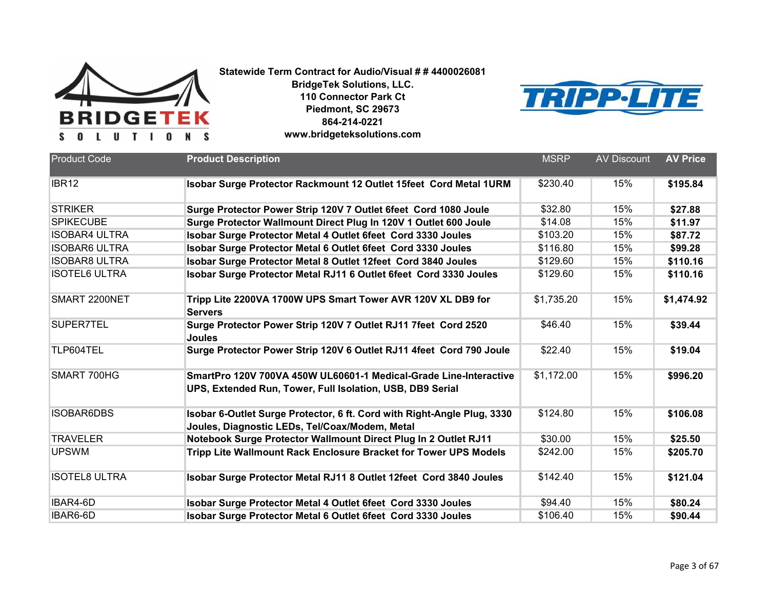



| <b>Product Code</b>  | <b>Product Description</b>                                                                                                     | <b>MSRP</b> | <b>AV Discount</b> | <b>AV Price</b> |
|----------------------|--------------------------------------------------------------------------------------------------------------------------------|-------------|--------------------|-----------------|
|                      |                                                                                                                                |             |                    |                 |
| IBR <sub>12</sub>    | Isobar Surge Protector Rackmount 12 Outlet 15feet Cord Metal 1URM                                                              | \$230.40    | 15%                | \$195.84        |
| <b>STRIKER</b>       | Surge Protector Power Strip 120V 7 Outlet 6feet Cord 1080 Joule                                                                | \$32.80     | 15%                | \$27.88         |
| <b>SPIKECUBE</b>     | Surge Protector Wallmount Direct Plug In 120V 1 Outlet 600 Joule                                                               | \$14.08     | 15%                | \$11.97         |
| <b>ISOBAR4 ULTRA</b> | Isobar Surge Protector Metal 4 Outlet 6feet Cord 3330 Joules                                                                   | \$103.20    | 15%                | \$87.72         |
| <b>ISOBAR6 ULTRA</b> | Isobar Surge Protector Metal 6 Outlet 6feet Cord 3330 Joules                                                                   | \$116.80    | 15%                | \$99.28         |
| <b>ISOBAR8 ULTRA</b> | Isobar Surge Protector Metal 8 Outlet 12feet Cord 3840 Joules                                                                  | \$129.60    | 15%                | \$110.16        |
| <b>ISOTEL6 ULTRA</b> | Isobar Surge Protector Metal RJ11 6 Outlet 6feet Cord 3330 Joules                                                              | \$129.60    | 15%                | \$110.16        |
| SMART 2200NET        | Tripp Lite 2200VA 1700W UPS Smart Tower AVR 120V XL DB9 for<br><b>Servers</b>                                                  | \$1,735.20  | 15%                | \$1,474.92      |
| SUPER7TEL            | Surge Protector Power Strip 120V 7 Outlet RJ11 7feet Cord 2520<br>Joules                                                       | \$46.40     | 15%                | \$39.44         |
| TLP604TEL            | Surge Protector Power Strip 120V 6 Outlet RJ11 4feet Cord 790 Joule                                                            | \$22.40     | 15%                | \$19.04         |
| SMART 700HG          | SmartPro 120V 700VA 450W UL60601-1 Medical-Grade Line-Interactive<br>UPS, Extended Run, Tower, Full Isolation, USB, DB9 Serial | \$1,172.00  | 15%                | \$996.20        |
| <b>ISOBAR6DBS</b>    | Isobar 6-Outlet Surge Protector, 6 ft. Cord with Right-Angle Plug, 3330<br>Joules, Diagnostic LEDs, Tel/Coax/Modem, Metal      | \$124.80    | 15%                | \$106.08        |
| <b>TRAVELER</b>      | Notebook Surge Protector Wallmount Direct Plug In 2 Outlet RJ11                                                                | \$30.00     | 15%                | \$25.50         |
| <b>UPSWM</b>         | Tripp Lite Wallmount Rack Enclosure Bracket for Tower UPS Models                                                               | \$242.00    | 15%                | \$205.70        |
| <b>ISOTEL8 ULTRA</b> | Isobar Surge Protector Metal RJ11 8 Outlet 12feet Cord 3840 Joules                                                             | \$142.40    | 15%                | \$121.04        |
| IBAR4-6D             | Isobar Surge Protector Metal 4 Outlet 6feet Cord 3330 Joules                                                                   | \$94.40     | 15%                | \$80.24         |
| IBAR6-6D             | Isobar Surge Protector Metal 6 Outlet 6feet Cord 3330 Joules                                                                   | \$106.40    | 15%                | \$90.44         |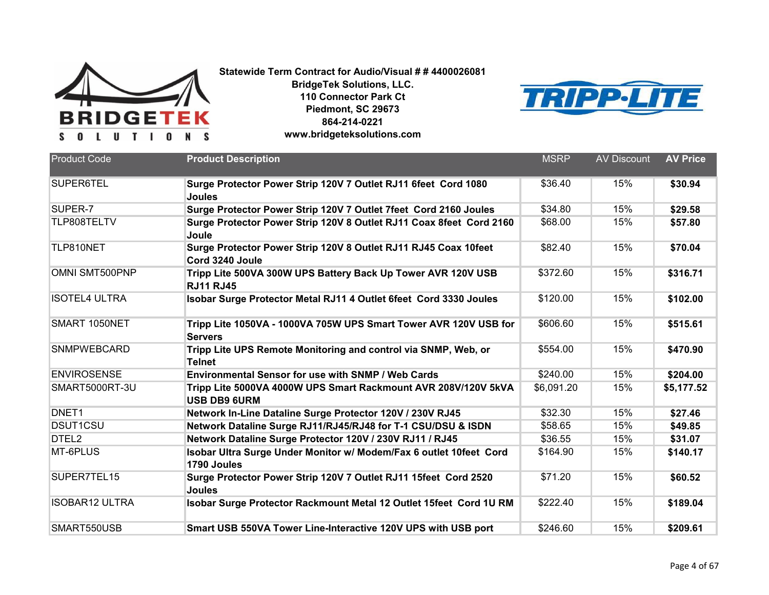



| <b>Product Code</b>   | <b>Product Description</b>                                                            | <b>MSRP</b> | <b>AV Discount</b> | <b>AV Price</b> |
|-----------------------|---------------------------------------------------------------------------------------|-------------|--------------------|-----------------|
| SUPER6TEL             | Surge Protector Power Strip 120V 7 Outlet RJ11 6feet Cord 1080<br><b>Joules</b>       | \$36.40     | 15%                | \$30.94         |
| SUPER-7               | Surge Protector Power Strip 120V 7 Outlet 7feet Cord 2160 Joules                      | \$34.80     | 15%                | \$29.58         |
| TLP808TELTV           | Surge Protector Power Strip 120V 8 Outlet RJ11 Coax 8feet Cord 2160<br>Joule          | \$68.00     | 15%                | \$57.80         |
| TLP810NET             | Surge Protector Power Strip 120V 8 Outlet RJ11 RJ45 Coax 10feet<br>Cord 3240 Joule    | \$82.40     | 15%                | \$70.04         |
| OMNI SMT500PNP        | Tripp Lite 500VA 300W UPS Battery Back Up Tower AVR 120V USB<br><b>RJ11 RJ45</b>      | \$372.60    | 15%                | \$316.71        |
| <b>ISOTEL4 ULTRA</b>  | Isobar Surge Protector Metal RJ11 4 Outlet 6feet Cord 3330 Joules                     | \$120.00    | 15%                | \$102.00        |
| SMART 1050NET         | Tripp Lite 1050VA - 1000VA 705W UPS Smart Tower AVR 120V USB for<br><b>Servers</b>    | \$606.60    | 15%                | \$515.61        |
| <b>SNMPWEBCARD</b>    | Tripp Lite UPS Remote Monitoring and control via SNMP, Web, or<br><b>Telnet</b>       | \$554.00    | 15%                | \$470.90        |
| <b>ENVIROSENSE</b>    | <b>Environmental Sensor for use with SNMP / Web Cards</b>                             | \$240.00    | 15%                | \$204.00        |
| SMART5000RT-3U        | Tripp Lite 5000VA 4000W UPS Smart Rackmount AVR 208V/120V 5kVA<br><b>USB DB9 6URM</b> | \$6,091.20  | 15%                | \$5,177.52      |
| DNET <sub>1</sub>     | Network In-Line Dataline Surge Protector 120V / 230V RJ45                             | \$32.30     | 15%                | \$27.46         |
| <b>DSUT1CSU</b>       | Network Dataline Surge RJ11/RJ45/RJ48 for T-1 CSU/DSU & ISDN                          | \$58.65     | 15%                | \$49.85         |
| DTEL <sub>2</sub>     | Network Dataline Surge Protector 120V / 230V RJ11 / RJ45                              | \$36.55     | 15%                | \$31.07         |
| MT-6PLUS              | Isobar Ultra Surge Under Monitor w/ Modem/Fax 6 outlet 10feet Cord<br>1790 Joules     | \$164.90    | 15%                | \$140.17        |
| SUPER7TEL15           | Surge Protector Power Strip 120V 7 Outlet RJ11 15feet Cord 2520<br><b>Joules</b>      | \$71.20     | 15%                | \$60.52         |
| <b>ISOBAR12 ULTRA</b> | Isobar Surge Protector Rackmount Metal 12 Outlet 15feet Cord 1U RM                    | \$222.40    | 15%                | \$189.04        |
| SMART550USB           | Smart USB 550VA Tower Line-Interactive 120V UPS with USB port                         | \$246.60    | 15%                | \$209.61        |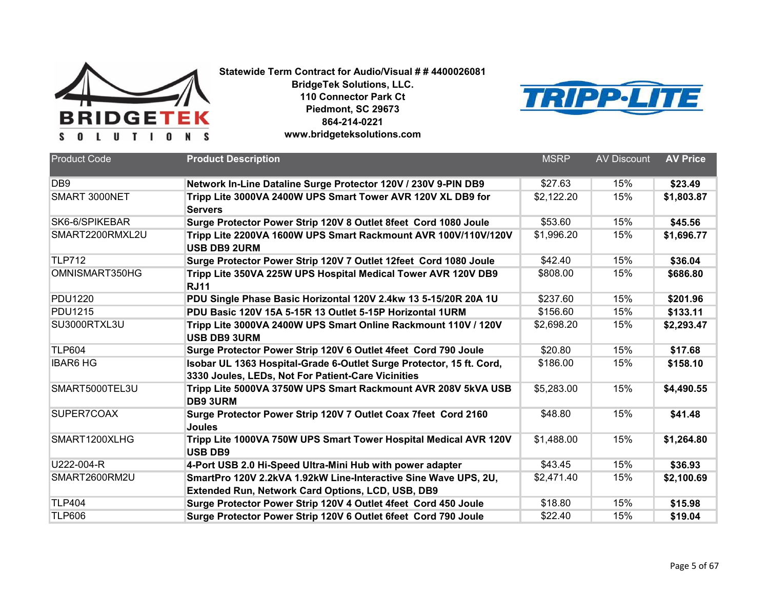



| <b>Product Code</b> | <b>Product Description</b>                                                                                                  | <b>MSRP</b> | <b>AV Discount</b> | <b>AV Price</b> |
|---------------------|-----------------------------------------------------------------------------------------------------------------------------|-------------|--------------------|-----------------|
| D <sub>B9</sub>     | Network In-Line Dataline Surge Protector 120V / 230V 9-PIN DB9                                                              | \$27.63     | 15%                | \$23.49         |
| SMART 3000NET       | Tripp Lite 3000VA 2400W UPS Smart Tower AVR 120V XL DB9 for<br><b>Servers</b>                                               | \$2,122.20  | 15%                | \$1,803.87      |
| SK6-6/SPIKEBAR      | Surge Protector Power Strip 120V 8 Outlet 8feet Cord 1080 Joule                                                             | \$53.60     | 15%                | \$45.56         |
| SMART2200RMXL2U     | Tripp Lite 2200VA 1600W UPS Smart Rackmount AVR 100V/110V/120V<br><b>USB DB9 2URM</b>                                       | \$1,996.20  | 15%                | \$1,696.77      |
| <b>TLP712</b>       | Surge Protector Power Strip 120V 7 Outlet 12feet Cord 1080 Joule                                                            | \$42.40     | 15%                | \$36.04         |
| OMNISMART350HG      | Tripp Lite 350VA 225W UPS Hospital Medical Tower AVR 120V DB9<br><b>RJ11</b>                                                | \$808.00    | 15%                | \$686.80        |
| <b>PDU1220</b>      | PDU Single Phase Basic Horizontal 120V 2.4kw 13 5-15/20R 20A 1U                                                             | \$237.60    | 15%                | \$201.96        |
| <b>PDU1215</b>      | PDU Basic 120V 15A 5-15R 13 Outlet 5-15P Horizontal 1URM                                                                    | \$156.60    | 15%                | \$133.11        |
| SU3000RTXL3U        | Tripp Lite 3000VA 2400W UPS Smart Online Rackmount 110V / 120V<br><b>USB DB9 3URM</b>                                       | \$2,698.20  | 15%                | \$2,293.47      |
| <b>TLP604</b>       | Surge Protector Power Strip 120V 6 Outlet 4feet Cord 790 Joule                                                              | \$20.80     | 15%                | \$17.68         |
| <b>IBAR6 HG</b>     | Isobar UL 1363 Hospital-Grade 6-Outlet Surge Protector, 15 ft. Cord,<br>3330 Joules, LEDs, Not For Patient-Care Vicinities  | \$186.00    | 15%                | \$158.10        |
| SMART5000TEL3U      | Tripp Lite 5000VA 3750W UPS Smart Rackmount AVR 208V 5kVA USB<br><b>DB9 3URM</b>                                            | \$5,283.00  | 15%                | \$4,490.55      |
| SUPER7COAX          | Surge Protector Power Strip 120V 7 Outlet Coax 7feet Cord 2160<br><b>Joules</b>                                             | \$48.80     | 15%                | \$41.48         |
| SMART1200XLHG       | Tripp Lite 1000VA 750W UPS Smart Tower Hospital Medical AVR 120V<br><b>USB DB9</b>                                          | \$1,488.00  | 15%                | \$1,264.80      |
| U222-004-R          | 4-Port USB 2.0 Hi-Speed Ultra-Mini Hub with power adapter                                                                   | \$43.45     | 15%                | \$36.93         |
| SMART2600RM2U       | SmartPro 120V 2.2kVA 1.92kW Line-Interactive Sine Wave UPS, 2U,<br><b>Extended Run, Network Card Options, LCD, USB, DB9</b> | \$2,471.40  | 15%                | \$2,100.69      |
| <b>TLP404</b>       | Surge Protector Power Strip 120V 4 Outlet 4feet Cord 450 Joule                                                              | \$18.80     | 15%                | \$15.98         |
| <b>TLP606</b>       | Surge Protector Power Strip 120V 6 Outlet 6feet Cord 790 Joule                                                              | \$22.40     | 15%                | \$19.04         |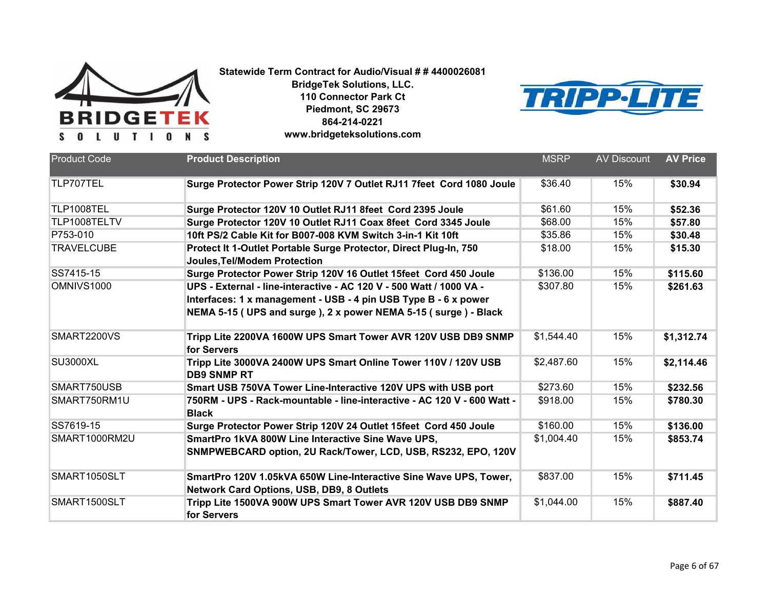



| <b>Product Code</b> | <b>Product Description</b>                                                                                                                                                                               | <b>MSRP</b> | <b>AV Discount</b> | <b>AV Price</b> |
|---------------------|----------------------------------------------------------------------------------------------------------------------------------------------------------------------------------------------------------|-------------|--------------------|-----------------|
| TLP707TEL           | Surge Protector Power Strip 120V 7 Outlet RJ11 7feet Cord 1080 Joule                                                                                                                                     | \$36.40     | 15%                | \$30.94         |
| TLP1008TEL          | Surge Protector 120V 10 Outlet RJ11 8feet Cord 2395 Joule                                                                                                                                                | \$61.60     | 15%                | \$52.36         |
| TLP1008TELTV        | Surge Protector 120V 10 Outlet RJ11 Coax 8feet Cord 3345 Joule                                                                                                                                           | \$68.00     | 15%                | \$57.80         |
| P753-010            | 10ft PS/2 Cable Kit for B007-008 KVM Switch 3-in-1 Kit 10ft                                                                                                                                              | \$35.86     | 15%                | \$30.48         |
| <b>TRAVELCUBE</b>   | Protect It 1-Outlet Portable Surge Protector, Direct Plug-In, 750<br><b>Joules, Tel/Modem Protection</b>                                                                                                 | \$18.00     | 15%                | \$15.30         |
| SS7415-15           | Surge Protector Power Strip 120V 16 Outlet 15feet Cord 450 Joule                                                                                                                                         | \$136.00    | 15%                | \$115.60        |
| OMNIVS1000          | UPS - External - line-interactive - AC 120 V - 500 Watt / 1000 VA -<br>Interfaces: 1 x management - USB - 4 pin USB Type B - 6 x power<br>NEMA 5-15 (UPS and surge), 2 x power NEMA 5-15 (surge) - Black | \$307.80    | 15%                | \$261.63        |
| SMART2200VS         | Tripp Lite 2200VA 1600W UPS Smart Tower AVR 120V USB DB9 SNMP<br>for Servers                                                                                                                             | \$1,544.40  | 15%                | \$1,312.74      |
| <b>SU3000XL</b>     | Tripp Lite 3000VA 2400W UPS Smart Online Tower 110V / 120V USB<br><b>DB9 SNMP RT</b>                                                                                                                     | \$2,487.60  | 15%                | \$2,114.46      |
| SMART750USB         | Smart USB 750VA Tower Line-Interactive 120V UPS with USB port                                                                                                                                            | \$273.60    | 15%                | \$232.56        |
| SMART750RM1U        | 750RM - UPS - Rack-mountable - line-interactive - AC 120 V - 600 Watt -<br><b>Black</b>                                                                                                                  | \$918.00    | 15%                | \$780.30        |
| SS7619-15           | Surge Protector Power Strip 120V 24 Outlet 15feet Cord 450 Joule                                                                                                                                         | \$160.00    | 15%                | \$136.00        |
| SMART1000RM2U       | SmartPro 1kVA 800W Line Interactive Sine Wave UPS,<br>SNMPWEBCARD option, 2U Rack/Tower, LCD, USB, RS232, EPO, 120V                                                                                      | \$1,004.40  | 15%                | \$853.74        |
| SMART1050SLT        | SmartPro 120V 1.05kVA 650W Line-Interactive Sine Wave UPS, Tower,<br><b>Network Card Options, USB, DB9, 8 Outlets</b>                                                                                    | \$837.00    | 15%                | \$711.45        |
| SMART1500SLT        | Tripp Lite 1500VA 900W UPS Smart Tower AVR 120V USB DB9 SNMP<br>for Servers                                                                                                                              | \$1,044.00  | 15%                | \$887.40        |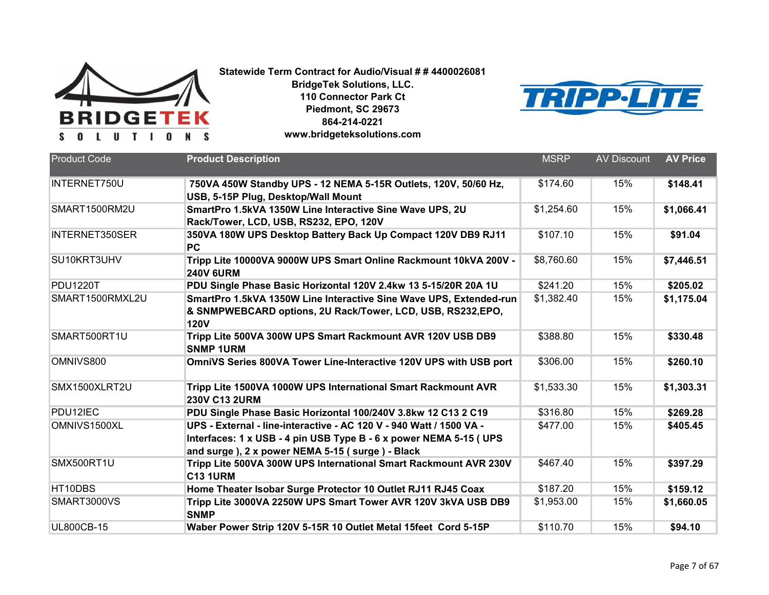



| <b>Product Code</b> | <b>Product Description</b>                                                            | <b>MSRP</b> | <b>AV Discount</b> | <b>AV Price</b> |
|---------------------|---------------------------------------------------------------------------------------|-------------|--------------------|-----------------|
| INTERNET750U        | 750VA 450W Standby UPS - 12 NEMA 5-15R Outlets, 120V, 50/60 Hz,                       | \$174.60    | 15%                | \$148.41        |
|                     | USB, 5-15P Plug, Desktop/Wall Mount                                                   |             |                    |                 |
| SMART1500RM2U       | SmartPro 1.5kVA 1350W Line Interactive Sine Wave UPS, 2U                              | \$1,254.60  | 15%                | \$1,066.41      |
|                     | Rack/Tower, LCD, USB, RS232, EPO, 120V                                                |             |                    |                 |
| INTERNET350SER      | 350VA 180W UPS Desktop Battery Back Up Compact 120V DB9 RJ11<br><b>PC</b>             | \$107.10    | 15%                | \$91.04         |
| SU10KRT3UHV         | Tripp Lite 10000VA 9000W UPS Smart Online Rackmount 10kVA 200V -<br><b>240V 6URM</b>  | \$8,760.60  | 15%                | \$7,446.51      |
| <b>PDU1220T</b>     | PDU Single Phase Basic Horizontal 120V 2.4kw 13 5-15/20R 20A 1U                       | \$241.20    | 15%                | \$205.02        |
| SMART1500RMXL2U     | SmartPro 1.5kVA 1350W Line Interactive Sine Wave UPS, Extended-run                    | \$1,382.40  | 15%                | \$1,175.04      |
|                     | & SNMPWEBCARD options, 2U Rack/Tower, LCD, USB, RS232,EPO,<br><b>120V</b>             |             |                    |                 |
| SMART500RT1U        | Tripp Lite 500VA 300W UPS Smart Rackmount AVR 120V USB DB9<br><b>SNMP 1URM</b>        | \$388.80    | 15%                | \$330.48        |
| OMNIVS800           | OmniVS Series 800VA Tower Line-Interactive 120V UPS with USB port                     | \$306.00    | 15%                | \$260.10        |
| SMX1500XLRT2U       | Tripp Lite 1500VA 1000W UPS International Smart Rackmount AVR<br><b>230V C13 2URM</b> | \$1,533.30  | 15%                | \$1,303.31      |
| PDU12IEC            | PDU Single Phase Basic Horizontal 100/240V 3.8kw 12 C13 2 C19                         | \$316.80    | 15%                | \$269.28        |
| OMNIVS1500XL        | UPS - External - line-interactive - AC 120 V - 940 Watt / 1500 VA -                   | \$477.00    | 15%                | \$405.45        |
|                     | Interfaces: 1 x USB - 4 pin USB Type B - 6 x power NEMA 5-15 (UPS                     |             |                    |                 |
|                     | and surge ), 2 x power NEMA 5-15 (surge) - Black                                      |             |                    |                 |
| SMX500RT1U          | Tripp Lite 500VA 300W UPS International Smart Rackmount AVR 230V<br><b>C13 1URM</b>   | \$467.40    | 15%                | \$397.29        |
| HT10DBS             | Home Theater Isobar Surge Protector 10 Outlet RJ11 RJ45 Coax                          | \$187.20    | 15%                | \$159.12        |
| SMART3000VS         | Tripp Lite 3000VA 2250W UPS Smart Tower AVR 120V 3kVA USB DB9<br><b>SNMP</b>          | \$1,953.00  | 15%                | \$1,660.05      |
| <b>UL800CB-15</b>   | Waber Power Strip 120V 5-15R 10 Outlet Metal 15feet Cord 5-15P                        | \$110.70    | 15%                | \$94.10         |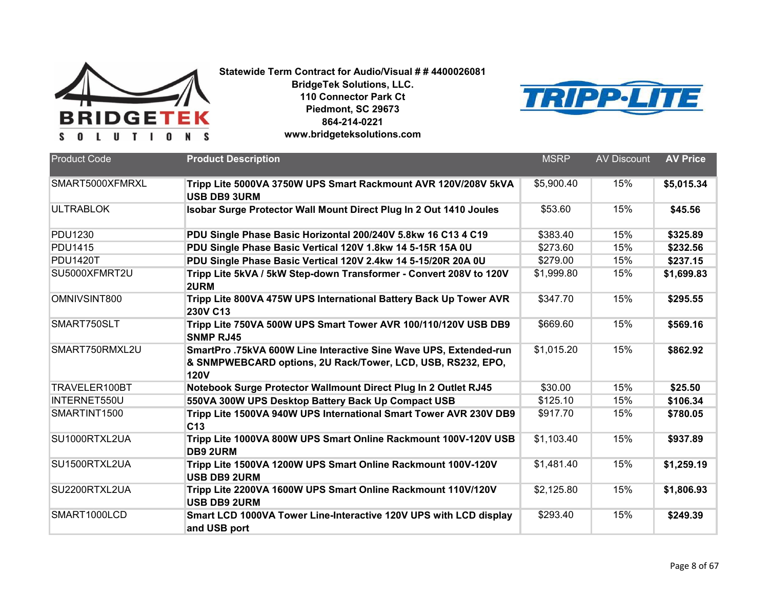



| <b>Product Code</b> | <b>Product Description</b>                                                                                                                     | <b>MSRP</b>            | <b>AV Discount</b> | <b>AV Price</b> |
|---------------------|------------------------------------------------------------------------------------------------------------------------------------------------|------------------------|--------------------|-----------------|
| SMART5000XFMRXL     | Tripp Lite 5000VA 3750W UPS Smart Rackmount AVR 120V/208V 5kVA<br><b>USB DB9 3URM</b>                                                          | \$5,900.40             | 15%                | \$5,015.34      |
| <b>ULTRABLOK</b>    | Isobar Surge Protector Wall Mount Direct Plug In 2 Out 1410 Joules                                                                             | \$53.60                | 15%                | \$45.56         |
| <b>PDU1230</b>      | PDU Single Phase Basic Horizontal 200/240V 5.8kw 16 C13 4 C19                                                                                  | \$383.40               | 15%                | \$325.89        |
| <b>PDU1415</b>      | PDU Single Phase Basic Vertical 120V 1.8kw 14 5-15R 15A 0U                                                                                     | \$273.60               | 15%                | \$232.56        |
| <b>PDU1420T</b>     | PDU Single Phase Basic Vertical 120V 2.4kw 14 5-15/20R 20A 0U                                                                                  | \$279.00               | 15%                | \$237.15        |
| SU5000XFMRT2U       | Tripp Lite 5kVA / 5kW Step-down Transformer - Convert 208V to 120V<br>2URM                                                                     | \$1,999.80             | 15%                | \$1,699.83      |
| OMNIVSINT800        | Tripp Lite 800VA 475W UPS International Battery Back Up Tower AVR<br>230V C13                                                                  | \$347.70               | 15%                | \$295.55        |
| SMART750SLT         | Tripp Lite 750VA 500W UPS Smart Tower AVR 100/110/120V USB DB9<br><b>SNMP RJ45</b>                                                             | \$669.60               | 15%                | \$569.16        |
| SMART750RMXL2U      | SmartPro.75kVA 600W Line Interactive Sine Wave UPS, Extended-run<br>& SNMPWEBCARD options, 2U Rack/Tower, LCD, USB, RS232, EPO,<br><b>120V</b> | \$1,015.20             | 15%                | \$862.92        |
| TRAVELER100BT       | Notebook Surge Protector Wallmount Direct Plug In 2 Outlet RJ45                                                                                | \$30.00                | 15%                | \$25.50         |
| INTERNET550U        | 550VA 300W UPS Desktop Battery Back Up Compact USB                                                                                             | \$125.10               | 15%                | \$106.34        |
| SMARTINT1500        | Tripp Lite 1500VA 940W UPS International Smart Tower AVR 230V DB9<br>C <sub>13</sub>                                                           | \$917.70               | 15%                | \$780.05        |
| SU1000RTXL2UA       | Tripp Lite 1000VA 800W UPS Smart Online Rackmount 100V-120V USB<br><b>DB9 2URM</b>                                                             | \$1,103.40             | 15%                | \$937.89        |
| SU1500RTXL2UA       | Tripp Lite 1500VA 1200W UPS Smart Online Rackmount 100V-120V<br><b>USB DB9 2URM</b>                                                            | \$1,481.40             | 15%                | \$1,259.19      |
| SU2200RTXL2UA       | Tripp Lite 2200VA 1600W UPS Smart Online Rackmount 110V/120V<br><b>USB DB9 2URM</b>                                                            | $\overline{$2,125.80}$ | 15%                | \$1,806.93      |
| SMART1000LCD        | Smart LCD 1000VA Tower Line-Interactive 120V UPS with LCD display<br>and USB port                                                              | \$293.40               | 15%                | \$249.39        |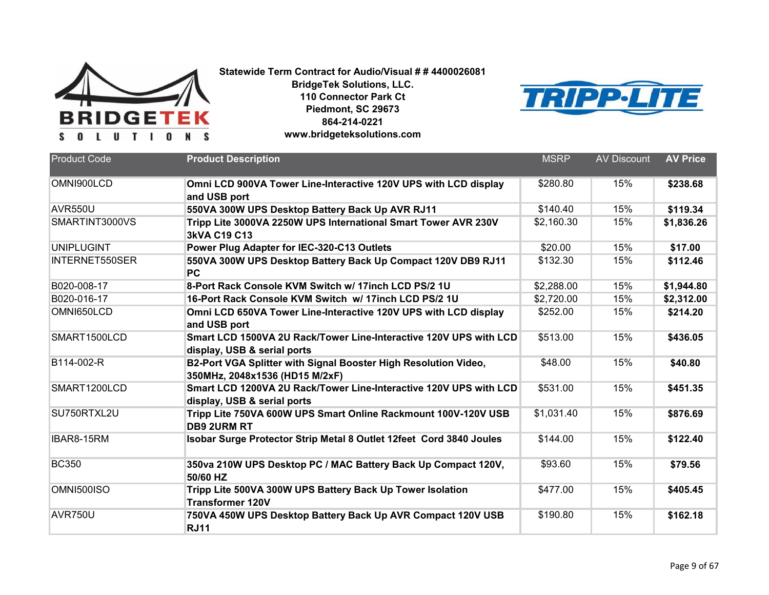

**BridgeTek Solutions, LLC. 110 Connector Park Ct Piedmont, SC 29673 864-214-0221**



**www.bridgeteksolutions.com**

| <b>Product Code</b>   | <b>Product Description</b>                                                                        | <b>MSRP</b> | <b>AV Discount</b> | <b>AV Price</b> |
|-----------------------|---------------------------------------------------------------------------------------------------|-------------|--------------------|-----------------|
| OMNI900LCD            | Omni LCD 900VA Tower Line-Interactive 120V UPS with LCD display<br>and USB port                   | \$280.80    | 15%                | \$238.68        |
| AVR550U               | 550VA 300W UPS Desktop Battery Back Up AVR RJ11                                                   | \$140.40    | 15%                | \$119.34        |
| SMARTINT3000VS        | Tripp Lite 3000VA 2250W UPS International Smart Tower AVR 230V<br>3kVA C19 C13                    | \$2,160.30  | 15%                | \$1,836.26      |
| <b>UNIPLUGINT</b>     | Power Plug Adapter for IEC-320-C13 Outlets                                                        | \$20.00     | 15%                | \$17.00         |
| <b>INTERNET550SER</b> | 550VA 300W UPS Desktop Battery Back Up Compact 120V DB9 RJ11<br><b>PC</b>                         | \$132.30    | 15%                | \$112.46        |
| B020-008-17           | 8-Port Rack Console KVM Switch w/ 17inch LCD PS/2 1U                                              | \$2,288.00  | 15%                | \$1,944.80      |
| B020-016-17           | 16-Port Rack Console KVM Switch w/ 17inch LCD PS/2 1U                                             | \$2,720.00  | 15%                | \$2,312.00      |
| OMNI650LCD            | Omni LCD 650VA Tower Line-Interactive 120V UPS with LCD display<br>and USB port                   | \$252.00    | 15%                | \$214.20        |
| SMART1500LCD          | Smart LCD 1500VA 2U Rack/Tower Line-Interactive 120V UPS with LCD<br>display, USB & serial ports  | \$513.00    | 15%                | \$436.05        |
| B114-002-R            | B2-Port VGA Splitter with Signal Booster High Resolution Video,<br>350MHz, 2048x1536 (HD15 M/2xF) | \$48.00     | 15%                | \$40.80         |
| SMART1200LCD          | Smart LCD 1200VA 2U Rack/Tower Line-Interactive 120V UPS with LCD<br>display, USB & serial ports  | \$531.00    | 15%                | \$451.35        |
| SU750RTXL2U           | Tripp Lite 750VA 600W UPS Smart Online Rackmount 100V-120V USB<br><b>DB9 2URM RT</b>              | \$1,031.40  | 15%                | \$876.69        |
| IBAR8-15RM            | Isobar Surge Protector Strip Metal 8 Outlet 12feet Cord 3840 Joules                               | \$144.00    | 15%                | \$122.40        |
| <b>BC350</b>          | 350va 210W UPS Desktop PC / MAC Battery Back Up Compact 120V,<br>50/60 HZ                         | \$93.60     | 15%                | \$79.56         |
| <b>OMNI500ISO</b>     | Tripp Lite 500VA 300W UPS Battery Back Up Tower Isolation<br><b>Transformer 120V</b>              | \$477.00    | 15%                | \$405.45        |
| AVR750U               | 750VA 450W UPS Desktop Battery Back Up AVR Compact 120V USB<br><b>RJ11</b>                        | \$190.80    | 15%                | \$162.18        |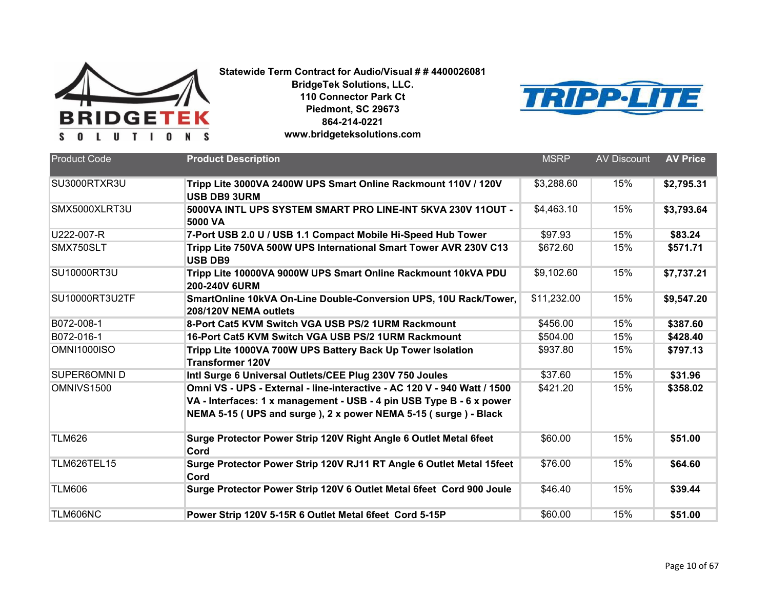

**BridgeTek Solutions, LLC. 110 Connector Park Ct Piedmont, SC 29673 864-214-0221**

**www.bridgeteksolutions.com**



| <b>Product Code</b> | <b>Product Description</b>                                                                                                                                                                                         | <b>MSRP</b> | <b>AV Discount</b> | <b>AV Price</b> |
|---------------------|--------------------------------------------------------------------------------------------------------------------------------------------------------------------------------------------------------------------|-------------|--------------------|-----------------|
| SU3000RTXR3U        | Tripp Lite 3000VA 2400W UPS Smart Online Rackmount 110V / 120V<br><b>USB DB9 3URM</b>                                                                                                                              | \$3,288.60  | 15%                | \$2,795.31      |
| SMX5000XLRT3U       | 5000VA INTL UPS SYSTEM SMART PRO LINE-INT 5KVA 230V 11OUT -<br>5000 VA                                                                                                                                             | \$4,463.10  | 15%                | \$3,793.64      |
| U222-007-R          | 7-Port USB 2.0 U / USB 1.1 Compact Mobile Hi-Speed Hub Tower                                                                                                                                                       | \$97.93     | 15%                | \$83.24         |
| SMX750SLT           | Tripp Lite 750VA 500W UPS International Smart Tower AVR 230V C13<br><b>USB DB9</b>                                                                                                                                 | \$672.60    | 15%                | \$571.71        |
| <b>SU10000RT3U</b>  | Tripp Lite 10000VA 9000W UPS Smart Online Rackmount 10kVA PDU<br><b>200-240V 6URM</b>                                                                                                                              | \$9,102.60  | 15%                | \$7,737.21      |
| SU10000RT3U2TF      | SmartOnline 10kVA On-Line Double-Conversion UPS, 10U Rack/Tower,<br>208/120V NEMA outlets                                                                                                                          | \$11,232.00 | 15%                | \$9,547.20      |
| B072-008-1          | 8-Port Cat5 KVM Switch VGA USB PS/2 1URM Rackmount                                                                                                                                                                 | \$456.00    | 15%                | \$387.60        |
| B072-016-1          | 16-Port Cat5 KVM Switch VGA USB PS/2 1URM Rackmount                                                                                                                                                                | \$504.00    | 15%                | \$428.40        |
| <b>OMNI1000ISO</b>  | Tripp Lite 1000VA 700W UPS Battery Back Up Tower Isolation<br><b>Transformer 120V</b>                                                                                                                              | \$937.80    | 15%                | \$797.13        |
| <b>SUPER6OMNID</b>  | Intl Surge 6 Universal Outlets/CEE Plug 230V 750 Joules                                                                                                                                                            | \$37.60     | 15%                | \$31.96         |
| OMNIVS1500          | Omni VS - UPS - External - line-interactive - AC 120 V - 940 Watt / 1500<br>VA - Interfaces: 1 x management - USB - 4 pin USB Type B - 6 x power<br>NEMA 5-15 (UPS and surge), 2 x power NEMA 5-15 (surge) - Black | \$421.20    | 15%                | \$358.02        |
| <b>TLM626</b>       | Surge Protector Power Strip 120V Right Angle 6 Outlet Metal 6feet<br>Cord                                                                                                                                          | \$60.00     | 15%                | \$51.00         |
| TLM626TEL15         | Surge Protector Power Strip 120V RJ11 RT Angle 6 Outlet Metal 15feet<br>Cord                                                                                                                                       | \$76.00     | 15%                | \$64.60         |
| <b>TLM606</b>       | Surge Protector Power Strip 120V 6 Outlet Metal 6feet Cord 900 Joule                                                                                                                                               | \$46.40     | 15%                | \$39.44         |
| TLM606NC            | Power Strip 120V 5-15R 6 Outlet Metal 6feet Cord 5-15P                                                                                                                                                             | \$60.00     | 15%                | \$51.00         |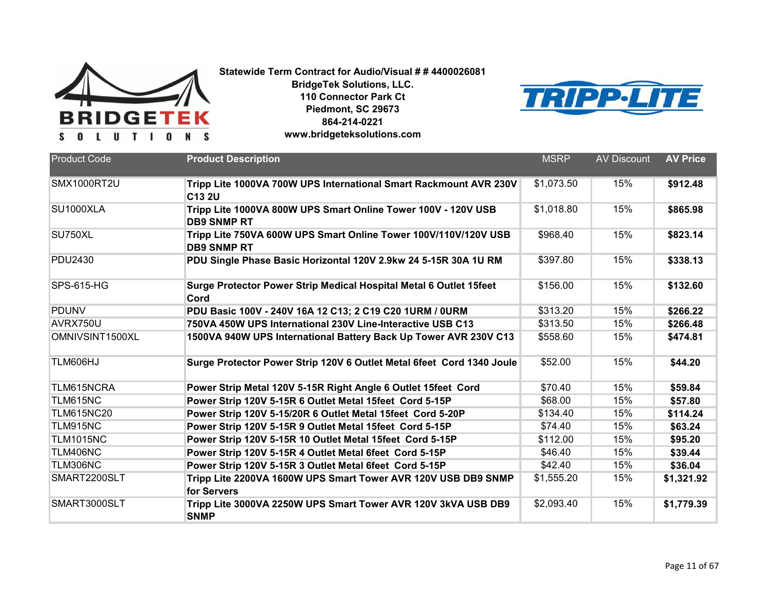

**BridgeTek Solutions, LLC. 110 Connector Park Ct Piedmont, SC 29673 864-214-0221**



| www.bridgeteksolutions.com |
|----------------------------|
|----------------------------|

| <b>Product Code</b> | <b>Product Description</b>                                                            | <b>MSRP</b> | <b>AV Discount</b> | <b>AV Price</b> |
|---------------------|---------------------------------------------------------------------------------------|-------------|--------------------|-----------------|
| <b>SMX1000RT2U</b>  | Tripp Lite 1000VA 700W UPS International Smart Rackmount AVR 230V<br>C13 2U           | \$1,073.50  | 15%                | \$912.48        |
| <b>SU1000XLA</b>    | Tripp Lite 1000VA 800W UPS Smart Online Tower 100V - 120V USB<br><b>DB9 SNMP RT</b>   | \$1,018.80  | 15%                | \$865.98        |
| SU750XL             | Tripp Lite 750VA 600W UPS Smart Online Tower 100V/110V/120V USB<br><b>DB9 SNMP RT</b> | \$968.40    | 15%                | \$823.14        |
| <b>PDU2430</b>      | PDU Single Phase Basic Horizontal 120V 2.9kw 24 5-15R 30A 1U RM                       | \$397.80    | 15%                | \$338.13        |
| <b>SPS-615-HG</b>   | Surge Protector Power Strip Medical Hospital Metal 6 Outlet 15feet<br>Cord            | \$156.00    | 15%                | \$132.60        |
| <b>PDUNV</b>        | PDU Basic 100V - 240V 16A 12 C13; 2 C19 C20 1URM / 0URM                               | \$313.20    | 15%                | \$266.22        |
| AVRX750U            | 750VA 450W UPS International 230V Line-Interactive USB C13                            | \$313.50    | 15%                | \$266.48        |
| OMNIVSINT1500XL     | 1500VA 940W UPS International Battery Back Up Tower AVR 230V C13                      | \$558.60    | 15%                | \$474.81        |
| TLM606HJ            | Surge Protector Power Strip 120V 6 Outlet Metal 6feet Cord 1340 Joule                 | \$52.00     | 15%                | \$44.20         |
| TLM615NCRA          | Power Strip Metal 120V 5-15R Right Angle 6 Outlet 15feet Cord                         | \$70.40     | 15%                | \$59.84         |
| TLM615NC            | Power Strip 120V 5-15R 6 Outlet Metal 15feet Cord 5-15P                               | \$68.00     | 15%                | \$57.80         |
| <b>TLM615NC20</b>   | Power Strip 120V 5-15/20R 6 Outlet Metal 15feet Cord 5-20P                            | \$134.40    | 15%                | \$114.24        |
| <b>TLM915NC</b>     | Power Strip 120V 5-15R 9 Outlet Metal 15feet Cord 5-15P                               | \$74.40     | 15%                | \$63.24         |
| <b>TLM1015NC</b>    | Power Strip 120V 5-15R 10 Outlet Metal 15feet Cord 5-15P                              | \$112.00    | 15%                | \$95.20         |
| TLM406NC            | Power Strip 120V 5-15R 4 Outlet Metal 6feet Cord 5-15P                                | \$46.40     | 15%                | \$39.44         |
| TLM306NC            | Power Strip 120V 5-15R 3 Outlet Metal 6feet Cord 5-15P                                | \$42.40     | 15%                | \$36.04         |
| SMART2200SLT        | Tripp Lite 2200VA 1600W UPS Smart Tower AVR 120V USB DB9 SNMP<br>for Servers          | \$1,555.20  | 15%                | \$1,321.92      |
| SMART3000SLT        | Tripp Lite 3000VA 2250W UPS Smart Tower AVR 120V 3kVA USB DB9<br><b>SNMP</b>          | \$2,093.40  | 15%                | \$1,779.39      |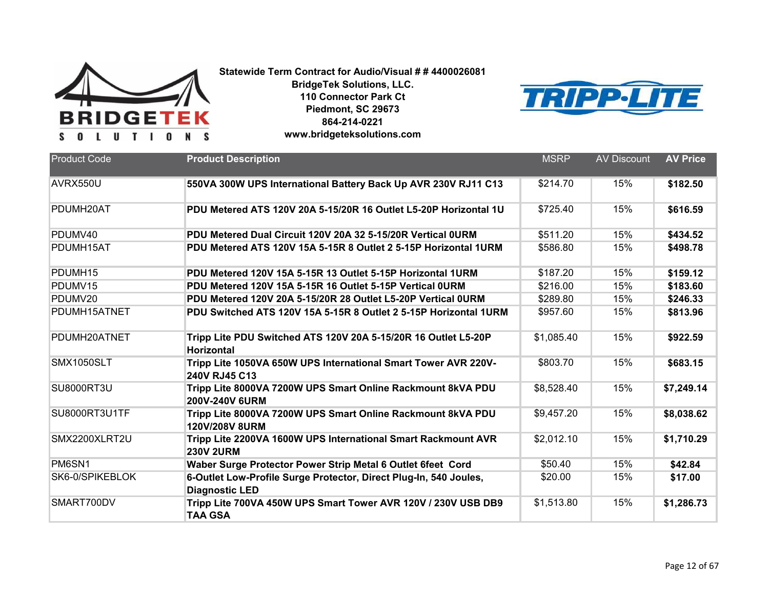

**BridgeTek Solutions, LLC. 110 Connector Park Ct Piedmont, SC 29673 864-214-0221**



| www.bridgeteksolutions.com |
|----------------------------|
|----------------------------|

| <b>Product Code</b> | <b>Product Description</b>                                                                 | <b>MSRP</b> | <b>AV Discount</b> | <b>AV Price</b> |
|---------------------|--------------------------------------------------------------------------------------------|-------------|--------------------|-----------------|
| AVRX550U            | 550VA 300W UPS International Battery Back Up AVR 230V RJ11 C13                             | \$214.70    | 15%                | \$182.50        |
| PDUMH20AT           | PDU Metered ATS 120V 20A 5-15/20R 16 Outlet L5-20P Horizontal 1U                           | \$725.40    | 15%                | \$616.59        |
| PDUMV40             | PDU Metered Dual Circuit 120V 20A 32 5-15/20R Vertical OURM                                | \$511.20    | 15%                | \$434.52        |
| PDUMH15AT           | PDU Metered ATS 120V 15A 5-15R 8 Outlet 2 5-15P Horizontal 1URM                            | \$586.80    | 15%                | \$498.78        |
| PDUMH15             | PDU Metered 120V 15A 5-15R 13 Outlet 5-15P Horizontal 1URM                                 | \$187.20    | 15%                | \$159.12        |
| PDUMV15             | PDU Metered 120V 15A 5-15R 16 Outlet 5-15P Vertical OURM                                   | \$216.00    | 15%                | \$183.60        |
| PDUMV20             | PDU Metered 120V 20A 5-15/20R 28 Outlet L5-20P Vertical OURM                               | \$289.80    | 15%                | \$246.33        |
| PDUMH15ATNET        | PDU Switched ATS 120V 15A 5-15R 8 Outlet 2 5-15P Horizontal 1URM                           | \$957.60    | 15%                | \$813.96        |
| PDUMH20ATNET        | Tripp Lite PDU Switched ATS 120V 20A 5-15/20R 16 Outlet L5-20P<br><b>Horizontal</b>        | \$1,085.40  | 15%                | \$922.59        |
| SMX1050SLT          | Tripp Lite 1050VA 650W UPS International Smart Tower AVR 220V-<br>240V RJ45 C13            | \$803.70    | 15%                | \$683.15        |
| <b>SU8000RT3U</b>   | Tripp Lite 8000VA 7200W UPS Smart Online Rackmount 8kVA PDU<br><b>200V-240V 6URM</b>       | \$8,528.40  | 15%                | \$7,249.14      |
| SU8000RT3U1TF       | Tripp Lite 8000VA 7200W UPS Smart Online Rackmount 8kVA PDU<br>120V/208V 8URM              | \$9,457.20  | 15%                | \$8,038.62      |
| SMX2200XLRT2U       | Tripp Lite 2200VA 1600W UPS International Smart Rackmount AVR<br><b>230V 2URM</b>          | \$2,012.10  | 15%                | \$1,710.29      |
| PM6SN1              | Waber Surge Protector Power Strip Metal 6 Outlet 6feet Cord                                | \$50.40     | 15%                | \$42.84         |
| SK6-0/SPIKEBLOK     | 6-Outlet Low-Profile Surge Protector, Direct Plug-In, 540 Joules,<br><b>Diagnostic LED</b> | \$20.00     | 15%                | \$17.00         |
| SMART700DV          | Tripp Lite 700VA 450W UPS Smart Tower AVR 120V / 230V USB DB9<br><b>TAA GSA</b>            | \$1,513.80  | 15%                | \$1,286.73      |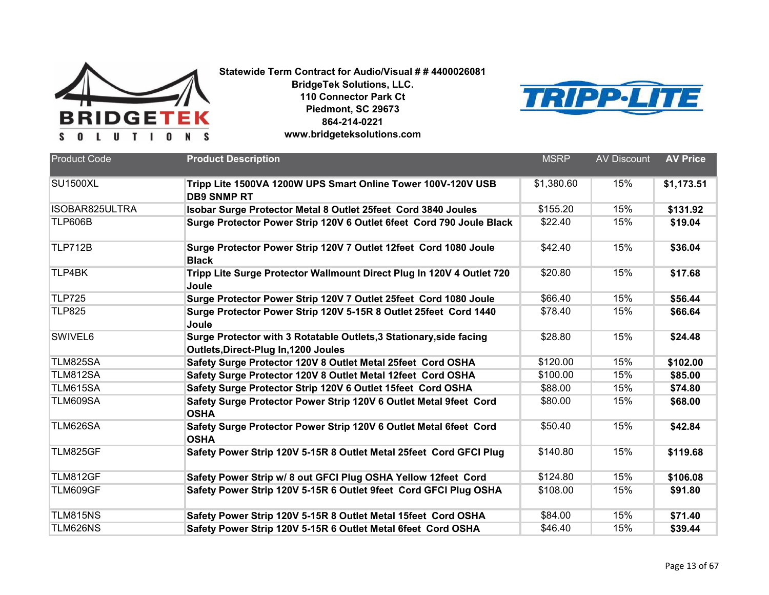



| <b>Product Code</b> | <b>Product Description</b>                                                                                  | <b>MSRP</b> | <b>AV Discount</b> | <b>AV Price</b> |
|---------------------|-------------------------------------------------------------------------------------------------------------|-------------|--------------------|-----------------|
| <b>SU1500XL</b>     | Tripp Lite 1500VA 1200W UPS Smart Online Tower 100V-120V USB<br><b>DB9 SNMP RT</b>                          | \$1,380.60  | 15%                | \$1,173.51      |
| ISOBAR825ULTRA      | Isobar Surge Protector Metal 8 Outlet 25feet Cord 3840 Joules                                               | \$155.20    | 15%                | \$131.92        |
| <b>TLP606B</b>      | Surge Protector Power Strip 120V 6 Outlet 6feet Cord 790 Joule Black                                        | \$22.40     | 15%                | \$19.04         |
| <b>TLP712B</b>      | Surge Protector Power Strip 120V 7 Outlet 12feet Cord 1080 Joule<br><b>Black</b>                            | \$42.40     | 15%                | \$36.04         |
| TLP4BK              | Tripp Lite Surge Protector Wallmount Direct Plug In 120V 4 Outlet 720<br>Joule                              | \$20.80     | 15%                | \$17.68         |
| <b>TLP725</b>       | Surge Protector Power Strip 120V 7 Outlet 25feet Cord 1080 Joule                                            | \$66.40     | 15%                | \$56.44         |
| <b>TLP825</b>       | Surge Protector Power Strip 120V 5-15R 8 Outlet 25feet Cord 1440<br>Joule                                   | \$78.40     | 15%                | \$66.64         |
| SWIVEL6             | Surge Protector with 3 Rotatable Outlets, 3 Stationary, side facing<br>Outlets, Direct-Plug In, 1200 Joules | \$28.80     | 15%                | \$24.48         |
| TLM825SA            | Safety Surge Protector 120V 8 Outlet Metal 25feet Cord OSHA                                                 | \$120.00    | 15%                | \$102.00        |
| TLM812SA            | Safety Surge Protector 120V 8 Outlet Metal 12feet Cord OSHA                                                 | \$100.00    | 15%                | \$85.00         |
| TLM615SA            | Safety Surge Protector Strip 120V 6 Outlet 15feet Cord OSHA                                                 | \$88.00     | 15%                | \$74.80         |
| TLM609SA            | Safety Surge Protector Power Strip 120V 6 Outlet Metal 9feet Cord<br><b>OSHA</b>                            | \$80.00     | 15%                | \$68.00         |
| TLM626SA            | Safety Surge Protector Power Strip 120V 6 Outlet Metal 6feet Cord<br><b>OSHA</b>                            | \$50.40     | 15%                | \$42.84         |
| TLM825GF            | Safety Power Strip 120V 5-15R 8 Outlet Metal 25feet Cord GFCI Plug                                          | \$140.80    | 15%                | \$119.68        |
| TLM812GF            | Safety Power Strip w/ 8 out GFCI Plug OSHA Yellow 12feet Cord                                               | \$124.80    | 15%                | \$106.08        |
| TLM609GF            | Safety Power Strip 120V 5-15R 6 Outlet 9feet Cord GFCI Plug OSHA                                            | \$108.00    | 15%                | \$91.80         |
| TLM815NS            | Safety Power Strip 120V 5-15R 8 Outlet Metal 15feet Cord OSHA                                               | \$84.00     | 15%                | \$71.40         |
| TLM626NS            | Safety Power Strip 120V 5-15R 6 Outlet Metal 6feet Cord OSHA                                                | \$46.40     | 15%                | \$39.44         |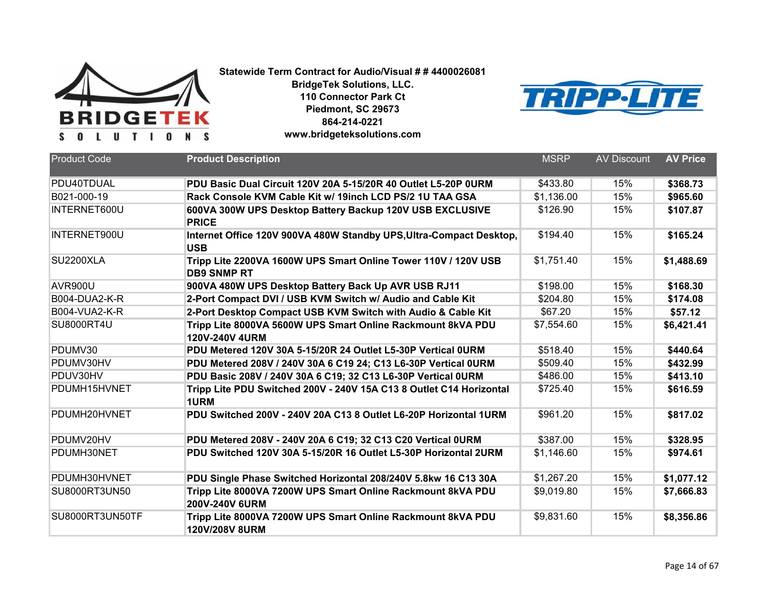

**BridgeTek Solutions, LLC. 110 Connector Park Ct Piedmont, SC 29673 864-214-0221**



**www.bridgeteksolutions.com**

| <b>Product Code</b>  | <b>Product Description</b>                                                           | <b>MSRP</b> | <b>AV Discount</b> | <b>AV Price</b> |
|----------------------|--------------------------------------------------------------------------------------|-------------|--------------------|-----------------|
| PDU40TDUAL           | PDU Basic Dual Circuit 120V 20A 5-15/20R 40 Outlet L5-20P 0URM                       | \$433.80    | 15%                | \$368.73        |
| B021-000-19          | Rack Console KVM Cable Kit w/ 19inch LCD PS/2 1U TAA GSA                             | \$1,136.00  | 15%                | \$965.60        |
| INTERNET600U         | 600VA 300W UPS Desktop Battery Backup 120V USB EXCLUSIVE<br><b>PRICE</b>             | \$126.90    | 15%                | \$107.87        |
| INTERNET900U         | Internet Office 120V 900VA 480W Standby UPS, Ultra-Compact Desktop,<br><b>USB</b>    | \$194.40    | 15%                | \$165.24        |
| <b>SU2200XLA</b>     | Tripp Lite 2200VA 1600W UPS Smart Online Tower 110V / 120V USB<br><b>DB9 SNMP RT</b> | \$1,751.40  | 15%                | \$1,488.69      |
| AVR900U              | 900VA 480W UPS Desktop Battery Back Up AVR USB RJ11                                  | \$198.00    | 15%                | \$168.30        |
| <b>B004-DUA2-K-R</b> | 2-Port Compact DVI / USB KVM Switch w/ Audio and Cable Kit                           | \$204.80    | 15%                | \$174.08        |
| <b>B004-VUA2-K-R</b> | 2-Port Desktop Compact USB KVM Switch with Audio & Cable Kit                         | \$67.20     | 15%                | \$57.12         |
| <b>SU8000RT4U</b>    | Tripp Lite 8000VA 5600W UPS Smart Online Rackmount 8kVA PDU<br><b>120V-240V 4URM</b> | \$7,554.60  | 15%                | \$6,421.41      |
| PDUMV30              | PDU Metered 120V 30A 5-15/20R 24 Outlet L5-30P Vertical OURM                         | \$518.40    | 15%                | \$440.64        |
| PDUMV30HV            | PDU Metered 208V / 240V 30A 6 C19 24; C13 L6-30P Vertical 0URM                       | \$509.40    | 15%                | \$432.99        |
| PDUV30HV             | PDU Basic 208V / 240V 30A 6 C19; 32 C13 L6-30P Vertical 0URM                         | \$486.00    | 15%                | \$413.10        |
| PDUMH15HVNET         | Tripp Lite PDU Switched 200V - 240V 15A C13 8 Outlet C14 Horizontal<br><b>1URM</b>   | \$725.40    | 15%                | \$616.59        |
| PDUMH20HVNET         | PDU Switched 200V - 240V 20A C13 8 Outlet L6-20P Horizontal 1URM                     | \$961.20    | 15%                | \$817.02        |
| PDUMV20HV            | PDU Metered 208V - 240V 20A 6 C19; 32 C13 C20 Vertical 0URM                          | \$387.00    | 15%                | \$328.95        |
| PDUMH30NET           | PDU Switched 120V 30A 5-15/20R 16 Outlet L5-30P Horizontal 2URM                      | \$1,146.60  | 15%                | \$974.61        |
| PDUMH30HVNET         | PDU Single Phase Switched Horizontal 208/240V 5.8kw 16 C13 30A                       | \$1,267.20  | 15%                | \$1,077.12      |
| SU8000RT3UN50        | Tripp Lite 8000VA 7200W UPS Smart Online Rackmount 8kVA PDU<br>200V-240V 6URM        | \$9,019.80  | 15%                | \$7,666.83      |
| SU8000RT3UN50TF      | Tripp Lite 8000VA 7200W UPS Smart Online Rackmount 8kVA PDU<br><b>120V/208V 8URM</b> | \$9,831.60  | 15%                | \$8,356.86      |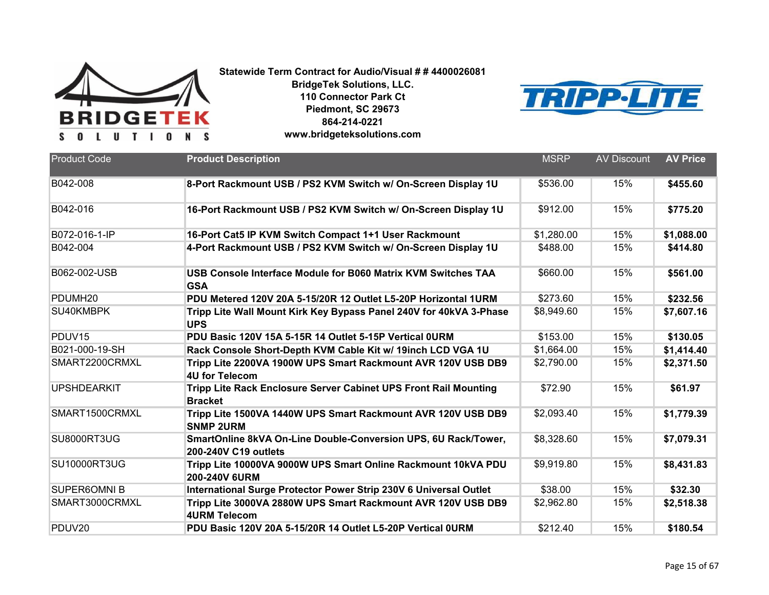

**BridgeTek Solutions, LLC. 110 Connector Park Ct Piedmont, SC 29673 864-214-0221**



| www.bridgeteksolutions.com |
|----------------------------|
|----------------------------|

| <b>Product Code</b> | <b>Product Description</b>                                                             | <b>MSRP</b> | <b>AV Discount</b> | <b>AV Price</b> |
|---------------------|----------------------------------------------------------------------------------------|-------------|--------------------|-----------------|
| B042-008            | 8-Port Rackmount USB / PS2 KVM Switch w/ On-Screen Display 1U                          | \$536.00    | 15%                | \$455.60        |
| B042-016            | 16-Port Rackmount USB / PS2 KVM Switch w/ On-Screen Display 1U                         | \$912.00    | 15%                | \$775.20        |
| B072-016-1-IP       | 16-Port Cat5 IP KVM Switch Compact 1+1 User Rackmount                                  | \$1,280.00  | 15%                | \$1,088.00      |
| B042-004            | 4-Port Rackmount USB / PS2 KVM Switch w/ On-Screen Display 1U                          | \$488.00    | 15%                | \$414.80        |
| B062-002-USB        | USB Console Interface Module for B060 Matrix KVM Switches TAA<br><b>GSA</b>            | \$660.00    | 15%                | \$561.00        |
| PDUMH <sub>20</sub> | PDU Metered 120V 20A 5-15/20R 12 Outlet L5-20P Horizontal 1URM                         | \$273.60    | 15%                | \$232.56        |
| SU40KMBPK           | Tripp Lite Wall Mount Kirk Key Bypass Panel 240V for 40kVA 3-Phase<br><b>UPS</b>       | \$8,949.60  | 15%                | \$7,607.16      |
| PDUV <sub>15</sub>  | PDU Basic 120V 15A 5-15R 14 Outlet 5-15P Vertical 0URM                                 | \$153.00    | 15%                | \$130.05        |
| B021-000-19-SH      | Rack Console Short-Depth KVM Cable Kit w/ 19inch LCD VGA 1U                            | \$1,664.00  | 15%                | \$1,414.40      |
| SMART2200CRMXL      | Tripp Lite 2200VA 1900W UPS Smart Rackmount AVR 120V USB DB9<br><b>4U for Telecom</b>  | \$2,790.00  | 15%                | \$2,371.50      |
| <b>UPSHDEARKIT</b>  | Tripp Lite Rack Enclosure Server Cabinet UPS Front Rail Mounting<br><b>Bracket</b>     | \$72.90     | 15%                | \$61.97         |
| SMART1500CRMXL      | Tripp Lite 1500VA 1440W UPS Smart Rackmount AVR 120V USB DB9<br><b>SNMP 2URM</b>       | \$2,093.40  | 15%                | \$1,779.39      |
| SU8000RT3UG         | SmartOnline 8kVA On-Line Double-Conversion UPS, 6U Rack/Tower,<br>200-240V C19 outlets | \$8,328.60  | 15%                | \$7,079.31      |
| <b>SU10000RT3UG</b> | Tripp Lite 10000VA 9000W UPS Smart Online Rackmount 10kVA PDU<br><b>200-240V 6URM</b>  | \$9,919.80  | 15%                | \$8,431.83      |
| <b>SUPER6OMNI B</b> | International Surge Protector Power Strip 230V 6 Universal Outlet                      | \$38.00     | 15%                | \$32.30         |
| SMART3000CRMXL      | Tripp Lite 3000VA 2880W UPS Smart Rackmount AVR 120V USB DB9<br><b>4URM Telecom</b>    | \$2,962.80  | 15%                | \$2,518.38      |
| PDUV20              | PDU Basic 120V 20A 5-15/20R 14 Outlet L5-20P Vertical 0URM                             | \$212.40    | 15%                | \$180.54        |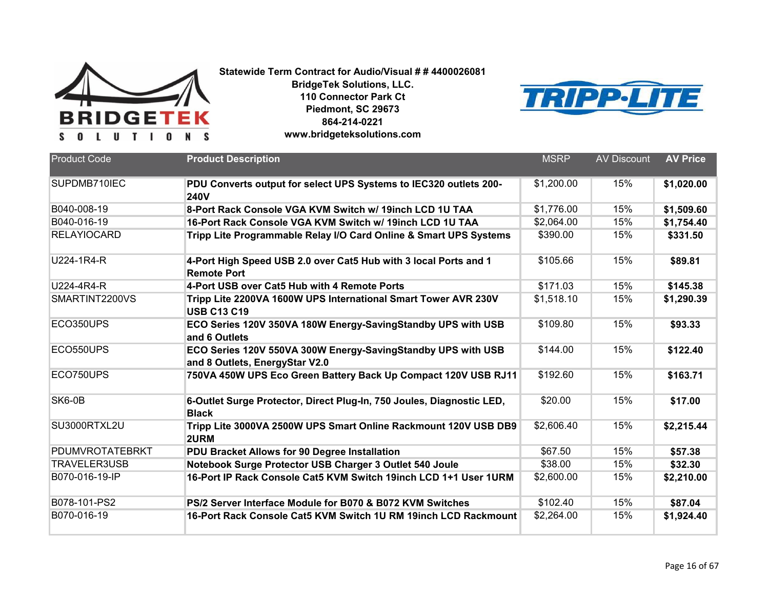



| <b>Product Code</b> | <b>Product Description</b>                                                                     | <b>MSRP</b> | <b>AV Discount</b> | <b>AV Price</b> |
|---------------------|------------------------------------------------------------------------------------------------|-------------|--------------------|-----------------|
| SUPDMB710IEC        | PDU Converts output for select UPS Systems to IEC320 outlets 200-<br><b>240V</b>               | \$1,200.00  | 15%                | \$1,020.00      |
| B040-008-19         | 8-Port Rack Console VGA KVM Switch w/ 19inch LCD 1U TAA                                        | \$1,776.00  | 15%                | \$1,509.60      |
| B040-016-19         | 16-Port Rack Console VGA KVM Switch w/ 19inch LCD 1U TAA                                       | \$2,064.00  | 15%                | \$1,754.40      |
| <b>RELAYIOCARD</b>  | Tripp Lite Programmable Relay I/O Card Online & Smart UPS Systems                              | \$390.00    | 15%                | \$331.50        |
| U224-1R4-R          | 4-Port High Speed USB 2.0 over Cat5 Hub with 3 local Ports and 1<br><b>Remote Port</b>         | \$105.66    | 15%                | \$89.81         |
| U224-4R4-R          | 4-Port USB over Cat5 Hub with 4 Remote Ports                                                   | \$171.03    | 15%                | \$145.38        |
| SMARTINT2200VS      | Tripp Lite 2200VA 1600W UPS International Smart Tower AVR 230V<br><b>USB C13 C19</b>           | \$1,518.10  | 15%                | \$1,290.39      |
| ECO350UPS           | ECO Series 120V 350VA 180W Energy-SavingStandby UPS with USB<br>and 6 Outlets                  | \$109.80    | 15%                | \$93.33         |
| ECO550UPS           | ECO Series 120V 550VA 300W Energy-SavingStandby UPS with USB<br>and 8 Outlets, EnergyStar V2.0 | \$144.00    | 15%                | \$122.40        |
| ECO750UPS           | 750VA 450W UPS Eco Green Battery Back Up Compact 120V USB RJ11                                 | \$192.60    | 15%                | \$163.71        |
| SK6-0B              | 6-Outlet Surge Protector, Direct Plug-In, 750 Joules, Diagnostic LED,<br><b>Black</b>          | \$20.00     | 15%                | \$17.00         |
| SU3000RTXL2U        | Tripp Lite 3000VA 2500W UPS Smart Online Rackmount 120V USB DB9<br>2URM                        | \$2,606.40  | 15%                | \$2,215.44      |
| PDUMVROTATEBRKT     | PDU Bracket Allows for 90 Degree Installation                                                  | \$67.50     | 15%                | \$57.38         |
| TRAVELER3USB        | Notebook Surge Protector USB Charger 3 Outlet 540 Joule                                        | \$38.00     | 15%                | \$32.30         |
| B070-016-19-IP      | 16-Port IP Rack Console Cat5 KVM Switch 19inch LCD 1+1 User 1URM                               | \$2,600.00  | 15%                | \$2,210.00      |
| B078-101-PS2        | PS/2 Server Interface Module for B070 & B072 KVM Switches                                      | \$102.40    | 15%                | \$87.04         |
| B070-016-19         | 16-Port Rack Console Cat5 KVM Switch 1U RM 19inch LCD Rackmount                                | \$2,264.00  | 15%                | \$1,924.40      |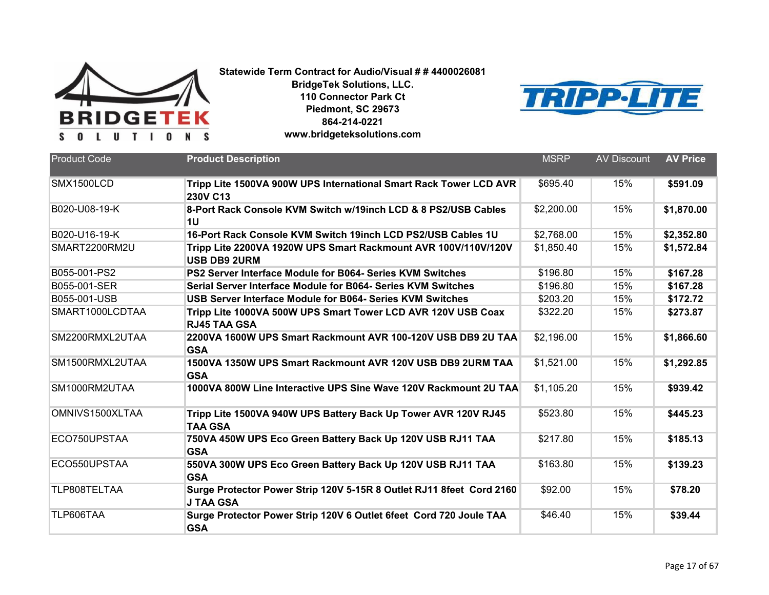

**BridgeTek Solutions, LLC. 110 Connector Park Ct Piedmont, SC 29673 864-214-0221**



**www.bridgeteksolutions.com**

| <b>Product Code</b> | <b>Product Description</b>                                                               | <b>MSRP</b> | <b>AV Discount</b> | <b>AV Price</b> |
|---------------------|------------------------------------------------------------------------------------------|-------------|--------------------|-----------------|
| SMX1500LCD          | Tripp Lite 1500VA 900W UPS International Smart Rack Tower LCD AVR<br>230V C13            | \$695.40    | 15%                | \$591.09        |
| B020-U08-19-K       | 8-Port Rack Console KVM Switch w/19inch LCD & 8 PS2/USB Cables<br>1U                     | \$2,200.00  | 15%                | \$1,870.00      |
| B020-U16-19-K       | 16-Port Rack Console KVM Switch 19inch LCD PS2/USB Cables 1U                             | \$2,768.00  | 15%                | \$2,352.80      |
| SMART2200RM2U       | Tripp Lite 2200VA 1920W UPS Smart Rackmount AVR 100V/110V/120V<br><b>USB DB9 2URM</b>    | \$1,850.40  | 15%                | \$1,572.84      |
| B055-001-PS2        | PS2 Server Interface Module for B064- Series KVM Switches                                | \$196.80    | 15%                | \$167.28        |
| B055-001-SER        | Serial Server Interface Module for B064- Series KVM Switches                             | \$196.80    | 15%                | \$167.28        |
| B055-001-USB        | USB Server Interface Module for B064- Series KVM Switches                                | \$203.20    | 15%                | \$172.72        |
| SMART1000LCDTAA     | Tripp Lite 1000VA 500W UPS Smart Tower LCD AVR 120V USB Coax<br><b>RJ45 TAA GSA</b>      | \$322.20    | 15%                | \$273.87        |
| SM2200RMXL2UTAA     | 2200VA 1600W UPS Smart Rackmount AVR 100-120V USB DB9 2U TAA<br><b>GSA</b>               | \$2,196.00  | 15%                | \$1,866.60      |
| SM1500RMXL2UTAA     | 1500VA 1350W UPS Smart Rackmount AVR 120V USB DB9 2URM TAA<br><b>GSA</b>                 | \$1,521.00  | 15%                | \$1,292.85      |
| SM1000RM2UTAA       | 1000VA 800W Line Interactive UPS Sine Wave 120V Rackmount 2U TAA                         | \$1,105.20  | 15%                | \$939.42        |
| OMNIVS1500XLTAA     | Tripp Lite 1500VA 940W UPS Battery Back Up Tower AVR 120V RJ45<br><b>TAA GSA</b>         | \$523.80    | 15%                | \$445.23        |
| ECO750UPSTAA        | 750VA 450W UPS Eco Green Battery Back Up 120V USB RJ11 TAA<br><b>GSA</b>                 | \$217.80    | 15%                | \$185.13        |
| ECO550UPSTAA        | 550VA 300W UPS Eco Green Battery Back Up 120V USB RJ11 TAA<br><b>GSA</b>                 | \$163.80    | 15%                | \$139.23        |
| TLP808TELTAA        | Surge Protector Power Strip 120V 5-15R 8 Outlet RJ11 8feet Cord 2160<br><b>J TAA GSA</b> | \$92.00     | 15%                | \$78.20         |
| TLP606TAA           | Surge Protector Power Strip 120V 6 Outlet 6feet Cord 720 Joule TAA<br><b>GSA</b>         | \$46.40     | 15%                | \$39.44         |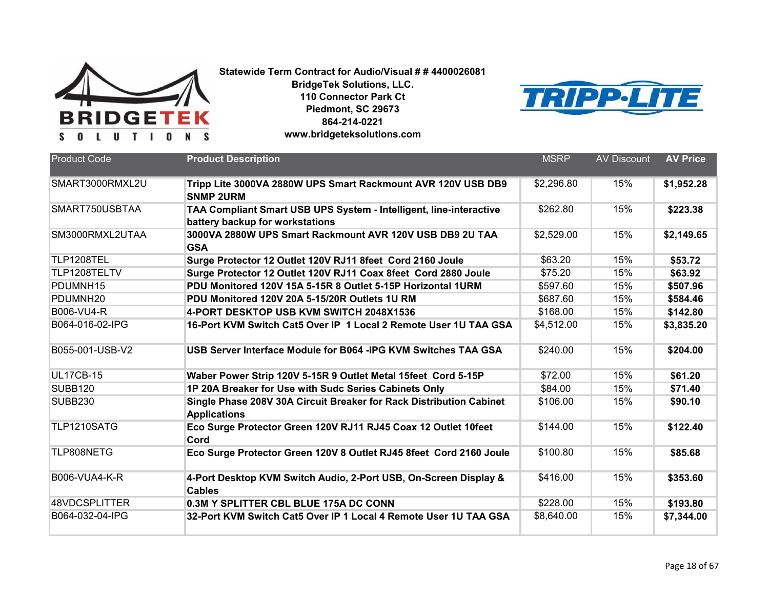

**BridgeTek Solutions, LLC. 110 Connector Park Ct Piedmont, SC 29673 864-214-0221**



**www.bridgeteksolutions.com**

| <b>Product Code</b>  | <b>Product Description</b>                                                                            | <b>MSRP</b> | <b>AV Discount</b> | <b>AV Price</b> |
|----------------------|-------------------------------------------------------------------------------------------------------|-------------|--------------------|-----------------|
| SMART3000RMXL2U      | Tripp Lite 3000VA 2880W UPS Smart Rackmount AVR 120V USB DB9<br><b>SNMP 2URM</b>                      | \$2,296.80  | 15%                | \$1,952.28      |
| SMART750USBTAA       | TAA Compliant Smart USB UPS System - Intelligent, line-interactive<br>battery backup for workstations | \$262.80    | 15%                | \$223.38        |
| SM3000RMXL2UTAA      | 3000VA 2880W UPS Smart Rackmount AVR 120V USB DB9 2U TAA<br><b>GSA</b>                                | \$2,529.00  | 15%                | \$2,149.65      |
| TLP1208TEL           | Surge Protector 12 Outlet 120V RJ11 8feet Cord 2160 Joule                                             | \$63.20     | 15%                | \$53.72         |
| TLP1208TELTV         | Surge Protector 12 Outlet 120V RJ11 Coax 8feet Cord 2880 Joule                                        | \$75.20     | 15%                | \$63.92         |
| PDUMNH15             | PDU Monitored 120V 15A 5-15R 8 Outlet 5-15P Horizontal 1URM                                           | \$597.60    | 15%                | \$507.96        |
| PDUMNH20             | PDU Monitored 120V 20A 5-15/20R Outlets 1U RM                                                         | \$687.60    | 15%                | \$584.46        |
| B006-VU4-R           | 4-PORT DESKTOP USB KVM SWITCH 2048X1536                                                               | \$168.00    | 15%                | \$142.80        |
| B064-016-02-IPG      | 16-Port KVM Switch Cat5 Over IP 1 Local 2 Remote User 1U TAA GSA                                      | \$4,512.00  | 15%                | \$3,835.20      |
| B055-001-USB-V2      | USB Server Interface Module for B064 - IPG KVM Switches TAA GSA                                       | \$240.00    | 15%                | \$204.00        |
| <b>UL17CB-15</b>     | Waber Power Strip 120V 5-15R 9 Outlet Metal 15feet Cord 5-15P                                         | \$72.00     | 15%                | \$61.20         |
| <b>SUBB120</b>       | 1P 20A Breaker for Use with Sudc Series Cabinets Only                                                 | \$84.00     | 15%                | \$71.40         |
| <b>SUBB230</b>       | Single Phase 208V 30A Circuit Breaker for Rack Distribution Cabinet<br><b>Applications</b>            | \$106.00    | 15%                | \$90.10         |
| TLP1210SATG          | Eco Surge Protector Green 120V RJ11 RJ45 Coax 12 Outlet 10feet<br>Cord                                | \$144.00    | 15%                | \$122.40        |
| TLP808NETG           | Eco Surge Protector Green 120V 8 Outlet RJ45 8feet Cord 2160 Joule                                    | \$100.80    | 15%                | \$85.68         |
| <b>B006-VUA4-K-R</b> | 4-Port Desktop KVM Switch Audio, 2-Port USB, On-Screen Display &<br><b>Cables</b>                     | \$416.00    | 15%                | \$353.60        |
| 48VDCSPLITTER        | 0.3M Y SPLITTER CBL BLUE 175A DC CONN                                                                 | \$228.00    | 15%                | \$193.80        |
| B064-032-04-IPG      | 32-Port KVM Switch Cat5 Over IP 1 Local 4 Remote User 1U TAA GSA                                      | \$8,640.00  | 15%                | \$7,344.00      |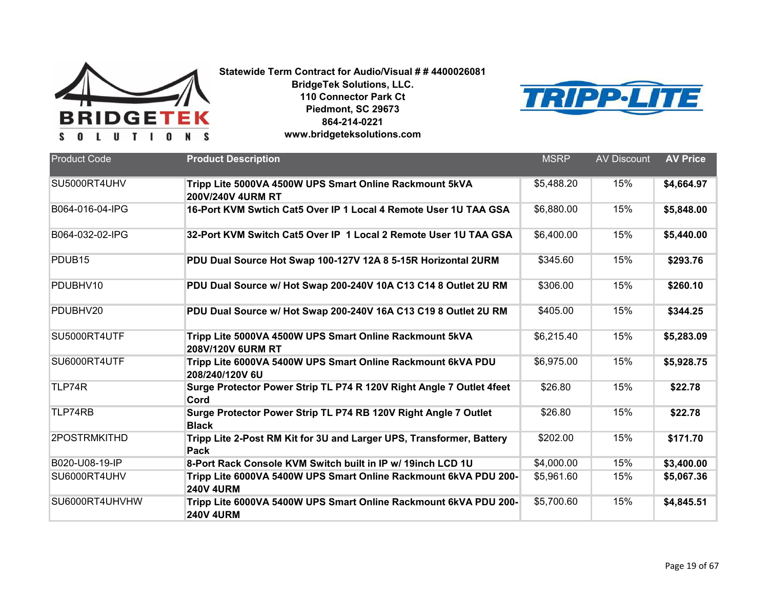



| <b>Product Code</b> | <b>Product Description</b>                                                           | <b>MSRP</b> | <b>AV Discount</b> | <b>AV Price</b> |
|---------------------|--------------------------------------------------------------------------------------|-------------|--------------------|-----------------|
| SU5000RT4UHV        | Tripp Lite 5000VA 4500W UPS Smart Online Rackmount 5kVA<br>200V/240V 4URM RT         | \$5,488.20  | 15%                | \$4,664.97      |
| B064-016-04-IPG     | 16-Port KVM Swtich Cat5 Over IP 1 Local 4 Remote User 1U TAA GSA                     | \$6,880.00  | 15%                | \$5,848.00      |
| B064-032-02-IPG     | 32-Port KVM Switch Cat5 Over IP 1 Local 2 Remote User 1U TAA GSA                     | \$6,400.00  | 15%                | \$5,440.00      |
| PDUB <sub>15</sub>  | PDU Dual Source Hot Swap 100-127V 12A 8 5-15R Horizontal 2URM                        | \$345.60    | 15%                | \$293.76        |
| PDUBHV10            | PDU Dual Source w/ Hot Swap 200-240V 10A C13 C14 8 Outlet 2U RM                      | \$306.00    | 15%                | \$260.10        |
| PDUBHV20            | PDU Dual Source w/ Hot Swap 200-240V 16A C13 C19 8 Outlet 2U RM                      | \$405.00    | 15%                | \$344.25        |
| SU5000RT4UTF        | Tripp Lite 5000VA 4500W UPS Smart Online Rackmount 5kVA<br>208V/120V 6URM RT         | \$6,215.40  | 15%                | \$5,283.09      |
| SU6000RT4UTF        | Tripp Lite 6000VA 5400W UPS Smart Online Rackmount 6kVA PDU<br>208/240/120V 6U       | \$6,975.00  | 15%                | \$5,928.75      |
| TLP74R              | Surge Protector Power Strip TL P74 R 120V Right Angle 7 Outlet 4feet<br>Cord         | \$26.80     | 15%                | \$22.78         |
| TLP74RB             | Surge Protector Power Strip TL P74 RB 120V Right Angle 7 Outlet<br><b>Black</b>      | \$26.80     | 15%                | \$22.78         |
| 2POSTRMKITHD        | Tripp Lite 2-Post RM Kit for 3U and Larger UPS, Transformer, Battery<br>Pack         | \$202.00    | 15%                | \$171.70        |
| B020-U08-19-IP      | 8-Port Rack Console KVM Switch built in IP w/ 19inch LCD 1U                          | \$4,000.00  | 15%                | \$3,400.00      |
| SU6000RT4UHV        | Tripp Lite 6000VA 5400W UPS Smart Online Rackmount 6kVA PDU 200-<br><b>240V 4URM</b> | \$5,961.60  | 15%                | \$5,067.36      |
| SU6000RT4UHVHW      | Tripp Lite 6000VA 5400W UPS Smart Online Rackmount 6kVA PDU 200-<br><b>240V 4URM</b> | \$5,700.60  | 15%                | \$4,845.51      |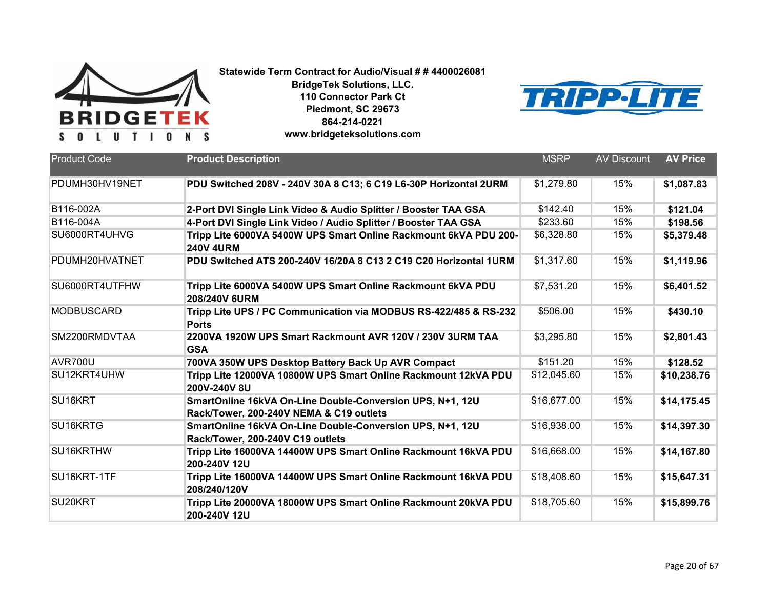



| <b>Product Code</b> | <b>Product Description</b>                                                                           | <b>MSRP</b> | <b>AV Discount</b> | <b>AV Price</b> |
|---------------------|------------------------------------------------------------------------------------------------------|-------------|--------------------|-----------------|
| PDUMH30HV19NET      | PDU Switched 208V - 240V 30A 8 C13; 6 C19 L6-30P Horizontal 2URM                                     | \$1,279.80  | 15%                | \$1,087.83      |
| B116-002A           | 2-Port DVI Single Link Video & Audio Splitter / Booster TAA GSA                                      | \$142.40    | 15%                | \$121.04        |
| B116-004A           | 4-Port DVI Single Link Video / Audio Splitter / Booster TAA GSA                                      | \$233.60    | 15%                | \$198.56        |
| SU6000RT4UHVG       | Tripp Lite 6000VA 5400W UPS Smart Online Rackmount 6kVA PDU 200-<br><b>240V 4URM</b>                 | \$6,328.80  | 15%                | \$5,379.48      |
| PDUMH20HVATNET      | PDU Switched ATS 200-240V 16/20A 8 C13 2 C19 C20 Horizontal 1URM                                     | \$1,317.60  | 15%                | \$1,119.96      |
| SU6000RT4UTFHW      | Tripp Lite 6000VA 5400W UPS Smart Online Rackmount 6kVA PDU<br>208/240V 6URM                         | \$7,531.20  | 15%                | \$6,401.52      |
| <b>MODBUSCARD</b>   | Tripp Lite UPS / PC Communication via MODBUS RS-422/485 & RS-232<br><b>Ports</b>                     | \$506.00    | 15%                | \$430.10        |
| SM2200RMDVTAA       | 2200VA 1920W UPS Smart Rackmount AVR 120V / 230V 3URM TAA<br><b>GSA</b>                              | \$3,295.80  | 15%                | \$2,801.43      |
| <b>AVR700U</b>      | 700VA 350W UPS Desktop Battery Back Up AVR Compact                                                   | \$151.20    | 15%                | \$128.52        |
| SU12KRT4UHW         | Tripp Lite 12000VA 10800W UPS Smart Online Rackmount 12kVA PDU<br>200V-240V 8U                       | \$12,045.60 | 15%                | \$10,238.76     |
| SU16KRT             | SmartOnline 16kVA On-Line Double-Conversion UPS, N+1, 12U<br>Rack/Tower, 200-240V NEMA & C19 outlets | \$16,677.00 | 15%                | \$14,175.45     |
| SU16KRTG            | SmartOnline 16kVA On-Line Double-Conversion UPS, N+1, 12U<br>Rack/Tower, 200-240V C19 outlets        | \$16,938.00 | 15%                | \$14,397.30     |
| SU16KRTHW           | Tripp Lite 16000VA 14400W UPS Smart Online Rackmount 16kVA PDU<br>200-240V 12U                       | \$16,668.00 | 15%                | \$14,167.80     |
| SU16KRT-1TF         | Tripp Lite 16000VA 14400W UPS Smart Online Rackmount 16kVA PDU<br>208/240/120V                       | \$18,408.60 | 15%                | \$15,647.31     |
| SU20KRT             | Tripp Lite 20000VA 18000W UPS Smart Online Rackmount 20kVA PDU<br>200-240V 12U                       | \$18,705.60 | 15%                | \$15,899.76     |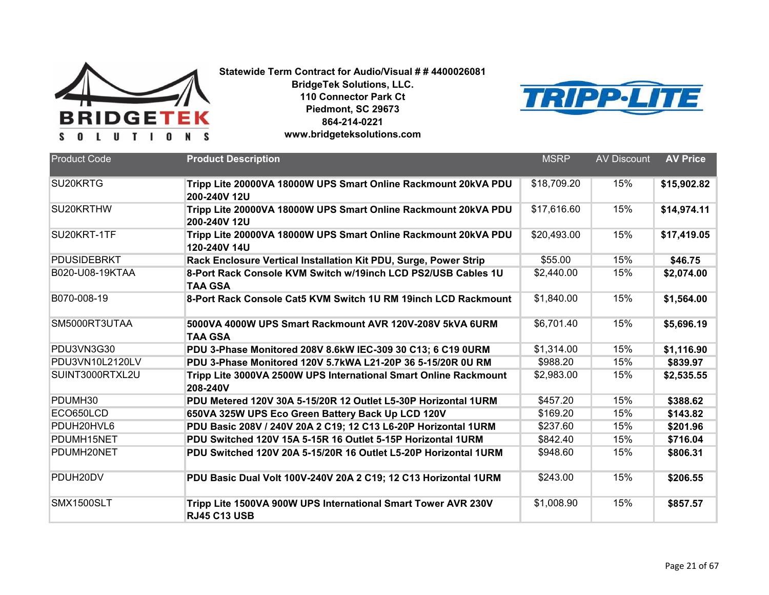

**BridgeTek Solutions, LLC. 110 Connector Park Ct Piedmont, SC 29673 864-214-0221**



| www.bridgeteksolutions.com |
|----------------------------|
|----------------------------|

| <b>Product Code</b> | <b>Product Description</b>                                                           | <b>MSRP</b> | <b>AV Discount</b> | <b>AV Price</b> |
|---------------------|--------------------------------------------------------------------------------------|-------------|--------------------|-----------------|
| SU20KRTG            | Tripp Lite 20000VA 18000W UPS Smart Online Rackmount 20kVA PDU<br>200-240V 12U       | \$18,709.20 | 15%                | \$15,902.82     |
| SU20KRTHW           | Tripp Lite 20000VA 18000W UPS Smart Online Rackmount 20kVA PDU<br>200-240V 12U       | \$17,616.60 | 15%                | \$14,974.11     |
| SU20KRT-1TF         | Tripp Lite 20000VA 18000W UPS Smart Online Rackmount 20kVA PDU<br>120-240V 14U       | \$20,493.00 | 15%                | \$17,419.05     |
| <b>PDUSIDEBRKT</b>  | Rack Enclosure Vertical Installation Kit PDU, Surge, Power Strip                     | \$55.00     | 15%                | \$46.75         |
| B020-U08-19KTAA     | 8-Port Rack Console KVM Switch w/19inch LCD PS2/USB Cables 1U<br><b>TAA GSA</b>      | \$2,440.00  | 15%                | \$2,074.00      |
| B070-008-19         | 8-Port Rack Console Cat5 KVM Switch 1U RM 19inch LCD Rackmount                       | \$1,840.00  | 15%                | \$1,564.00      |
| SM5000RT3UTAA       | 5000VA 4000W UPS Smart Rackmount AVR 120V-208V 5kVA 6URM<br><b>TAA GSA</b>           | \$6,701.40  | 15%                | \$5,696.19      |
| PDU3VN3G30          | PDU 3-Phase Monitored 208V 8.6kW IEC-309 30 C13; 6 C19 0URM                          | \$1,314.00  | 15%                | \$1,116.90      |
| PDU3VN10L2120LV     | PDU 3-Phase Monitored 120V 5.7kWA L21-20P 36 5-15/20R 0U RM                          | \$988.20    | 15%                | \$839.97        |
| SUINT3000RTXL2U     | Tripp Lite 3000VA 2500W UPS International Smart Online Rackmount<br>208-240V         | \$2,983.00  | 15%                | \$2,535.55      |
| PDUMH30             | PDU Metered 120V 30A 5-15/20R 12 Outlet L5-30P Horizontal 1URM                       | \$457.20    | 15%                | \$388.62        |
| ECO650LCD           | 650VA 325W UPS Eco Green Battery Back Up LCD 120V                                    | \$169.20    | 15%                | \$143.82        |
| PDUH20HVL6          | PDU Basic 208V / 240V 20A 2 C19; 12 C13 L6-20P Horizontal 1URM                       | \$237.60    | 15%                | \$201.96        |
| PDUMH15NET          | PDU Switched 120V 15A 5-15R 16 Outlet 5-15P Horizontal 1URM                          | \$842.40    | 15%                | \$716.04        |
| PDUMH20NET          | PDU Switched 120V 20A 5-15/20R 16 Outlet L5-20P Horizontal 1URM                      | \$948.60    | 15%                | \$806.31        |
| PDUH20DV            | PDU Basic Dual Volt 100V-240V 20A 2 C19; 12 C13 Horizontal 1URM                      | \$243.00    | 15%                | \$206.55        |
| SMX1500SLT          | Tripp Lite 1500VA 900W UPS International Smart Tower AVR 230V<br><b>RJ45 C13 USB</b> | \$1,008.90  | 15%                | \$857.57        |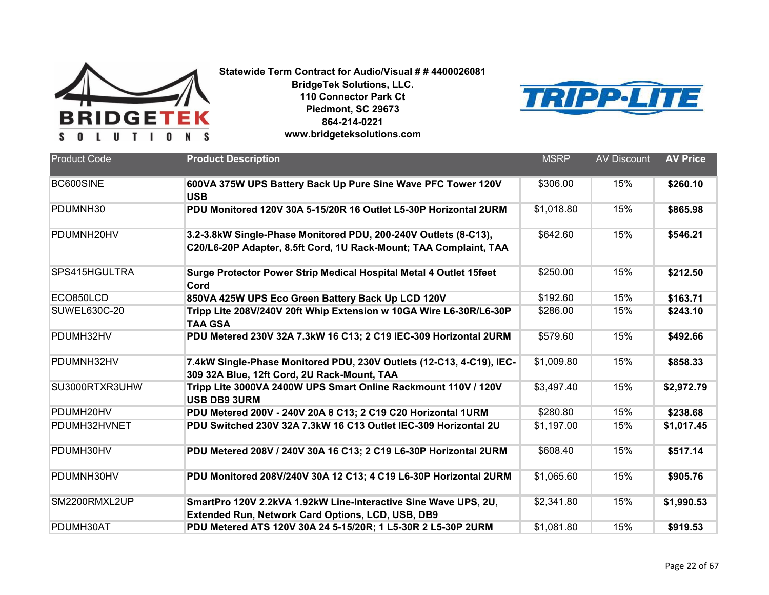



| <b>Product Code</b> | <b>Product Description</b>                                                                                                           | <b>MSRP</b> | <b>AV Discount</b> | <b>AV Price</b> |
|---------------------|--------------------------------------------------------------------------------------------------------------------------------------|-------------|--------------------|-----------------|
|                     |                                                                                                                                      |             |                    |                 |
| BC600SINE           | 600VA 375W UPS Battery Back Up Pure Sine Wave PFC Tower 120V<br><b>USB</b>                                                           | \$306.00    | 15%                | \$260.10        |
| PDUMNH30            | PDU Monitored 120V 30A 5-15/20R 16 Outlet L5-30P Horizontal 2URM                                                                     | \$1,018.80  | 15%                | \$865.98        |
| PDUMNH20HV          | 3.2-3.8kW Single-Phase Monitored PDU, 200-240V Outlets (8-C13),<br>C20/L6-20P Adapter, 8.5ft Cord, 1U Rack-Mount; TAA Complaint, TAA | \$642.60    | 15%                | \$546.21        |
| SPS415HGULTRA       | Surge Protector Power Strip Medical Hospital Metal 4 Outlet 15feet<br>Cord                                                           | \$250.00    | 15%                | \$212.50        |
| ECO850LCD           | 850VA 425W UPS Eco Green Battery Back Up LCD 120V                                                                                    | \$192.60    | 15%                | \$163.71        |
| <b>SUWEL630C-20</b> | Tripp Lite 208V/240V 20ft Whip Extension w 10GA Wire L6-30R/L6-30P<br><b>TAA GSA</b>                                                 | \$286.00    | 15%                | \$243.10        |
| PDUMH32HV           | PDU Metered 230V 32A 7.3kW 16 C13; 2 C19 IEC-309 Horizontal 2URM                                                                     | \$579.60    | 15%                | \$492.66        |
| PDUMNH32HV          | 7.4kW Single-Phase Monitored PDU, 230V Outlets (12-C13, 4-C19), IEC-<br>309 32A Blue, 12ft Cord, 2U Rack-Mount, TAA                  | \$1,009.80  | 15%                | \$858.33        |
| SU3000RTXR3UHW      | Tripp Lite 3000VA 2400W UPS Smart Online Rackmount 110V / 120V<br><b>USB DB9 3URM</b>                                                | \$3,497.40  | 15%                | \$2,972.79      |
| PDUMH20HV           | PDU Metered 200V - 240V 20A 8 C13; 2 C19 C20 Horizontal 1URM                                                                         | \$280.80    | 15%                | \$238.68        |
| PDUMH32HVNET        | PDU Switched 230V 32A 7.3kW 16 C13 Outlet IEC-309 Horizontal 2U                                                                      | \$1,197.00  | 15%                | \$1,017.45      |
| PDUMH30HV           | PDU Metered 208V / 240V 30A 16 C13; 2 C19 L6-30P Horizontal 2URM                                                                     | \$608.40    | 15%                | \$517.14        |
| PDUMNH30HV          | PDU Monitored 208V/240V 30A 12 C13; 4 C19 L6-30P Horizontal 2URM                                                                     | \$1,065.60  | 15%                | \$905.76        |
| SM2200RMXL2UP       | SmartPro 120V 2.2kVA 1.92kW Line-Interactive Sine Wave UPS, 2U,<br><b>Extended Run, Network Card Options, LCD, USB, DB9</b>          | \$2,341.80  | 15%                | \$1,990.53      |
| PDUMH30AT           | PDU Metered ATS 120V 30A 24 5-15/20R; 1 L5-30R 2 L5-30P 2URM                                                                         | \$1,081.80  | 15%                | \$919.53        |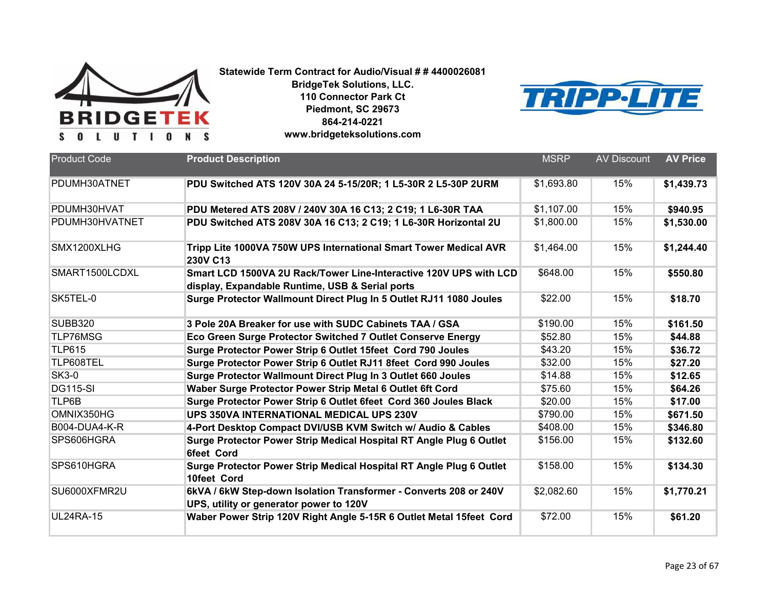



| <b>Product Code</b>  | <b>Product Description</b>                                                                                           | <b>MSRP</b> | <b>AV Discount</b> | <b>AV Price</b> |
|----------------------|----------------------------------------------------------------------------------------------------------------------|-------------|--------------------|-----------------|
| PDUMH30ATNET         | PDU Switched ATS 120V 30A 24 5-15/20R; 1 L5-30R 2 L5-30P 2URM                                                        | \$1.693.80  | 15%                | \$1,439.73      |
| PDUMH30HVAT          | PDU Metered ATS 208V / 240V 30A 16 C13; 2 C19; 1 L6-30R TAA                                                          | \$1,107.00  | 15%                | \$940.95        |
| PDUMH30HVATNET       | PDU Switched ATS 208V 30A 16 C13; 2 C19; 1 L6-30R Horizontal 2U                                                      | \$1,800.00  | 15%                | \$1,530.00      |
| SMX1200XLHG          | Tripp Lite 1000VA 750W UPS International Smart Tower Medical AVR<br><b>230V C13</b>                                  | \$1,464.00  | 15%                | \$1,244.40      |
| SMART1500LCDXL       | Smart LCD 1500VA 2U Rack/Tower Line-Interactive 120V UPS with LCD<br>display, Expandable Runtime, USB & Serial ports | \$648.00    | 15%                | \$550.80        |
| SK5TEL-0             | Surge Protector Wallmount Direct Plug In 5 Outlet RJ11 1080 Joules                                                   | \$22.00     | 15%                | \$18.70         |
| <b>SUBB320</b>       | 3 Pole 20A Breaker for use with SUDC Cabinets TAA / GSA                                                              | \$190.00    | 15%                | \$161.50        |
| TLP76MSG             | Eco Green Surge Protector Switched 7 Outlet Conserve Energy                                                          | \$52.80     | 15%                | \$44.88         |
| <b>TLP615</b>        | Surge Protector Power Strip 6 Outlet 15feet Cord 790 Joules                                                          | \$43.20     | 15%                | \$36.72         |
| TLP608TEL            | Surge Protector Power Strip 6 Outlet RJ11 8feet Cord 990 Joules                                                      | \$32.00     | 15%                | \$27.20         |
| <b>SK3-0</b>         | Surge Protector Wallmount Direct Plug In 3 Outlet 660 Joules                                                         | \$14.88     | 15%                | \$12.65         |
| <b>DG115-SI</b>      | Waber Surge Protector Power Strip Metal 6 Outlet 6ft Cord                                                            | \$75.60     | 15%                | \$64.26         |
| TLP6B                | Surge Protector Power Strip 6 Outlet 6feet Cord 360 Joules Black                                                     | \$20.00     | 15%                | \$17.00         |
| OMNIX350HG           | <b>UPS 350VA INTERNATIONAL MEDICAL UPS 230V</b>                                                                      | \$790.00    | 15%                | \$671.50        |
| <b>B004-DUA4-K-R</b> | 4-Port Desktop Compact DVI/USB KVM Switch w/ Audio & Cables                                                          | \$408.00    | 15%                | \$346.80        |
| SPS606HGRA           | Surge Protector Power Strip Medical Hospital RT Angle Plug 6 Outlet<br><b>6feet Cord</b>                             | \$156.00    | 15%                | \$132.60        |
| SPS610HGRA           | Surge Protector Power Strip Medical Hospital RT Angle Plug 6 Outlet<br>10feet Cord                                   | \$158.00    | 15%                | \$134.30        |
| SU6000XFMR2U         | 6kVA / 6kW Step-down Isolation Transformer - Converts 208 or 240V<br>UPS, utility or generator power to 120V         | \$2,082.60  | 15%                | \$1,770.21      |
| <b>UL24RA-15</b>     | Waber Power Strip 120V Right Angle 5-15R 6 Outlet Metal 15feet Cord                                                  | \$72.00     | 15%                | \$61.20         |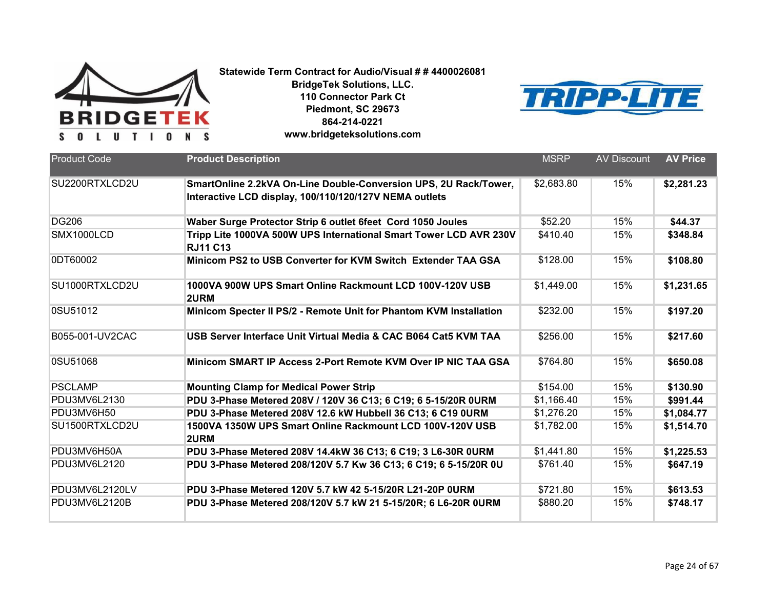



| <b>Product Code</b> | <b>Product Description</b>                                                                                                 | <b>MSRP</b> | <b>AV Discount</b> | <b>AV Price</b> |
|---------------------|----------------------------------------------------------------------------------------------------------------------------|-------------|--------------------|-----------------|
| SU2200RTXLCD2U      | SmartOnline 2.2kVA On-Line Double-Conversion UPS, 2U Rack/Tower,<br>Interactive LCD display, 100/110/120/127V NEMA outlets | \$2,683.80  | 15%                | \$2,281.23      |
| <b>DG206</b>        | Waber Surge Protector Strip 6 outlet 6feet Cord 1050 Joules                                                                | \$52.20     | 15%                | \$44.37         |
| SMX1000LCD          | Tripp Lite 1000VA 500W UPS International Smart Tower LCD AVR 230V<br><b>RJ11 C13</b>                                       | \$410.40    | 15%                | \$348.84        |
| 0DT60002            | Minicom PS2 to USB Converter for KVM Switch Extender TAA GSA                                                               | \$128.00    | 15%                | \$108.80        |
| SU1000RTXLCD2U      | 1000VA 900W UPS Smart Online Rackmount LCD 100V-120V USB<br>2URM                                                           | \$1,449.00  | 15%                | \$1,231.65      |
| 0SU51012            | Minicom Specter II PS/2 - Remote Unit for Phantom KVM Installation                                                         | \$232.00    | 15%                | \$197.20        |
| B055-001-UV2CAC     | USB Server Interface Unit Virtual Media & CAC B064 Cat5 KVM TAA                                                            | \$256.00    | 15%                | \$217.60        |
| 0SU51068            | Minicom SMART IP Access 2-Port Remote KVM Over IP NIC TAA GSA                                                              | \$764.80    | 15%                | \$650.08        |
| <b>PSCLAMP</b>      | <b>Mounting Clamp for Medical Power Strip</b>                                                                              | \$154.00    | 15%                | \$130.90        |
| PDU3MV6L2130        | PDU 3-Phase Metered 208V / 120V 36 C13; 6 C19; 6 5-15/20R 0URM                                                             | \$1,166.40  | 15%                | \$991.44        |
| PDU3MV6H50          | PDU 3-Phase Metered 208V 12.6 kW Hubbell 36 C13; 6 C19 OURM                                                                | \$1,276.20  | 15%                | \$1,084.77      |
| SU1500RTXLCD2U      | 1500VA 1350W UPS Smart Online Rackmount LCD 100V-120V USB<br>2URM                                                          | \$1,782.00  | 15%                | \$1,514.70      |
| PDU3MV6H50A         | PDU 3-Phase Metered 208V 14.4kW 36 C13; 6 C19; 3 L6-30R 0URM                                                               | \$1,441.80  | 15%                | \$1,225.53      |
| PDU3MV6L2120        | PDU 3-Phase Metered 208/120V 5.7 Kw 36 C13; 6 C19; 6 5-15/20R 0U                                                           | \$761.40    | 15%                | \$647.19        |
| PDU3MV6L2120LV      | PDU 3-Phase Metered 120V 5.7 kW 42 5-15/20R L21-20P 0URM                                                                   | \$721.80    | 15%                | \$613.53        |
| PDU3MV6L2120B       | PDU 3-Phase Metered 208/120V 5.7 kW 21 5-15/20R; 6 L6-20R 0URM                                                             | \$880.20    | 15%                | \$748.17        |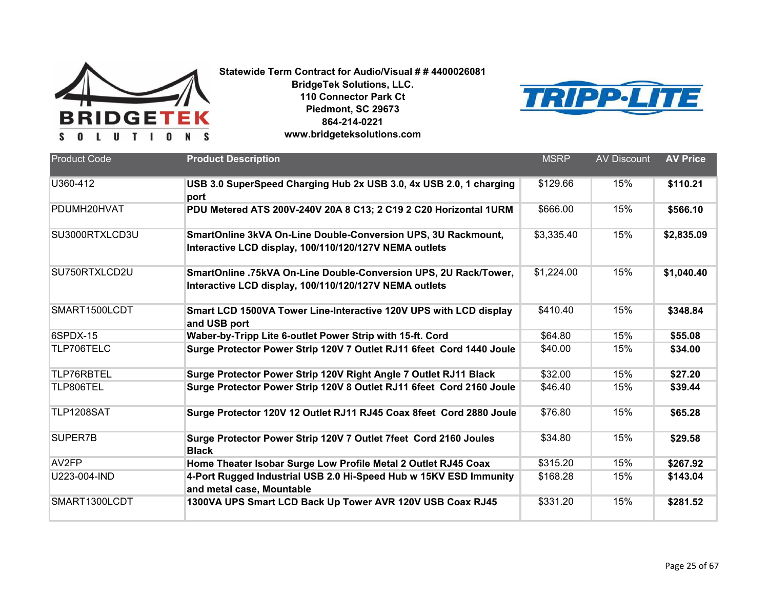



| <b>Product Code</b> | <b>Product Description</b>                                                                                                 | <b>MSRP</b> | <b>AV Discount</b> | <b>AV Price</b> |
|---------------------|----------------------------------------------------------------------------------------------------------------------------|-------------|--------------------|-----------------|
|                     |                                                                                                                            |             |                    |                 |
| U360-412            | USB 3.0 SuperSpeed Charging Hub 2x USB 3.0, 4x USB 2.0, 1 charging<br>port                                                 | \$129.66    | 15%                | \$110.21        |
| PDUMH20HVAT         | PDU Metered ATS 200V-240V 20A 8 C13; 2 C19 2 C20 Horizontal 1URM                                                           | \$666.00    | 15%                | \$566.10        |
| SU3000RTXLCD3U      | SmartOnline 3kVA On-Line Double-Conversion UPS, 3U Rackmount,<br>Interactive LCD display, 100/110/120/127V NEMA outlets    | \$3,335.40  | 15%                | \$2,835.09      |
| SU750RTXLCD2U       | SmartOnline .75kVA On-Line Double-Conversion UPS, 2U Rack/Tower,<br>Interactive LCD display, 100/110/120/127V NEMA outlets | \$1,224.00  | 15%                | \$1,040.40      |
| SMART1500LCDT       | Smart LCD 1500VA Tower Line-Interactive 120V UPS with LCD display<br>and USB port                                          | \$410.40    | 15%                | \$348.84        |
| 6SPDX-15            | Waber-by-Tripp Lite 6-outlet Power Strip with 15-ft. Cord                                                                  | \$64.80     | 15%                | \$55.08         |
| TLP706TELC          | Surge Protector Power Strip 120V 7 Outlet RJ11 6feet Cord 1440 Joule                                                       | \$40.00     | 15%                | \$34.00         |
| TLP76RBTEL          | Surge Protector Power Strip 120V Right Angle 7 Outlet RJ11 Black                                                           | \$32.00     | 15%                | \$27.20         |
| TLP806TEL           | Surge Protector Power Strip 120V 8 Outlet RJ11 6feet Cord 2160 Joule                                                       | \$46.40     | 15%                | \$39.44         |
| TLP1208SAT          | Surge Protector 120V 12 Outlet RJ11 RJ45 Coax 8feet Cord 2880 Joule                                                        | \$76.80     | 15%                | \$65.28         |
| SUPER7B             | Surge Protector Power Strip 120V 7 Outlet 7feet Cord 2160 Joules<br><b>Black</b>                                           | \$34.80     | 15%                | \$29.58         |
| AV <sub>2FP</sub>   | Home Theater Isobar Surge Low Profile Metal 2 Outlet RJ45 Coax                                                             | \$315.20    | 15%                | \$267.92        |
| U223-004-IND        | 4-Port Rugged Industrial USB 2.0 Hi-Speed Hub w 15KV ESD Immunity<br>and metal case, Mountable                             | \$168.28    | 15%                | \$143.04        |
| SMART1300LCDT       | 1300VA UPS Smart LCD Back Up Tower AVR 120V USB Coax RJ45                                                                  | \$331.20    | 15%                | \$281.52        |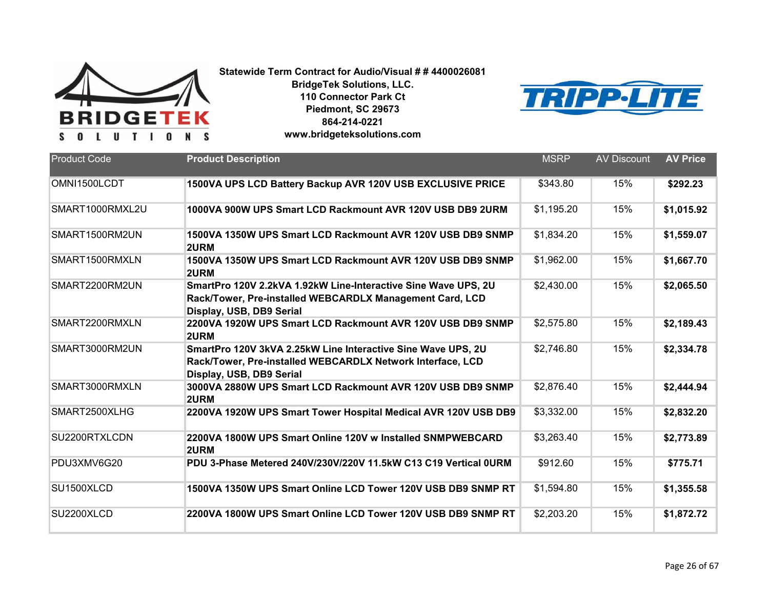



| <b>Product Code</b> | <b>Product Description</b>                                                                                                                             | <b>MSRP</b> | <b>AV Discount</b> | <b>AV Price</b> |
|---------------------|--------------------------------------------------------------------------------------------------------------------------------------------------------|-------------|--------------------|-----------------|
| OMNI1500LCDT        | 1500VA UPS LCD Battery Backup AVR 120V USB EXCLUSIVE PRICE                                                                                             | \$343.80    | 15%                | \$292.23        |
| SMART1000RMXL2U     | 1000VA 900W UPS Smart LCD Rackmount AVR 120V USB DB9 2URM                                                                                              | \$1,195.20  | 15%                | \$1,015.92      |
| SMART1500RM2UN      | 1500VA 1350W UPS Smart LCD Rackmount AVR 120V USB DB9 SNMP<br>2URM                                                                                     | \$1,834.20  | 15%                | \$1,559.07      |
| SMART1500RMXLN      | 1500VA 1350W UPS Smart LCD Rackmount AVR 120V USB DB9 SNMP<br>2URM                                                                                     | \$1,962.00  | 15%                | \$1,667.70      |
| SMART2200RM2UN      | SmartPro 120V 2.2kVA 1.92kW Line-Interactive Sine Wave UPS, 2U<br>Rack/Tower, Pre-installed WEBCARDLX Management Card, LCD<br>Display, USB, DB9 Serial | \$2,430.00  | 15%                | \$2,065.50      |
| SMART2200RMXLN      | 2200VA 1920W UPS Smart LCD Rackmount AVR 120V USB DB9 SNMP<br>2URM                                                                                     | \$2,575.80  | 15%                | \$2,189.43      |
| SMART3000RM2UN      | SmartPro 120V 3kVA 2.25kW Line Interactive Sine Wave UPS, 2U<br>Rack/Tower, Pre-installed WEBCARDLX Network Interface, LCD<br>Display, USB, DB9 Serial | \$2,746.80  | 15%                | \$2,334.78      |
| SMART3000RMXLN      | 3000VA 2880W UPS Smart LCD Rackmount AVR 120V USB DB9 SNMP<br>2URM                                                                                     | \$2,876.40  | 15%                | \$2,444.94      |
| SMART2500XLHG       | 2200VA 1920W UPS Smart Tower Hospital Medical AVR 120V USB DB9                                                                                         | \$3,332.00  | 15%                | \$2,832.20      |
| SU2200RTXLCDN       | 2200VA 1800W UPS Smart Online 120V w Installed SNMPWEBCARD<br>2URM                                                                                     | \$3,263.40  | 15%                | \$2,773.89      |
| PDU3XMV6G20         | PDU 3-Phase Metered 240V/230V/220V 11.5kW C13 C19 Vertical 0URM                                                                                        | \$912.60    | 15%                | \$775.71        |
| SU1500XLCD          | 1500VA 1350W UPS Smart Online LCD Tower 120V USB DB9 SNMP RT                                                                                           | \$1,594.80  | 15%                | \$1,355.58      |
| SU2200XLCD          | 2200VA 1800W UPS Smart Online LCD Tower 120V USB DB9 SNMP RT                                                                                           | \$2,203.20  | 15%                | \$1,872.72      |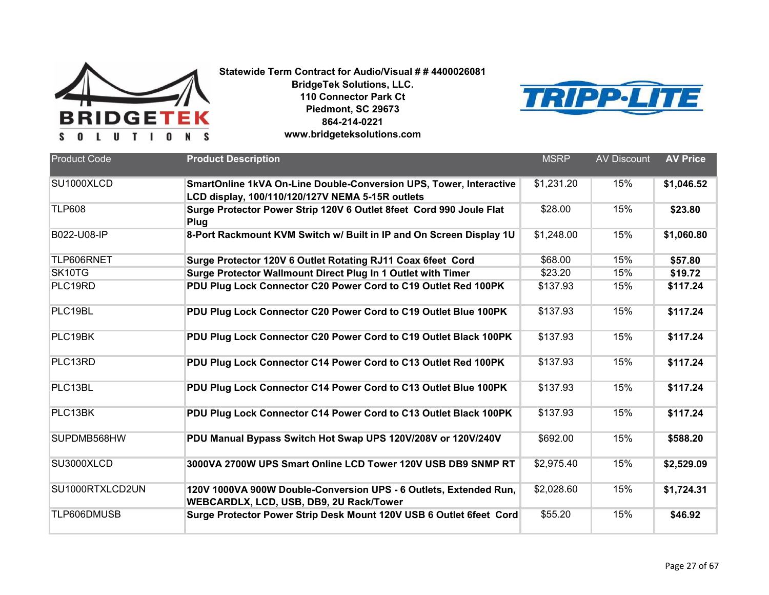



| <b>Product Code</b> | <b>Product Description</b>                                                                                   | <b>MSRP</b> | <b>AV Discount</b> | <b>AV Price</b> |
|---------------------|--------------------------------------------------------------------------------------------------------------|-------------|--------------------|-----------------|
|                     |                                                                                                              |             |                    |                 |
| SU1000XLCD          | SmartOnline 1kVA On-Line Double-Conversion UPS, Tower, Interactive                                           | \$1,231.20  | 15%                | \$1,046.52      |
|                     | LCD display, 100/110/120/127V NEMA 5-15R outlets                                                             |             |                    |                 |
| <b>TLP608</b>       | Surge Protector Power Strip 120V 6 Outlet 8feet Cord 990 Joule Flat<br>Plug                                  | \$28.00     | 15%                | \$23.80         |
| B022-U08-IP         | 8-Port Rackmount KVM Switch w/ Built in IP and On Screen Display 1U                                          | \$1,248.00  | 15%                | \$1,060.80      |
| TLP606RNET          | Surge Protector 120V 6 Outlet Rotating RJ11 Coax 6feet Cord                                                  | \$68.00     | 15%                | \$57.80         |
| SK10TG              | Surge Protector Wallmount Direct Plug In 1 Outlet with Timer                                                 | \$23.20     | 15%                | \$19.72         |
| PLC19RD             | PDU Plug Lock Connector C20 Power Cord to C19 Outlet Red 100PK                                               | \$137.93    | 15%                | \$117.24        |
| PLC19BL             | PDU Plug Lock Connector C20 Power Cord to C19 Outlet Blue 100PK                                              | \$137.93    | 15%                | \$117.24        |
| PLC19BK             | PDU Plug Lock Connector C20 Power Cord to C19 Outlet Black 100PK                                             | \$137.93    | 15%                | \$117.24        |
| PLC13RD             | PDU Plug Lock Connector C14 Power Cord to C13 Outlet Red 100PK                                               | \$137.93    | 15%                | \$117.24        |
| PLC13BL             | PDU Plug Lock Connector C14 Power Cord to C13 Outlet Blue 100PK                                              | \$137.93    | 15%                | \$117.24        |
| PLC13BK             | PDU Plug Lock Connector C14 Power Cord to C13 Outlet Black 100PK                                             | \$137.93    | 15%                | \$117.24        |
| SUPDMB568HW         | PDU Manual Bypass Switch Hot Swap UPS 120V/208V or 120V/240V                                                 | \$692.00    | 15%                | \$588.20        |
| SU3000XLCD          | 3000VA 2700W UPS Smart Online LCD Tower 120V USB DB9 SNMP RT                                                 | \$2,975.40  | 15%                | \$2,529.09      |
| SU1000RTXLCD2UN     | 120V 1000VA 900W Double-Conversion UPS - 6 Outlets, Extended Run,<br>WEBCARDLX, LCD, USB, DB9, 2U Rack/Tower | \$2,028.60  | 15%                | \$1,724.31      |
| TLP606DMUSB         | Surge Protector Power Strip Desk Mount 120V USB 6 Outlet 6feet Cord                                          | \$55.20     | 15%                | \$46.92         |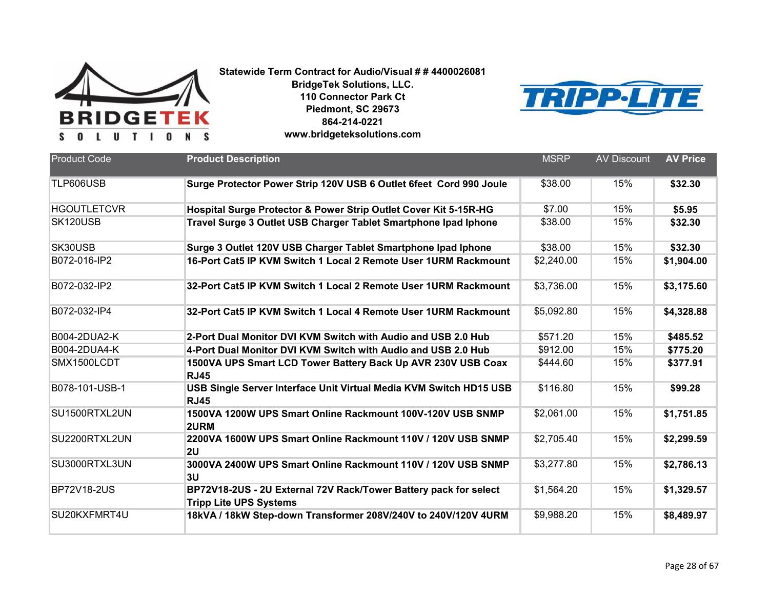



| <b>Product Code</b> | <b>Product Description</b>                                                                        | <b>MSRP</b> | <b>AV Discount</b> | <b>AV Price</b> |
|---------------------|---------------------------------------------------------------------------------------------------|-------------|--------------------|-----------------|
| TLP606USB           | Surge Protector Power Strip 120V USB 6 Outlet 6feet Cord 990 Joule                                | \$38.00     | 15%                | \$32.30         |
| <b>HGOUTLETCVR</b>  | Hospital Surge Protector & Power Strip Outlet Cover Kit 5-15R-HG                                  | \$7.00      | 15%                | \$5.95          |
| SK120USB            | Travel Surge 3 Outlet USB Charger Tablet Smartphone Ipad Iphone                                   | \$38.00     | 15%                | \$32.30         |
| SK30USB             | Surge 3 Outlet 120V USB Charger Tablet Smartphone Ipad Iphone                                     | \$38.00     | 15%                | \$32.30         |
| B072-016-IP2        | 16-Port Cat5 IP KVM Switch 1 Local 2 Remote User 1URM Rackmount                                   | \$2,240.00  | 15%                | \$1,904.00      |
| B072-032-IP2        | 32-Port Cat5 IP KVM Switch 1 Local 2 Remote User 1URM Rackmount                                   | \$3,736.00  | 15%                | \$3,175.60      |
| B072-032-IP4        | 32-Port Cat5 IP KVM Switch 1 Local 4 Remote User 1URM Rackmount                                   | \$5,092.80  | 15%                | \$4,328.88      |
| B004-2DUA2-K        | 2-Port Dual Monitor DVI KVM Switch with Audio and USB 2.0 Hub                                     | \$571.20    | 15%                | \$485.52        |
| B004-2DUA4-K        | 4-Port Dual Monitor DVI KVM Switch with Audio and USB 2.0 Hub                                     | \$912.00    | 15%                | \$775.20        |
| SMX1500LCDT         | 1500VA UPS Smart LCD Tower Battery Back Up AVR 230V USB Coax<br><b>RJ45</b>                       | \$444.60    | 15%                | \$377.91        |
| B078-101-USB-1      | USB Single Server Interface Unit Virtual Media KVM Switch HD15 USB<br><b>RJ45</b>                 | \$116.80    | 15%                | \$99.28         |
| SU1500RTXL2UN       | 1500VA 1200W UPS Smart Online Rackmount 100V-120V USB SNMP<br>2URM                                | \$2,061.00  | 15%                | \$1,751.85      |
| SU2200RTXL2UN       | 2200VA 1600W UPS Smart Online Rackmount 110V / 120V USB SNMP<br>2U                                | \$2,705.40  | 15%                | \$2,299.59      |
| SU3000RTXL3UN       | 3000VA 2400W UPS Smart Online Rackmount 110V / 120V USB SNMP<br>3U                                | \$3,277.80  | 15%                | \$2,786.13      |
| <b>BP72V18-2US</b>  | BP72V18-2US - 2U External 72V Rack/Tower Battery pack for select<br><b>Tripp Lite UPS Systems</b> | \$1,564.20  | 15%                | \$1,329.57      |
| SU20KXFMRT4U        | 18kVA / 18kW Step-down Transformer 208V/240V to 240V/120V 4URM                                    | \$9,988.20  | 15%                | \$8,489.97      |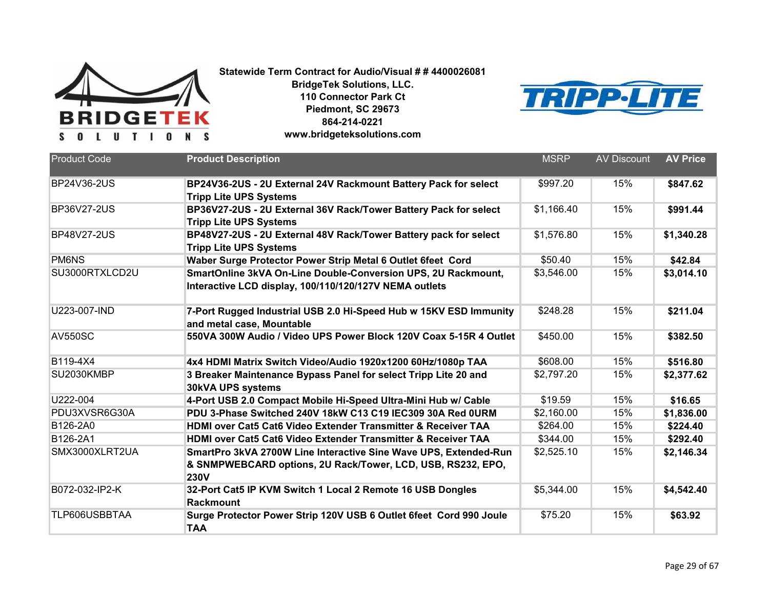



| <b>Product Code</b> | <b>Product Description</b>                                               | <b>MSRP</b> | <b>AV Discount</b> | <b>AV Price</b> |
|---------------------|--------------------------------------------------------------------------|-------------|--------------------|-----------------|
|                     |                                                                          |             |                    |                 |
| BP24V36-2US         | BP24V36-2US - 2U External 24V Rackmount Battery Pack for select          | \$997.20    | 15%                | \$847.62        |
|                     | <b>Tripp Lite UPS Systems</b>                                            |             |                    |                 |
| <b>BP36V27-2US</b>  | BP36V27-2US - 2U External 36V Rack/Tower Battery Pack for select         | \$1,166.40  | 15%                | \$991.44        |
|                     | <b>Tripp Lite UPS Systems</b>                                            |             |                    |                 |
| <b>BP48V27-2US</b>  | BP48V27-2US - 2U External 48V Rack/Tower Battery pack for select         | \$1,576.80  | 15%                | \$1,340.28      |
|                     | <b>Tripp Lite UPS Systems</b>                                            |             |                    |                 |
| <b>PM6NS</b>        | Waber Surge Protector Power Strip Metal 6 Outlet 6feet Cord              | \$50.40     | 15%                | \$42.84         |
| SU3000RTXLCD2U      | SmartOnline 3kVA On-Line Double-Conversion UPS, 2U Rackmount,            | \$3,546.00  | 15%                | \$3,014.10      |
|                     | Interactive LCD display, 100/110/120/127V NEMA outlets                   |             |                    |                 |
| U223-007-IND        | 7-Port Rugged Industrial USB 2.0 Hi-Speed Hub w 15KV ESD Immunity        | \$248.28    | 15%                | \$211.04        |
|                     | and metal case, Mountable                                                |             |                    |                 |
| <b>AV550SC</b>      | 550VA 300W Audio / Video UPS Power Block 120V Coax 5-15R 4 Outlet        | \$450.00    | 15%                | \$382.50        |
|                     |                                                                          |             |                    |                 |
| B119-4X4            | 4x4 HDMI Matrix Switch Video/Audio 1920x1200 60Hz/1080p TAA              | \$608.00    | 15%                | \$516.80        |
| SU2030KMBP          | 3 Breaker Maintenance Bypass Panel for select Tripp Lite 20 and          | \$2,797.20  | 15%                | \$2,377.62      |
|                     | 30kVA UPS systems                                                        |             |                    |                 |
| U222-004            | 4-Port USB 2.0 Compact Mobile Hi-Speed Ultra-Mini Hub w/ Cable           | \$19.59     | 15%                | \$16.65         |
| PDU3XVSR6G30A       | PDU 3-Phase Switched 240V 18kW C13 C19 IEC309 30A Red 0URM               | \$2,160.00  | 15%                | \$1,836.00      |
| B126-2A0            | <b>HDMI over Cat5 Cat6 Video Extender Transmitter &amp; Receiver TAA</b> | \$264.00    | 15%                | \$224.40        |
| B126-2A1            | HDMI over Cat5 Cat6 Video Extender Transmitter & Receiver TAA            | \$344.00    | 15%                | \$292.40        |
| SMX3000XLRT2UA      | SmartPro 3kVA 2700W Line Interactive Sine Wave UPS, Extended-Run         | \$2,525.10  | 15%                | \$2,146.34      |
|                     | & SNMPWEBCARD options, 2U Rack/Tower, LCD, USB, RS232, EPO,              |             |                    |                 |
|                     | <b>230V</b>                                                              |             |                    |                 |
| B072-032-IP2-K      | 32-Port Cat5 IP KVM Switch 1 Local 2 Remote 16 USB Dongles               | \$5,344.00  | 15%                | \$4,542.40      |
|                     | Rackmount                                                                |             |                    |                 |
| TLP606USBBTAA       | Surge Protector Power Strip 120V USB 6 Outlet 6feet Cord 990 Joule       | \$75.20     | 15%                | \$63.92         |
|                     | <b>TAA</b>                                                               |             |                    |                 |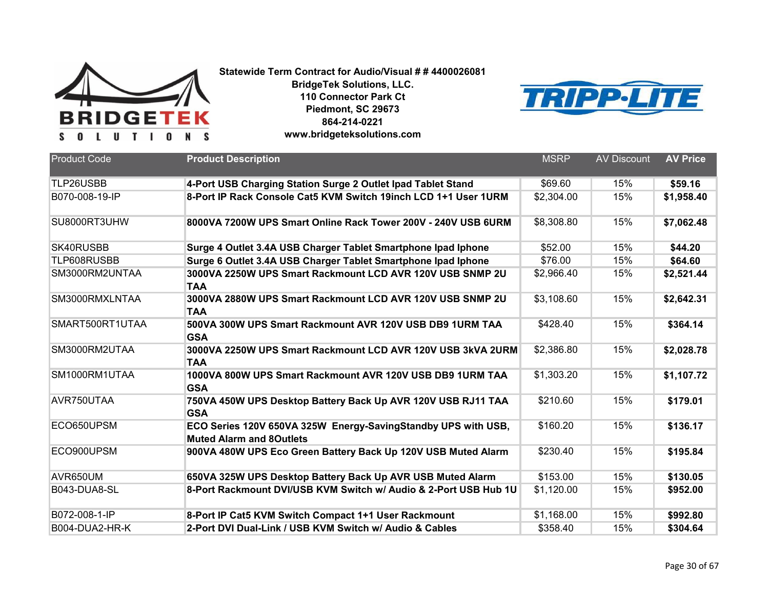



| <b>Product Code</b> | <b>Product Description</b>                                                                       | <b>MSRP</b> | <b>AV Discount</b> | <b>AV Price</b> |
|---------------------|--------------------------------------------------------------------------------------------------|-------------|--------------------|-----------------|
| TLP26USBB           | 4-Port USB Charging Station Surge 2 Outlet Ipad Tablet Stand                                     | \$69.60     | 15%                | \$59.16         |
| B070-008-19-IP      | 8-Port IP Rack Console Cat5 KVM Switch 19inch LCD 1+1 User 1URM                                  | \$2,304.00  | 15%                | \$1,958.40      |
| SU8000RT3UHW        | 8000VA 7200W UPS Smart Online Rack Tower 200V - 240V USB 6URM                                    | \$8,308.80  | 15%                | \$7,062.48      |
| SK40RUSBB           | Surge 4 Outlet 3.4A USB Charger Tablet Smartphone Ipad Iphone                                    | \$52.00     | 15%                | \$44.20         |
| TLP608RUSBB         | Surge 6 Outlet 3.4A USB Charger Tablet Smartphone Ipad Iphone                                    | \$76.00     | 15%                | \$64.60         |
| SM3000RM2UNTAA      | 3000VA 2250W UPS Smart Rackmount LCD AVR 120V USB SNMP 2U<br><b>TAA</b>                          | \$2,966.40  | 15%                | \$2,521.44      |
| SM3000RMXLNTAA      | 3000VA 2880W UPS Smart Rackmount LCD AVR 120V USB SNMP 2U<br><b>TAA</b>                          | \$3,108.60  | 15%                | \$2,642.31      |
| SMART500RT1UTAA     | 500VA 300W UPS Smart Rackmount AVR 120V USB DB9 1URM TAA<br><b>GSA</b>                           | \$428.40    | 15%                | \$364.14        |
| SM3000RM2UTAA       | 3000VA 2250W UPS Smart Rackmount LCD AVR 120V USB 3kVA 2URM<br><b>TAA</b>                        | \$2,386.80  | 15%                | \$2,028.78      |
| SM1000RM1UTAA       | 1000VA 800W UPS Smart Rackmount AVR 120V USB DB9 1URM TAA<br><b>GSA</b>                          | \$1,303.20  | 15%                | \$1,107.72      |
| AVR750UTAA          | 750VA 450W UPS Desktop Battery Back Up AVR 120V USB RJ11 TAA<br><b>GSA</b>                       | \$210.60    | 15%                | \$179.01        |
| ECO650UPSM          | ECO Series 120V 650VA 325W Energy-SavingStandby UPS with USB,<br><b>Muted Alarm and 8Outlets</b> | \$160.20    | 15%                | \$136.17        |
| ECO900UPSM          | 900VA 480W UPS Eco Green Battery Back Up 120V USB Muted Alarm                                    | \$230.40    | 15%                | \$195.84        |
| AVR650UM            | 650VA 325W UPS Desktop Battery Back Up AVR USB Muted Alarm                                       | \$153.00    | 15%                | \$130.05        |
| B043-DUA8-SL        | 8-Port Rackmount DVI/USB KVM Switch w/ Audio & 2-Port USB Hub 1U                                 | \$1,120.00  | 15%                | \$952.00        |
| B072-008-1-IP       | 8-Port IP Cat5 KVM Switch Compact 1+1 User Rackmount                                             | \$1,168.00  | 15%                | \$992.80        |
| B004-DUA2-HR-K      | 2-Port DVI Dual-Link / USB KVM Switch w/ Audio & Cables                                          | \$358.40    | 15%                | \$304.64        |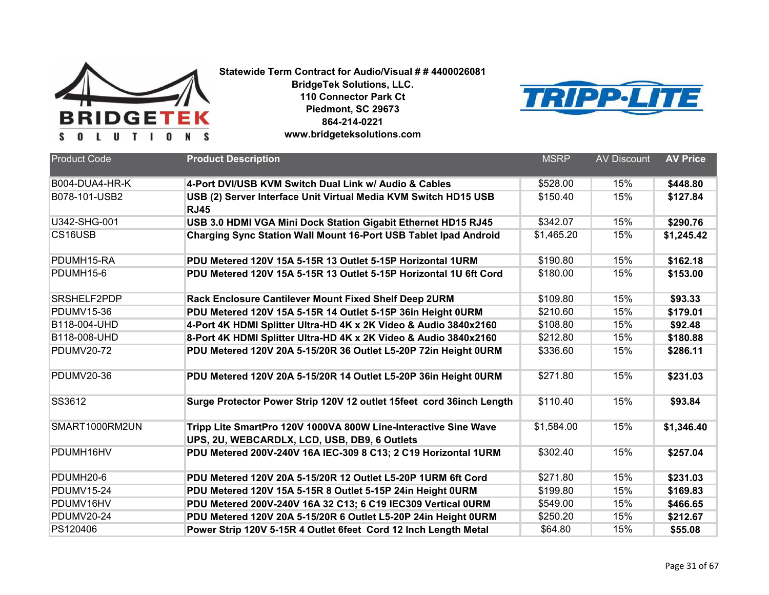



| <b>Product Code</b> | <b>Product Description</b>                                                                                      | <b>MSRP</b> | <b>AV Discount</b> | <b>AV Price</b> |
|---------------------|-----------------------------------------------------------------------------------------------------------------|-------------|--------------------|-----------------|
| B004-DUA4-HR-K      | 4-Port DVI/USB KVM Switch Dual Link w/ Audio & Cables                                                           | \$528.00    | 15%                | \$448.80        |
| B078-101-USB2       | USB (2) Server Interface Unit Virtual Media KVM Switch HD15 USB<br><b>RJ45</b>                                  | \$150.40    | 15%                | \$127.84        |
| U342-SHG-001        | USB 3.0 HDMI VGA Mini Dock Station Gigabit Ethernet HD15 RJ45                                                   | \$342.07    | 15%                | \$290.76        |
| CS16USB             | Charging Sync Station Wall Mount 16-Port USB Tablet Ipad Android                                                | \$1,465.20  | 15%                | \$1,245.42      |
| PDUMH15-RA          | PDU Metered 120V 15A 5-15R 13 Outlet 5-15P Horizontal 1URM                                                      | \$190.80    | 15%                | \$162.18        |
| PDUMH15-6           | PDU Metered 120V 15A 5-15R 13 Outlet 5-15P Horizontal 1U 6ft Cord                                               | \$180.00    | 15%                | \$153.00        |
| SRSHELF2PDP         | Rack Enclosure Cantilever Mount Fixed Shelf Deep 2URM                                                           | \$109.80    | 15%                | \$93.33         |
| <b>PDUMV15-36</b>   | PDU Metered 120V 15A 5-15R 14 Outlet 5-15P 36in Height 0URM                                                     | \$210.60    | 15%                | \$179.01        |
| B118-004-UHD        | 4-Port 4K HDMI Splitter Ultra-HD 4K x 2K Video & Audio 3840x2160                                                | \$108.80    | 15%                | \$92.48         |
| B118-008-UHD        | 8-Port 4K HDMI Splitter Ultra-HD 4K x 2K Video & Audio 3840x2160                                                | \$212.80    | 15%                | \$180.88        |
| <b>PDUMV20-72</b>   | PDU Metered 120V 20A 5-15/20R 36 Outlet L5-20P 72in Height 0URM                                                 | \$336.60    | 15%                | \$286.11        |
| <b>PDUMV20-36</b>   | PDU Metered 120V 20A 5-15/20R 14 Outlet L5-20P 36in Height 0URM                                                 | \$271.80    | 15%                | \$231.03        |
| SS3612              | Surge Protector Power Strip 120V 12 outlet 15feet cord 36inch Length                                            | \$110.40    | 15%                | \$93.84         |
| SMART1000RM2UN      | Tripp Lite SmartPro 120V 1000VA 800W Line-Interactive Sine Wave<br>UPS, 2U, WEBCARDLX, LCD, USB, DB9, 6 Outlets | \$1,584.00  | 15%                | \$1,346.40      |
| PDUMH16HV           | PDU Metered 200V-240V 16A IEC-309 8 C13; 2 C19 Horizontal 1URM                                                  | \$302.40    | 15%                | \$257.04        |
| PDUMH20-6           | PDU Metered 120V 20A 5-15/20R 12 Outlet L5-20P 1URM 6ft Cord                                                    | \$271.80    | 15%                | \$231.03        |
| <b>PDUMV15-24</b>   | PDU Metered 120V 15A 5-15R 8 Outlet 5-15P 24in Height 0URM                                                      | \$199.80    | 15%                | \$169.83        |
| PDUMV16HV           | PDU Metered 200V-240V 16A 32 C13; 6 C19 IEC309 Vertical 0URM                                                    | \$549.00    | 15%                | \$466.65        |
| <b>PDUMV20-24</b>   | PDU Metered 120V 20A 5-15/20R 6 Outlet L5-20P 24in Height 0URM                                                  | \$250.20    | 15%                | \$212.67        |
| PS120406            | Power Strip 120V 5-15R 4 Outlet 6feet Cord 12 Inch Length Metal                                                 | \$64.80     | 15%                | \$55.08         |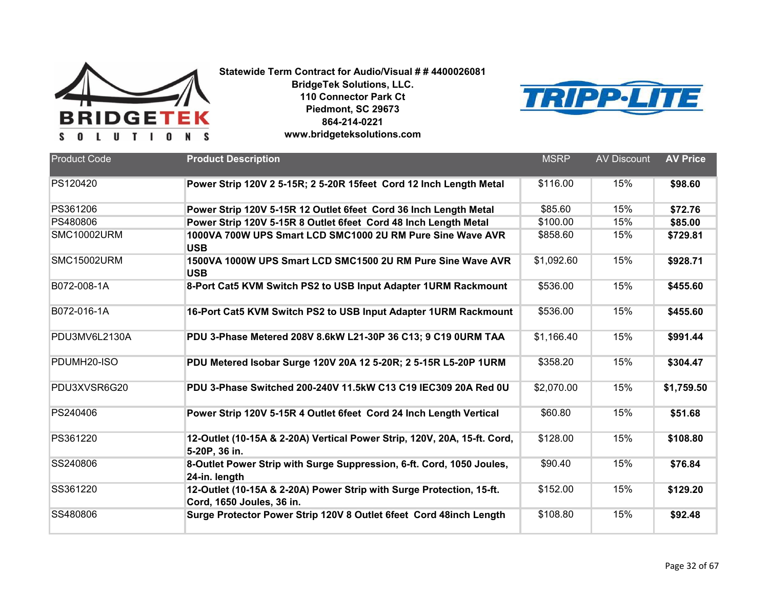



| <b>Product Code</b> | <b>Product Description</b>                                                                        | <b>MSRP</b> | <b>AV Discount</b> | <b>AV Price</b> |
|---------------------|---------------------------------------------------------------------------------------------------|-------------|--------------------|-----------------|
|                     |                                                                                                   |             |                    |                 |
| PS120420            | Power Strip 120V 2 5-15R; 2 5-20R 15feet Cord 12 Inch Length Metal                                | \$116.00    | 15%                | \$98.60         |
| PS361206            | Power Strip 120V 5-15R 12 Outlet 6feet Cord 36 Inch Length Metal                                  | \$85.60     | 15%                | \$72.76         |
| PS480806            | Power Strip 120V 5-15R 8 Outlet 6feet Cord 48 Inch Length Metal                                   | \$100.00    | 15%                | \$85.00         |
| SMC10002URM         | 1000VA 700W UPS Smart LCD SMC1000 2U RM Pure Sine Wave AVR<br><b>USB</b>                          | \$858.60    | 15%                | \$729.81        |
| SMC15002URM         | 1500VA 1000W UPS Smart LCD SMC1500 2U RM Pure Sine Wave AVR<br><b>USB</b>                         | \$1,092.60  | 15%                | \$928.71        |
| B072-008-1A         | 8-Port Cat5 KVM Switch PS2 to USB Input Adapter 1URM Rackmount                                    | \$536.00    | 15%                | \$455.60        |
| B072-016-1A         | 16-Port Cat5 KVM Switch PS2 to USB Input Adapter 1URM Rackmount                                   | \$536.00    | 15%                | \$455.60        |
| PDU3MV6L2130A       | PDU 3-Phase Metered 208V 8.6kW L21-30P 36 C13; 9 C19 0URM TAA                                     | \$1,166.40  | 15%                | \$991.44        |
| PDUMH20-ISO         | PDU Metered Isobar Surge 120V 20A 12 5-20R; 2 5-15R L5-20P 1URM                                   | \$358.20    | 15%                | \$304.47        |
| PDU3XVSR6G20        | PDU 3-Phase Switched 200-240V 11.5kW C13 C19 IEC309 20A Red 0U                                    | \$2,070.00  | 15%                | \$1,759.50      |
| PS240406            | Power Strip 120V 5-15R 4 Outlet 6feet Cord 24 Inch Length Vertical                                | \$60.80     | 15%                | \$51.68         |
| PS361220            | 12-Outlet (10-15A & 2-20A) Vertical Power Strip, 120V, 20A, 15-ft. Cord,<br>5-20P, 36 in.         | \$128.00    | 15%                | \$108.80        |
| SS240806            | 8-Outlet Power Strip with Surge Suppression, 6-ft. Cord, 1050 Joules,<br>24-in. length            | \$90.40     | 15%                | \$76.84         |
| SS361220            | 12-Outlet (10-15A & 2-20A) Power Strip with Surge Protection, 15-ft.<br>Cord, 1650 Joules, 36 in. | \$152.00    | 15%                | \$129.20        |
| SS480806            | Surge Protector Power Strip 120V 8 Outlet 6feet Cord 48inch Length                                | \$108.80    | 15%                | \$92.48         |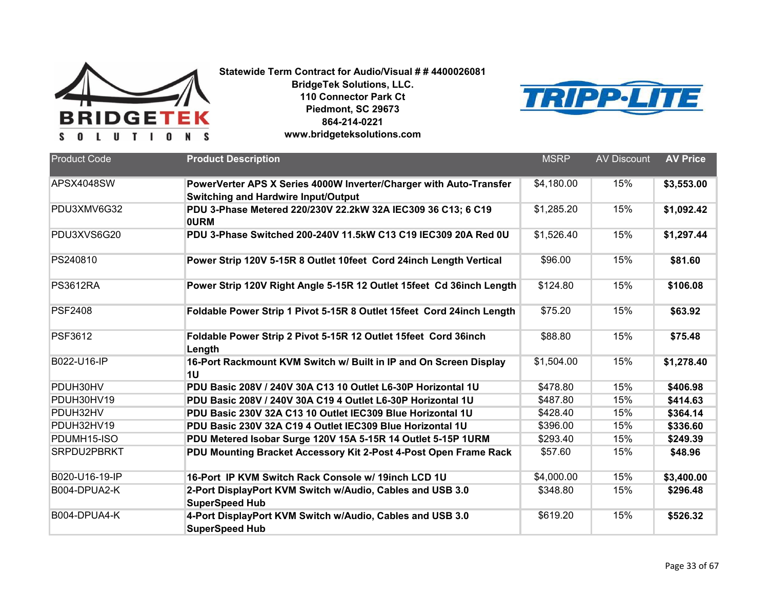



| <b>Product Code</b> | <b>Product Description</b>                                                                                 | <b>MSRP</b> | <b>AV Discount</b> | <b>AV Price</b> |
|---------------------|------------------------------------------------------------------------------------------------------------|-------------|--------------------|-----------------|
|                     |                                                                                                            |             |                    |                 |
| APSX4048SW          | PowerVerter APS X Series 4000W Inverter/Charger with Auto-Transfer                                         | \$4,180.00  | 15%                | \$3,553.00      |
| PDU3XMV6G32         | <b>Switching and Hardwire Input/Output</b><br>PDU 3-Phase Metered 220/230V 22.2kW 32A IEC309 36 C13; 6 C19 | \$1,285.20  | 15%                | \$1,092.42      |
|                     | <b>OURM</b>                                                                                                |             |                    |                 |
| PDU3XVS6G20         | PDU 3-Phase Switched 200-240V 11.5kW C13 C19 IEC309 20A Red 0U                                             | \$1,526.40  | 15%                | \$1,297.44      |
| PS240810            | Power Strip 120V 5-15R 8 Outlet 10feet Cord 24inch Length Vertical                                         | \$96.00     | 15%                | \$81.60         |
| <b>PS3612RA</b>     | Power Strip 120V Right Angle 5-15R 12 Outlet 15feet Cd 36inch Length                                       | \$124.80    | 15%                | \$106.08        |
| <b>PSF2408</b>      | Foldable Power Strip 1 Pivot 5-15R 8 Outlet 15feet Cord 24inch Length                                      | \$75.20     | 15%                | \$63.92         |
| <b>PSF3612</b>      | Foldable Power Strip 2 Pivot 5-15R 12 Outlet 15feet Cord 36inch<br>Length                                  | \$88.80     | 15%                | \$75.48         |
| B022-U16-IP         | 16-Port Rackmount KVM Switch w/ Built in IP and On Screen Display<br>1 <sub>U</sub>                        | \$1,504.00  | 15%                | \$1,278.40      |
| PDUH30HV            | PDU Basic 208V / 240V 30A C13 10 Outlet L6-30P Horizontal 1U                                               | \$478.80    | 15%                | \$406.98        |
| PDUH30HV19          | PDU Basic 208V / 240V 30A C19 4 Outlet L6-30P Horizontal 1U                                                | \$487.80    | 15%                | \$414.63        |
| PDUH32HV            | PDU Basic 230V 32A C13 10 Outlet IEC309 Blue Horizontal 1U                                                 | \$428.40    | 15%                | \$364.14        |
| PDUH32HV19          | PDU Basic 230V 32A C19 4 Outlet IEC309 Blue Horizontal 1U                                                  | \$396.00    | 15%                | \$336.60        |
| PDUMH15-ISO         | PDU Metered Isobar Surge 120V 15A 5-15R 14 Outlet 5-15P 1URM                                               | \$293.40    | 15%                | \$249.39        |
| SRPDU2PBRKT         | PDU Mounting Bracket Accessory Kit 2-Post 4-Post Open Frame Rack                                           | \$57.60     | 15%                | \$48.96         |
| B020-U16-19-IP      | 16-Port IP KVM Switch Rack Console w/ 19inch LCD 1U                                                        | \$4,000.00  | 15%                | \$3,400.00      |
| B004-DPUA2-K        | 2-Port DisplayPort KVM Switch w/Audio, Cables and USB 3.0<br><b>SuperSpeed Hub</b>                         | \$348.80    | 15%                | \$296.48        |
| B004-DPUA4-K        | 4-Port DisplayPort KVM Switch w/Audio, Cables and USB 3.0<br><b>SuperSpeed Hub</b>                         | \$619.20    | 15%                | \$526.32        |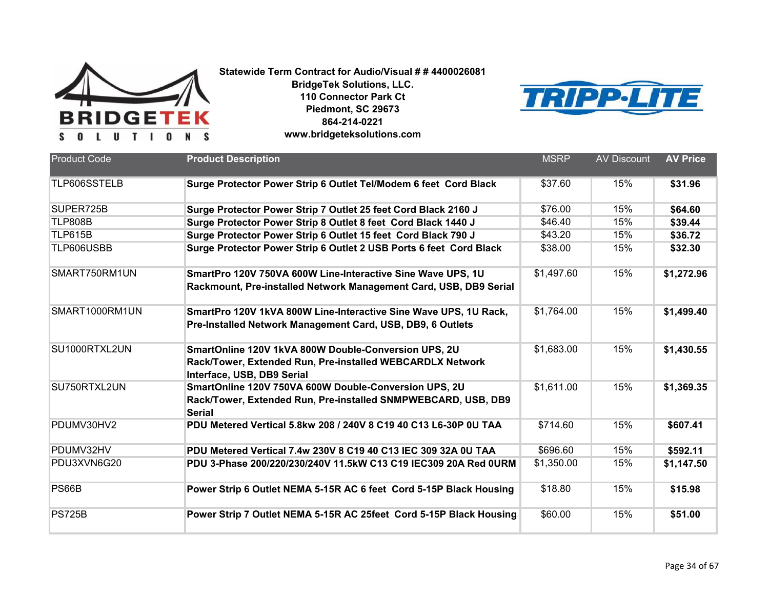



| <b>Product Code</b> | <b>Product Description</b>                                                                                                                      | <b>MSRP</b> | <b>AV Discount</b> | <b>AV Price</b> |
|---------------------|-------------------------------------------------------------------------------------------------------------------------------------------------|-------------|--------------------|-----------------|
|                     |                                                                                                                                                 |             |                    |                 |
| TLP606SSTELB        | Surge Protector Power Strip 6 Outlet Tel/Modem 6 feet Cord Black                                                                                | \$37.60     | 15%                | \$31.96         |
| SUPER725B           | Surge Protector Power Strip 7 Outlet 25 feet Cord Black 2160 J                                                                                  | \$76.00     | 15%                | \$64.60         |
| <b>TLP808B</b>      | Surge Protector Power Strip 8 Outlet 8 feet Cord Black 1440 J                                                                                   | \$46.40     | 15%                | \$39.44         |
| <b>TLP615B</b>      | Surge Protector Power Strip 6 Outlet 15 feet Cord Black 790 J                                                                                   | \$43.20     | 15%                | \$36.72         |
| TLP606USBB          | Surge Protector Power Strip 6 Outlet 2 USB Ports 6 feet Cord Black                                                                              | \$38.00     | 15%                | \$32.30         |
| SMART750RM1UN       | SmartPro 120V 750VA 600W Line-Interactive Sine Wave UPS, 1U<br>Rackmount, Pre-installed Network Management Card, USB, DB9 Serial                | \$1,497.60  | 15%                | \$1,272.96      |
| SMART1000RM1UN      | SmartPro 120V 1kVA 800W Line-Interactive Sine Wave UPS, 1U Rack,<br>Pre-Installed Network Management Card, USB, DB9, 6 Outlets                  | \$1,764.00  | 15%                | \$1,499.40      |
| SU1000RTXL2UN       | SmartOnline 120V 1kVA 800W Double-Conversion UPS, 2U<br>Rack/Tower, Extended Run, Pre-installed WEBCARDLX Network<br>Interface, USB, DB9 Serial | \$1,683.00  | 15%                | \$1,430.55      |
| SU750RTXL2UN        | SmartOnline 120V 750VA 600W Double-Conversion UPS, 2U<br>Rack/Tower, Extended Run, Pre-installed SNMPWEBCARD, USB, DB9<br><b>Serial</b>         | \$1,611.00  | 15%                | \$1,369.35      |
| PDUMV30HV2          | PDU Metered Vertical 5.8kw 208 / 240V 8 C19 40 C13 L6-30P 0U TAA                                                                                | \$714.60    | 15%                | \$607.41        |
| PDUMV32HV           | PDU Metered Vertical 7.4w 230V 8 C19 40 C13 IEC 309 32A 0U TAA                                                                                  | \$696.60    | 15%                | \$592.11        |
| PDU3XVN6G20         | PDU 3-Phase 200/220/230/240V 11.5kW C13 C19 IEC309 20A Red 0URM                                                                                 | \$1,350.00  | 15%                | \$1,147.50      |
| PS66B               | Power Strip 6 Outlet NEMA 5-15R AC 6 feet Cord 5-15P Black Housing                                                                              | \$18.80     | 15%                | \$15.98         |
| <b>PS725B</b>       | Power Strip 7 Outlet NEMA 5-15R AC 25feet Cord 5-15P Black Housing                                                                              | \$60.00     | 15%                | \$51.00         |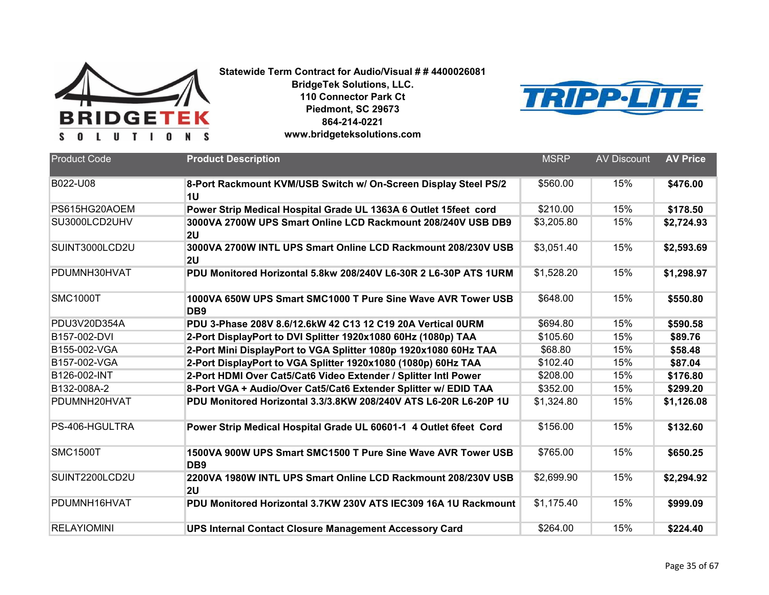

**BridgeTek Solutions, LLC. 110 Connector Park Ct Piedmont, SC 29673 864-214-0221**



**www.bridgeteksolutions.com**

| <b>Product Code</b> | <b>Product Description</b>                                                      | <b>MSRP</b> | <b>AV Discount</b> | <b>AV Price</b> |
|---------------------|---------------------------------------------------------------------------------|-------------|--------------------|-----------------|
| B022-U08            | 8-Port Rackmount KVM/USB Switch w/ On-Screen Display Steel PS/2<br>1U           | \$560.00    | 15%                | \$476.00        |
| PS615HG20AOEM       | Power Strip Medical Hospital Grade UL 1363A 6 Outlet 15feet cord                | \$210.00    | 15%                | \$178.50        |
| SU3000LCD2UHV       | 3000VA 2700W UPS Smart Online LCD Rackmount 208/240V USB DB9<br>2U              | \$3,205.80  | 15%                | \$2,724.93      |
| SUINT3000LCD2U      | 3000VA 2700W INTL UPS Smart Online LCD Rackmount 208/230V USB<br>2 <sub>U</sub> | \$3,051.40  | 15%                | \$2,593.69      |
| PDUMNH30HVAT        | PDU Monitored Horizontal 5.8kw 208/240V L6-30R 2 L6-30P ATS 1URM                | \$1,528.20  | 15%                | \$1,298.97      |
| <b>SMC1000T</b>     | 1000VA 650W UPS Smart SMC1000 T Pure Sine Wave AVR Tower USB<br>DB <sub>9</sub> | \$648.00    | 15%                | \$550.80        |
| PDU3V20D354A        | PDU 3-Phase 208V 8.6/12.6kW 42 C13 12 C19 20A Vertical OURM                     | \$694.80    | 15%                | \$590.58        |
| B157-002-DVI        | 2-Port DisplayPort to DVI Splitter 1920x1080 60Hz (1080p) TAA                   | \$105.60    | 15%                | \$89.76         |
| B155-002-VGA        | 2-Port Mini DisplayPort to VGA Splitter 1080p 1920x1080 60Hz TAA                | \$68.80     | 15%                | \$58.48         |
| B157-002-VGA        | 2-Port DisplayPort to VGA Splitter 1920x1080 (1080p) 60Hz TAA                   | \$102.40    | 15%                | \$87.04         |
| B126-002-INT        | 2-Port HDMI Over Cat5/Cat6 Video Extender / Splitter Intl Power                 | \$208.00    | 15%                | \$176.80        |
| B132-008A-2         | 8-Port VGA + Audio/Over Cat5/Cat6 Extender Splitter w/ EDID TAA                 | \$352.00    | 15%                | \$299.20        |
| PDUMNH20HVAT        | PDU Monitored Horizontal 3.3/3.8KW 208/240V ATS L6-20R L6-20P 1U                | \$1,324.80  | 15%                | \$1,126.08      |
| PS-406-HGULTRA      | Power Strip Medical Hospital Grade UL 60601-1 4 Outlet 6feet Cord               | \$156.00    | 15%                | \$132.60        |
| <b>SMC1500T</b>     | 1500VA 900W UPS Smart SMC1500 T Pure Sine Wave AVR Tower USB<br>DB <sub>9</sub> | \$765.00    | 15%                | \$650.25        |
| SUINT2200LCD2U      | 2200VA 1980W INTL UPS Smart Online LCD Rackmount 208/230V USB<br>2 <sub>U</sub> | \$2,699.90  | 15%                | \$2,294.92      |
| PDUMNH16HVAT        | PDU Monitored Horizontal 3.7KW 230V ATS IEC309 16A 1U Rackmount                 | \$1,175.40  | 15%                | \$999.09        |
| <b>RELAYIOMINI</b>  | <b>UPS Internal Contact Closure Management Accessory Card</b>                   | \$264.00    | 15%                | \$224.40        |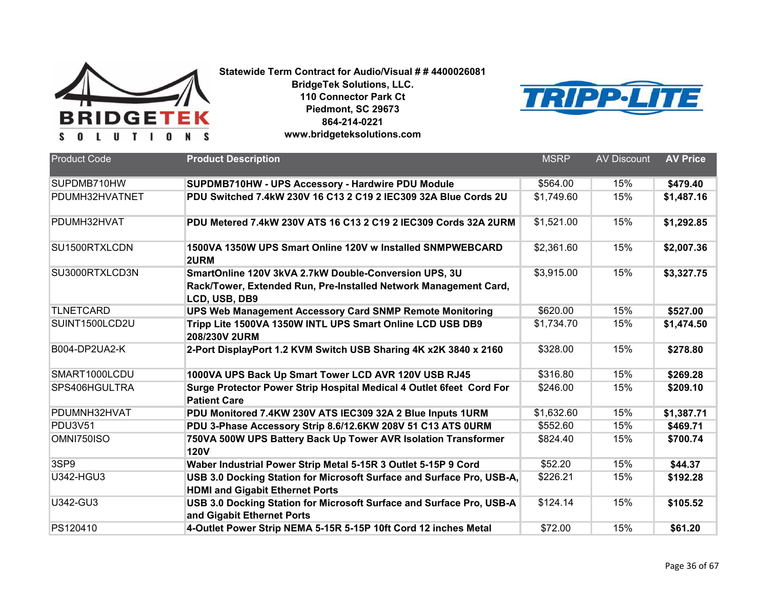



| <b>Product Code</b> | <b>Product Description</b>                                                                                                                 | <b>MSRP</b> | <b>AV Discount</b> | <b>AV Price</b> |
|---------------------|--------------------------------------------------------------------------------------------------------------------------------------------|-------------|--------------------|-----------------|
| SUPDMB710HW         | SUPDMB710HW - UPS Accessory - Hardwire PDU Module                                                                                          | \$564.00    | 15%                | \$479.40        |
| PDUMH32HVATNET      | PDU Switched 7.4kW 230V 16 C13 2 C19 2 IEC309 32A Blue Cords 2U                                                                            | \$1,749.60  | 15%                | \$1,487.16      |
| PDUMH32HVAT         | PDU Metered 7.4kW 230V ATS 16 C13 2 C19 2 IEC309 Cords 32A 2URM                                                                            | \$1,521.00  | 15%                | \$1,292.85      |
| SU1500RTXLCDN       | 1500VA 1350W UPS Smart Online 120V w Installed SNMPWEBCARD<br>2URM                                                                         | \$2,361.60  | 15%                | \$2,007.36      |
| SU3000RTXLCD3N      | SmartOnline 120V 3kVA 2.7kW Double-Conversion UPS, 3U<br>Rack/Tower, Extended Run, Pre-Installed Network Management Card,<br>LCD, USB, DB9 | \$3,915.00  | 15%                | \$3,327.75      |
| <b>TLNETCARD</b>    | <b>UPS Web Management Accessory Card SNMP Remote Monitoring</b>                                                                            | \$620.00    | 15%                | \$527.00        |
| SUINT1500LCD2U      | Tripp Lite 1500VA 1350W INTL UPS Smart Online LCD USB DB9<br>208/230V 2URM                                                                 | \$1,734.70  | 15%                | \$1,474.50      |
| B004-DP2UA2-K       | 2-Port DisplayPort 1.2 KVM Switch USB Sharing 4K x2K 3840 x 2160                                                                           | \$328.00    | 15%                | \$278.80        |
| SMART1000LCDU       | 1000VA UPS Back Up Smart Tower LCD AVR 120V USB RJ45                                                                                       | \$316.80    | 15%                | \$269.28        |
| SPS406HGULTRA       | Surge Protector Power Strip Hospital Medical 4 Outlet 6feet Cord For<br><b>Patient Care</b>                                                | \$246.00    | 15%                | \$209.10        |
| PDUMNH32HVAT        | PDU Monitored 7.4KW 230V ATS IEC309 32A 2 Blue Inputs 1URM                                                                                 | \$1,632.60  | 15%                | \$1,387.71      |
| <b>PDU3V51</b>      | PDU 3-Phase Accessory Strip 8.6/12.6KW 208V 51 C13 ATS OURM                                                                                | \$552.60    | 15%                | \$469.71        |
| OMNI750ISO          | 750VA 500W UPS Battery Back Up Tower AVR Isolation Transformer<br><b>120V</b>                                                              | \$824.40    | 15%                | \$700.74        |
| 3SP9                | Waber Industrial Power Strip Metal 5-15R 3 Outlet 5-15P 9 Cord                                                                             | \$52.20     | 15%                | \$44.37         |
| <b>U342-HGU3</b>    | USB 3.0 Docking Station for Microsoft Surface and Surface Pro, USB-A,<br><b>HDMI and Gigabit Ethernet Ports</b>                            | \$226.21    | 15%                | \$192.28        |
| U342-GU3            | USB 3.0 Docking Station for Microsoft Surface and Surface Pro, USB-A<br>and Gigabit Ethernet Ports                                         | \$124.14    | 15%                | \$105.52        |
| PS120410            | 4-Outlet Power Strip NEMA 5-15R 5-15P 10ft Cord 12 inches Metal                                                                            | \$72.00     | 15%                | \$61.20         |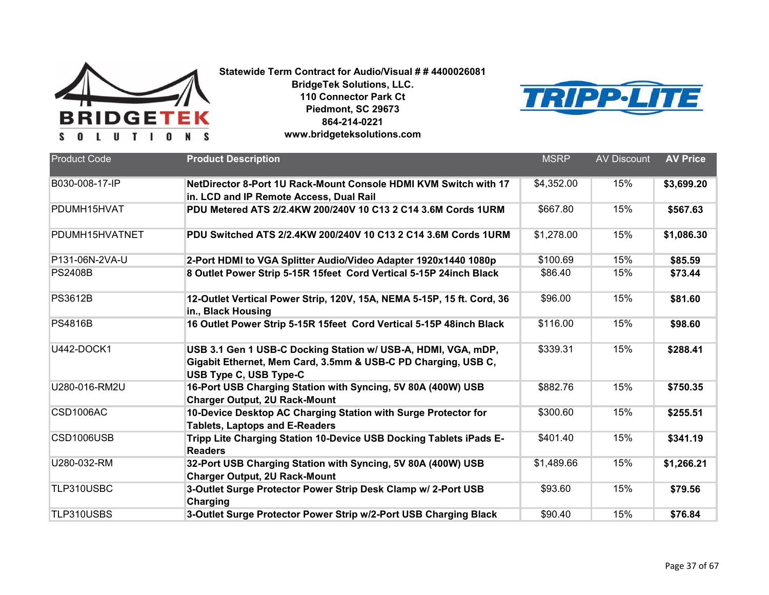



| <b>Product Code</b> | <b>Product Description</b>                                                                                                     | <b>MSRP</b> | <b>AV Discount</b> | <b>AV Price</b> |
|---------------------|--------------------------------------------------------------------------------------------------------------------------------|-------------|--------------------|-----------------|
|                     |                                                                                                                                |             |                    |                 |
| B030-008-17-IP      | NetDirector 8-Port 1U Rack-Mount Console HDMI KVM Switch with 17                                                               | \$4,352.00  | 15%                | \$3,699.20      |
|                     | in. LCD and IP Remote Access, Dual Rail                                                                                        |             |                    |                 |
| PDUMH15HVAT         | PDU Metered ATS 2/2.4KW 200/240V 10 C13 2 C14 3.6M Cords 1URM                                                                  | \$667.80    | 15%                | \$567.63        |
| PDUMH15HVATNET      | PDU Switched ATS 2/2.4KW 200/240V 10 C13 2 C14 3.6M Cords 1URM                                                                 | \$1,278.00  | 15%                | \$1,086.30      |
| P131-06N-2VA-U      | 2-Port HDMI to VGA Splitter Audio/Video Adapter 1920x1440 1080p                                                                | \$100.69    | 15%                | \$85.59         |
| <b>PS2408B</b>      | 8 Outlet Power Strip 5-15R 15feet Cord Vertical 5-15P 24inch Black                                                             | \$86.40     | 15%                | \$73.44         |
| <b>PS3612B</b>      | 12-Outlet Vertical Power Strip, 120V, 15A, NEMA 5-15P, 15 ft. Cord, 36<br>in., Black Housing                                   | \$96.00     | 15%                | \$81.60         |
| <b>PS4816B</b>      | 16 Outlet Power Strip 5-15R 15feet Cord Vertical 5-15P 48inch Black                                                            | \$116.00    | 15%                | \$98.60         |
| <b>U442-DOCK1</b>   | USB 3.1 Gen 1 USB-C Docking Station w/ USB-A, HDMI, VGA, mDP,<br>Gigabit Ethernet, Mem Card, 3.5mm & USB-C PD Charging, USB C, | \$339.31    | 15%                | \$288.41        |
|                     | USB Type C, USB Type-C                                                                                                         |             |                    |                 |
| U280-016-RM2U       | 16-Port USB Charging Station with Syncing, 5V 80A (400W) USB<br><b>Charger Output, 2U Rack-Mount</b>                           | \$882.76    | 15%                | \$750.35        |
| <b>CSD1006AC</b>    | 10-Device Desktop AC Charging Station with Surge Protector for<br><b>Tablets, Laptops and E-Readers</b>                        | \$300.60    | 15%                | \$255.51        |
| CSD1006USB          | Tripp Lite Charging Station 10-Device USB Docking Tablets iPads E-<br><b>Readers</b>                                           | \$401.40    | 15%                | \$341.19        |
| U280-032-RM         | 32-Port USB Charging Station with Syncing, 5V 80A (400W) USB<br><b>Charger Output, 2U Rack-Mount</b>                           | \$1,489.66  | 15%                | \$1,266.21      |
| TLP310USBC          | 3-Outlet Surge Protector Power Strip Desk Clamp w/ 2-Port USB<br>Charging                                                      | \$93.60     | 15%                | \$79.56         |
| TLP310USBS          | 3-Outlet Surge Protector Power Strip w/2-Port USB Charging Black                                                               | \$90.40     | 15%                | \$76.84         |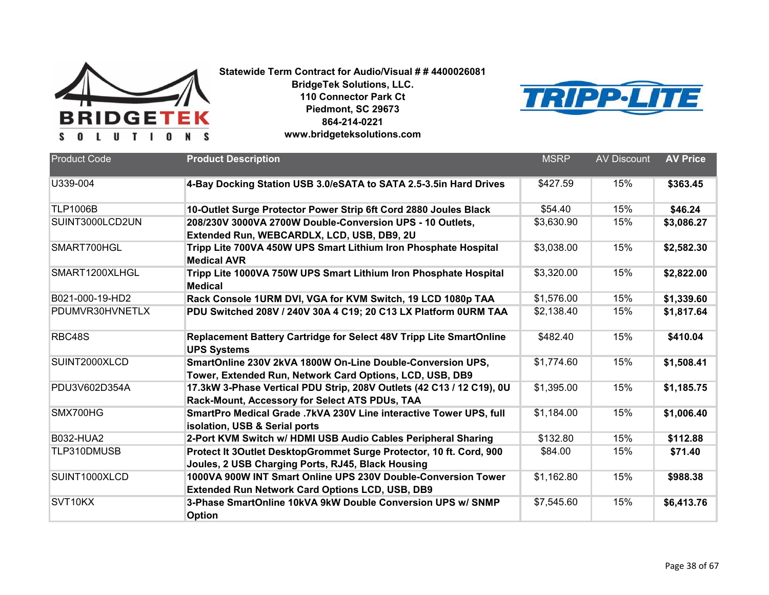



| <b>Product Code</b> | <b>Product Description</b>                                                                                               | <b>MSRP</b> | <b>AV Discount</b> | <b>AV Price</b> |
|---------------------|--------------------------------------------------------------------------------------------------------------------------|-------------|--------------------|-----------------|
| U339-004            | 4-Bay Docking Station USB 3.0/eSATA to SATA 2.5-3.5in Hard Drives                                                        | \$427.59    | 15%                | \$363.45        |
| <b>TLP1006B</b>     | 10-Outlet Surge Protector Power Strip 6ft Cord 2880 Joules Black                                                         | \$54.40     | 15%                | \$46.24         |
| SUINT3000LCD2UN     | 208/230V 3000VA 2700W Double-Conversion UPS - 10 Outlets,<br>Extended Run, WEBCARDLX, LCD, USB, DB9, 2U                  | \$3,630.90  | 15%                | \$3,086.27      |
| SMART700HGL         | Tripp Lite 700VA 450W UPS Smart Lithium Iron Phosphate Hospital<br><b>Medical AVR</b>                                    | \$3,038.00  | 15%                | \$2,582.30      |
| SMART1200XLHGL      | Tripp Lite 1000VA 750W UPS Smart Lithium Iron Phosphate Hospital<br><b>Medical</b>                                       | \$3,320.00  | 15%                | \$2,822.00      |
| B021-000-19-HD2     | Rack Console 1URM DVI, VGA for KVM Switch, 19 LCD 1080p TAA                                                              | \$1,576.00  | 15%                | \$1,339.60      |
| PDUMVR30HVNETLX     | PDU Switched 208V / 240V 30A 4 C19; 20 C13 LX Platform 0URM TAA                                                          | \$2,138.40  | 15%                | \$1,817.64      |
| RBC48S              | Replacement Battery Cartridge for Select 48V Tripp Lite SmartOnline<br><b>UPS Systems</b>                                | \$482.40    | 15%                | \$410.04        |
| SUINT2000XLCD       | SmartOnline 230V 2kVA 1800W On-Line Double-Conversion UPS,<br>Tower, Extended Run, Network Card Options, LCD, USB, DB9   | \$1,774.60  | 15%                | \$1,508.41      |
| PDU3V602D354A       | 17.3kW 3-Phase Vertical PDU Strip, 208V Outlets (42 C13 / 12 C19), 0U<br>Rack-Mount, Accessory for Select ATS PDUs, TAA  | \$1,395.00  | 15%                | \$1,185.75      |
| SMX700HG            | SmartPro Medical Grade .7kVA 230V Line interactive Tower UPS, full<br>isolation, USB & Serial ports                      | \$1,184.00  | 15%                | \$1,006.40      |
| <b>B032-HUA2</b>    | 2-Port KVM Switch w/ HDMI USB Audio Cables Peripheral Sharing                                                            | \$132.80    | 15%                | \$112.88        |
| TLP310DMUSB         | Protect It 3Outlet DesktopGrommet Surge Protector, 10 ft. Cord, 900<br>Joules, 2 USB Charging Ports, RJ45, Black Housing | \$84.00     | 15%                | \$71.40         |
| SUINT1000XLCD       | 1000VA 900W INT Smart Online UPS 230V Double-Conversion Tower<br><b>Extended Run Network Card Options LCD, USB, DB9</b>  | \$1,162.80  | 15%                | \$988.38        |
| SVT10KX             | 3-Phase SmartOnline 10kVA 9kW Double Conversion UPS w/ SNMP<br>Option                                                    | \$7,545.60  | 15%                | \$6,413.76      |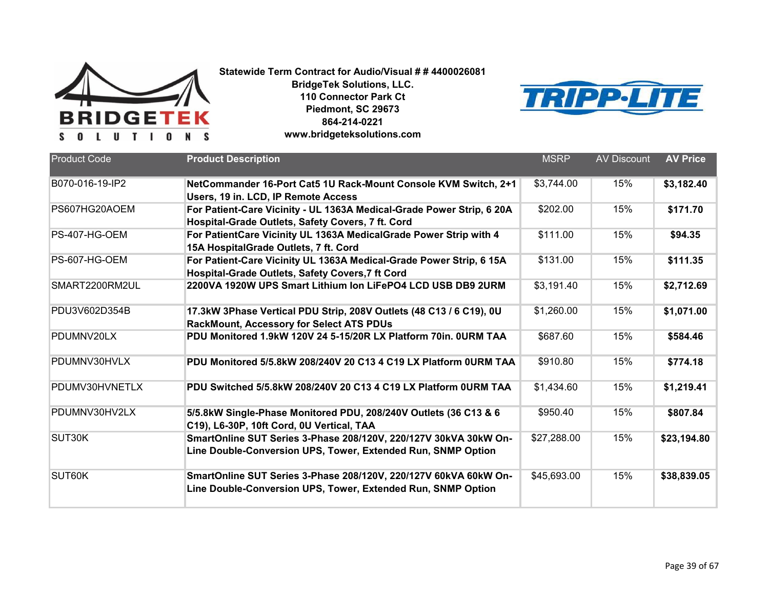



| <b>Product Code</b> |                                                                                                                                  |             | <b>AV Discount</b> |                 |
|---------------------|----------------------------------------------------------------------------------------------------------------------------------|-------------|--------------------|-----------------|
|                     | <b>Product Description</b>                                                                                                       | <b>MSRP</b> |                    | <b>AV Price</b> |
| B070-016-19-IP2     | NetCommander 16-Port Cat5 1U Rack-Mount Console KVM Switch, 2+1<br>Users, 19 in. LCD, IP Remote Access                           | \$3,744.00  | 15%                | \$3,182.40      |
| PS607HG20AOEM       | For Patient-Care Vicinity - UL 1363A Medical-Grade Power Strip, 6 20A<br>Hospital-Grade Outlets, Safety Covers, 7 ft. Cord       | \$202.00    | 15%                | \$171.70        |
| PS-407-HG-OEM       | For PatientCare Vicinity UL 1363A MedicalGrade Power Strip with 4<br>15A HospitalGrade Outlets, 7 ft. Cord                       | \$111.00    | 15%                | \$94.35         |
| PS-607-HG-OEM       | For Patient-Care Vicinity UL 1363A Medical-Grade Power Strip, 6 15A<br>Hospital-Grade Outlets, Safety Covers, 7 ft Cord          | \$131.00    | 15%                | \$111.35        |
| SMART2200RM2UL      | 2200VA 1920W UPS Smart Lithium Ion LiFePO4 LCD USB DB9 2URM                                                                      | \$3,191.40  | 15%                | \$2,712.69      |
| PDU3V602D354B       | 17.3kW 3Phase Vertical PDU Strip, 208V Outlets (48 C13 / 6 C19), 0U<br><b>RackMount, Accessory for Select ATS PDUs</b>           | \$1,260.00  | 15%                | \$1,071.00      |
| PDUMNV20LX          | PDU Monitored 1.9kW 120V 24 5-15/20R LX Platform 70in, OURM TAA                                                                  | \$687.60    | 15%                | \$584.46        |
| PDUMNV30HVLX        | PDU Monitored 5/5.8kW 208/240V 20 C13 4 C19 LX Platform 0URM TAA                                                                 | \$910.80    | 15%                | \$774.18        |
| PDUMV30HVNETLX      | PDU Switched 5/5.8kW 208/240V 20 C13 4 C19 LX Platform 0URM TAA                                                                  | \$1,434.60  | 15%                | \$1,219.41      |
| PDUMNV30HV2LX       | 5/5.8kW Single-Phase Monitored PDU, 208/240V Outlets (36 C13 & 6<br>C19), L6-30P, 10ft Cord, 0U Vertical, TAA                    | \$950.40    | 15%                | \$807.84        |
| SUT30K              | SmartOnline SUT Series 3-Phase 208/120V, 220/127V 30kVA 30kW On-<br>Line Double-Conversion UPS, Tower, Extended Run, SNMP Option | \$27,288.00 | 15%                | \$23,194.80     |
| SUT60K              | SmartOnline SUT Series 3-Phase 208/120V, 220/127V 60kVA 60kW On-<br>Line Double-Conversion UPS, Tower, Extended Run, SNMP Option | \$45,693.00 | 15%                | \$38,839.05     |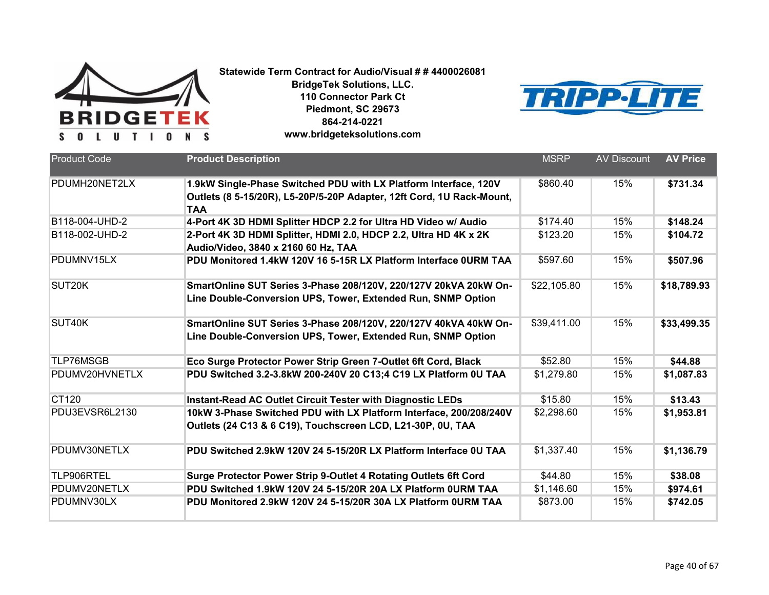



| <b>Product Code</b> | <b>Product Description</b>                                                                                                                              | <b>MSRP</b> | <b>AV Discount</b> | <b>AV Price</b> |
|---------------------|---------------------------------------------------------------------------------------------------------------------------------------------------------|-------------|--------------------|-----------------|
| PDUMH20NET2LX       | 1.9kW Single-Phase Switched PDU with LX Platform Interface, 120V<br>Outlets (8 5-15/20R), L5-20P/5-20P Adapter, 12ft Cord, 1U Rack-Mount,<br><b>TAA</b> | \$860.40    | 15%                | \$731.34        |
| B118-004-UHD-2      | 4-Port 4K 3D HDMI Splitter HDCP 2.2 for Ultra HD Video w/ Audio                                                                                         | \$174.40    | 15%                | \$148.24        |
| B118-002-UHD-2      | 2-Port 4K 3D HDMI Splitter, HDMI 2.0, HDCP 2.2, Ultra HD 4K x 2K<br>Audio/Video, 3840 x 2160 60 Hz, TAA                                                 | \$123.20    | 15%                | \$104.72        |
| PDUMNV15LX          | PDU Monitored 1.4kW 120V 16 5-15R LX Platform Interface 0URM TAA                                                                                        | \$597.60    | 15%                | \$507.96        |
| SUT <sub>20</sub> K | SmartOnline SUT Series 3-Phase 208/120V, 220/127V 20kVA 20kW On-<br>Line Double-Conversion UPS, Tower, Extended Run, SNMP Option                        | \$22,105.80 | 15%                | \$18,789.93     |
| SUT40K              | SmartOnline SUT Series 3-Phase 208/120V, 220/127V 40kVA 40kW On-<br>Line Double-Conversion UPS, Tower, Extended Run, SNMP Option                        | \$39,411.00 | 15%                | \$33,499.35     |
| TLP76MSGB           | Eco Surge Protector Power Strip Green 7-Outlet 6ft Cord, Black                                                                                          | \$52.80     | 15%                | \$44.88         |
| PDUMV20HVNETLX      | PDU Switched 3.2-3.8kW 200-240V 20 C13;4 C19 LX Platform 0U TAA                                                                                         | \$1,279.80  | 15%                | \$1,087.83      |
| CT120               | <b>Instant-Read AC Outlet Circuit Tester with Diagnostic LEDs</b>                                                                                       | \$15.80     | 15%                | \$13.43         |
| PDU3EVSR6L2130      | 10kW 3-Phase Switched PDU with LX Platform Interface, 200/208/240V<br>Outlets (24 C13 & 6 C19), Touchscreen LCD, L21-30P, 0U, TAA                       | \$2,298.60  | 15%                | \$1,953.81      |
| PDUMV30NETLX        | PDU Switched 2.9kW 120V 24 5-15/20R LX Platform Interface 0U TAA                                                                                        | \$1,337.40  | 15%                | \$1,136.79      |
| TLP906RTEL          | Surge Protector Power Strip 9-Outlet 4 Rotating Outlets 6ft Cord                                                                                        | \$44.80     | 15%                | \$38.08         |
| PDUMV20NETLX        | PDU Switched 1.9kW 120V 24 5-15/20R 20A LX Platform 0URM TAA                                                                                            | \$1,146.60  | 15%                | \$974.61        |
| PDUMNV30LX          | PDU Monitored 2.9kW 120V 24 5-15/20R 30A LX Platform 0URM TAA                                                                                           | \$873.00    | 15%                | \$742.05        |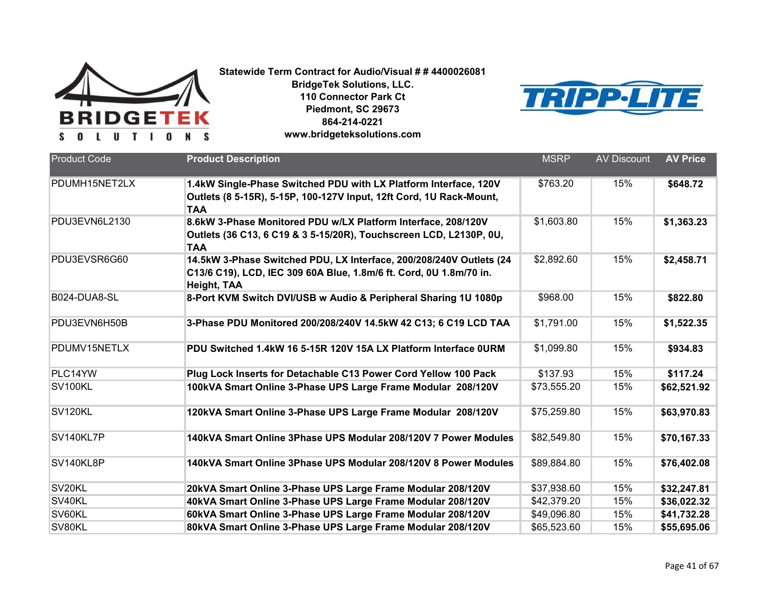



| <b>Product Code</b> | <b>Product Description</b>                                                                                                                               | <b>MSRP</b> | <b>AV Discount</b> | <b>AV Price</b> |
|---------------------|----------------------------------------------------------------------------------------------------------------------------------------------------------|-------------|--------------------|-----------------|
| PDUMH15NET2LX       | 1.4kW Single-Phase Switched PDU with LX Platform Interface, 120V<br>Outlets (8 5-15R), 5-15P, 100-127V Input, 12ft Cord, 1U Rack-Mount,<br><b>TAA</b>    | \$763.20    | 15%                | \$648.72        |
| PDU3EVN6L2130       | 8.6kW 3-Phase Monitored PDU w/LX Platform Interface, 208/120V<br>Outlets (36 C13, 6 C19 & 3 5-15/20R), Touchscreen LCD, L2130P, 0U,<br><b>TAA</b>        | \$1,603.80  | 15%                | \$1,363.23      |
| PDU3EVSR6G60        | 14.5kW 3-Phase Switched PDU, LX Interface, 200/208/240V Outlets (24<br>C13/6 C19), LCD, IEC 309 60A Blue, 1.8m/6 ft. Cord, 0U 1.8m/70 in.<br>Height, TAA | \$2,892.60  | 15%                | \$2,458.71      |
| B024-DUA8-SL        | 8-Port KVM Switch DVI/USB w Audio & Peripheral Sharing 1U 1080p                                                                                          | \$968.00    | 15%                | \$822.80        |
| PDU3EVN6H50B        | 3-Phase PDU Monitored 200/208/240V 14.5kW 42 C13; 6 C19 LCD TAA                                                                                          | \$1,791.00  | 15%                | \$1,522.35      |
| PDUMV15NETLX        | PDU Switched 1.4kW 16 5-15R 120V 15A LX Platform Interface OURM                                                                                          | \$1,099.80  | 15%                | \$934.83        |
| PLC14YW             | Plug Lock Inserts for Detachable C13 Power Cord Yellow 100 Pack                                                                                          | \$137.93    | 15%                | \$117.24        |
| SV100KL             | 100kVA Smart Online 3-Phase UPS Large Frame Modular 208/120V                                                                                             | \$73,555.20 | 15%                | \$62,521.92     |
| SV120KL             | 120kVA Smart Online 3-Phase UPS Large Frame Modular 208/120V                                                                                             | \$75,259.80 | 15%                | \$63,970.83     |
| SV140KL7P           | 140kVA Smart Online 3Phase UPS Modular 208/120V 7 Power Modules                                                                                          | \$82,549.80 | 15%                | \$70,167.33     |
| SV140KL8P           | 140kVA Smart Online 3Phase UPS Modular 208/120V 8 Power Modules                                                                                          | \$89,884.80 | 15%                | \$76,402.08     |
| SV20KL              | 20kVA Smart Online 3-Phase UPS Large Frame Modular 208/120V                                                                                              | \$37,938.60 | 15%                | \$32,247.81     |
| SV40KL              | 40kVA Smart Online 3-Phase UPS Large Frame Modular 208/120V                                                                                              | \$42,379.20 | 15%                | \$36,022.32     |
| SV60KL              | 60kVA Smart Online 3-Phase UPS Large Frame Modular 208/120V                                                                                              | \$49,096.80 | 15%                | \$41,732.28     |
| SV80KL              | 80kVA Smart Online 3-Phase UPS Large Frame Modular 208/120V                                                                                              | \$65,523.60 | 15%                | \$55,695.06     |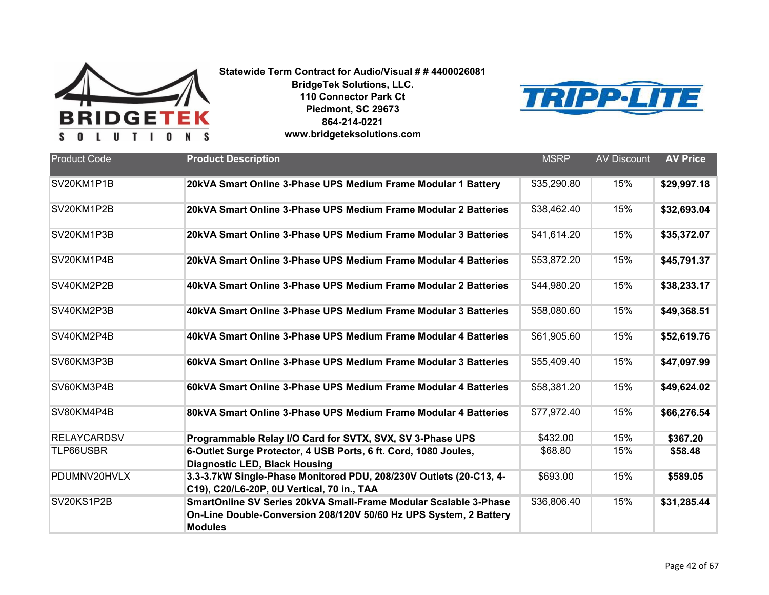



| <b>Product Code</b> | <b>Product Description</b>                                                                                                                              | <b>MSRP</b> | <b>AV Discount</b> | <b>AV Price</b> |
|---------------------|---------------------------------------------------------------------------------------------------------------------------------------------------------|-------------|--------------------|-----------------|
| SV20KM1P1B          | 20kVA Smart Online 3-Phase UPS Medium Frame Modular 1 Battery                                                                                           | \$35,290.80 | 15%                | \$29,997.18     |
| SV20KM1P2B          | 20kVA Smart Online 3-Phase UPS Medium Frame Modular 2 Batteries                                                                                         | \$38,462.40 | 15%                | \$32,693.04     |
| SV20KM1P3B          | 20kVA Smart Online 3-Phase UPS Medium Frame Modular 3 Batteries                                                                                         | \$41,614.20 | 15%                | \$35,372.07     |
| SV20KM1P4B          | 20kVA Smart Online 3-Phase UPS Medium Frame Modular 4 Batteries                                                                                         | \$53,872.20 | 15%                | \$45,791.37     |
| SV40KM2P2B          | 40kVA Smart Online 3-Phase UPS Medium Frame Modular 2 Batteries                                                                                         | \$44,980.20 | 15%                | \$38,233.17     |
| SV40KM2P3B          | 40kVA Smart Online 3-Phase UPS Medium Frame Modular 3 Batteries                                                                                         | \$58,080.60 | 15%                | \$49,368.51     |
| SV40KM2P4B          | 40kVA Smart Online 3-Phase UPS Medium Frame Modular 4 Batteries                                                                                         | \$61,905.60 | 15%                | \$52,619.76     |
| SV60KM3P3B          | 60kVA Smart Online 3-Phase UPS Medium Frame Modular 3 Batteries                                                                                         | \$55,409.40 | 15%                | \$47,097.99     |
| SV60KM3P4B          | 60kVA Smart Online 3-Phase UPS Medium Frame Modular 4 Batteries                                                                                         | \$58,381.20 | 15%                | \$49,624.02     |
| SV80KM4P4B          | 80kVA Smart Online 3-Phase UPS Medium Frame Modular 4 Batteries                                                                                         | \$77,972.40 | 15%                | \$66,276.54     |
| <b>RELAYCARDSV</b>  | Programmable Relay I/O Card for SVTX, SVX, SV 3-Phase UPS                                                                                               | \$432.00    | 15%                | \$367.20        |
| TLP66USBR           | 6-Outlet Surge Protector, 4 USB Ports, 6 ft. Cord, 1080 Joules,<br><b>Diagnostic LED, Black Housing</b>                                                 | \$68.80     | 15%                | \$58.48         |
| PDUMNV20HVLX        | 3.3-3.7kW Single-Phase Monitored PDU, 208/230V Outlets (20-C13, 4-<br>C19), C20/L6-20P, 0U Vertical, 70 in., TAA                                        | \$693.00    | 15%                | \$589.05        |
| SV20KS1P2B          | SmartOnline SV Series 20kVA Small-Frame Modular Scalable 3-Phase<br>On-Line Double-Conversion 208/120V 50/60 Hz UPS System, 2 Battery<br><b>Modules</b> | \$36,806.40 | 15%                | \$31,285.44     |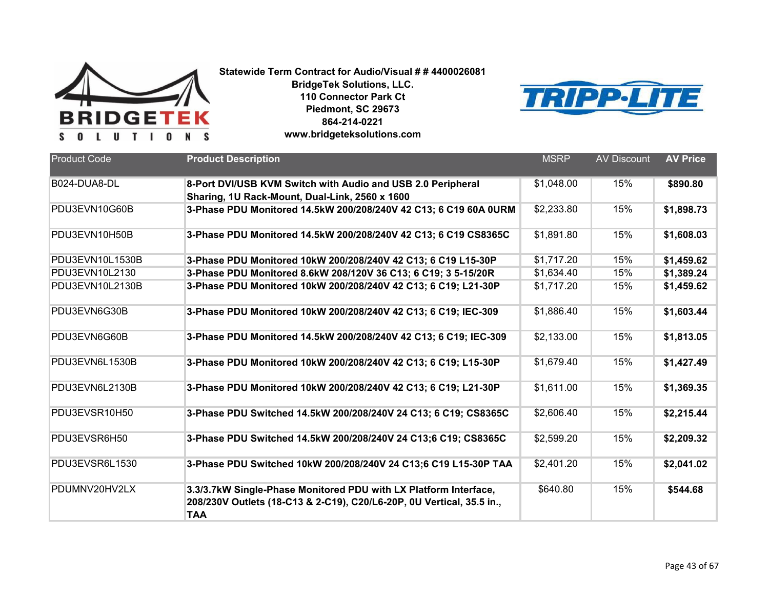



| <b>Product Code</b> | <b>Product Description</b>                                                                                                                              | <b>MSRP</b> | <b>AV Discount</b> | <b>AV Price</b> |
|---------------------|---------------------------------------------------------------------------------------------------------------------------------------------------------|-------------|--------------------|-----------------|
| B024-DUA8-DL        | 8-Port DVI/USB KVM Switch with Audio and USB 2.0 Peripheral<br>Sharing, 1U Rack-Mount, Dual-Link, 2560 x 1600                                           | \$1,048.00  | 15%                | \$890.80        |
| PDU3EVN10G60B       | 3-Phase PDU Monitored 14.5kW 200/208/240V 42 C13; 6 C19 60A 0URM                                                                                        | \$2,233.80  | 15%                | \$1,898.73      |
| PDU3EVN10H50B       | 3-Phase PDU Monitored 14.5kW 200/208/240V 42 C13; 6 C19 CS8365C                                                                                         | \$1,891.80  | 15%                | \$1,608.03      |
| PDU3EVN10L1530B     | 3-Phase PDU Monitored 10kW 200/208/240V 42 C13; 6 C19 L15-30P                                                                                           | \$1,717.20  | 15%                | \$1,459.62      |
| PDU3EVN10L2130      | 3-Phase PDU Monitored 8.6kW 208/120V 36 C13; 6 C19; 3 5-15/20R                                                                                          | \$1,634.40  | 15%                | \$1,389.24      |
| PDU3EVN10L2130B     | 3-Phase PDU Monitored 10kW 200/208/240V 42 C13; 6 C19; L21-30P                                                                                          | \$1,717.20  | 15%                | \$1,459.62      |
| PDU3EVN6G30B        | 3-Phase PDU Monitored 10kW 200/208/240V 42 C13; 6 C19; IEC-309                                                                                          | \$1,886.40  | 15%                | \$1,603.44      |
| PDU3EVN6G60B        | 3-Phase PDU Monitored 14.5kW 200/208/240V 42 C13; 6 C19; IEC-309                                                                                        | \$2,133.00  | 15%                | \$1,813.05      |
| PDU3EVN6L1530B      | 3-Phase PDU Monitored 10kW 200/208/240V 42 C13; 6 C19; L15-30P                                                                                          | \$1,679.40  | 15%                | \$1,427.49      |
| PDU3EVN6L2130B      | 3-Phase PDU Monitored 10kW 200/208/240V 42 C13; 6 C19; L21-30P                                                                                          | \$1,611.00  | 15%                | \$1,369.35      |
| PDU3EVSR10H50       | 3-Phase PDU Switched 14.5kW 200/208/240V 24 C13; 6 C19; CS8365C                                                                                         | \$2,606.40  | 15%                | \$2,215.44      |
| PDU3EVSR6H50        | 3-Phase PDU Switched 14.5kW 200/208/240V 24 C13;6 C19; CS8365C                                                                                          | \$2,599.20  | 15%                | \$2,209.32      |
| PDU3EVSR6L1530      | 3-Phase PDU Switched 10kW 200/208/240V 24 C13;6 C19 L15-30P TAA                                                                                         | \$2,401.20  | 15%                | \$2,041.02      |
| PDUMNV20HV2LX       | 3.3/3.7kW Single-Phase Monitored PDU with LX Platform Interface,<br>208/230V Outlets (18-C13 & 2-C19), C20/L6-20P, 0U Vertical, 35.5 in.,<br><b>TAA</b> | \$640.80    | 15%                | \$544.68        |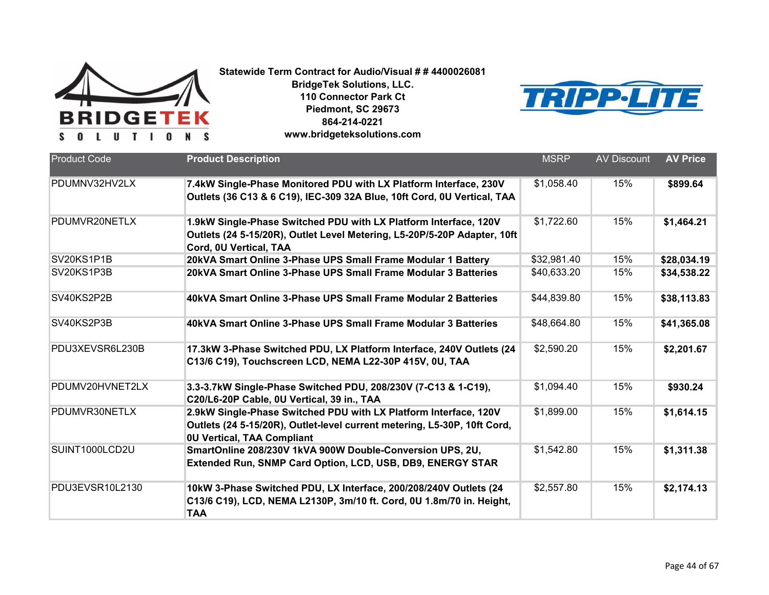



| <b>Product Code</b> | <b>Product Description</b>                                                                                                                                                        | <b>MSRP</b> | <b>AV Discount</b> | <b>AV Price</b> |
|---------------------|-----------------------------------------------------------------------------------------------------------------------------------------------------------------------------------|-------------|--------------------|-----------------|
| PDUMNV32HV2LX       | 7.4kW Single-Phase Monitored PDU with LX Platform Interface, 230V<br>Outlets (36 C13 & 6 C19), IEC-309 32A Blue, 10ft Cord, 0U Vertical, TAA                                      | \$1,058.40  | 15%                | \$899.64        |
| PDUMVR20NETLX       | 1.9kW Single-Phase Switched PDU with LX Platform Interface, 120V<br>Outlets (24 5-15/20R), Outlet Level Metering, L5-20P/5-20P Adapter, 10ft<br>Cord, 0U Vertical, TAA            | \$1,722.60  | 15%                | \$1,464.21      |
| SV20KS1P1B          | 20kVA Smart Online 3-Phase UPS Small Frame Modular 1 Battery                                                                                                                      | \$32,981.40 | 15%                | \$28,034.19     |
| SV20KS1P3B          | 20kVA Smart Online 3-Phase UPS Small Frame Modular 3 Batteries                                                                                                                    | \$40,633.20 | 15%                | \$34,538.22     |
| SV40KS2P2B          | 40kVA Smart Online 3-Phase UPS Small Frame Modular 2 Batteries                                                                                                                    | \$44,839.80 | 15%                | \$38,113.83     |
| SV40KS2P3B          | 40kVA Smart Online 3-Phase UPS Small Frame Modular 3 Batteries                                                                                                                    | \$48,664.80 | 15%                | \$41,365.08     |
| PDU3XEVSR6L230B     | 17.3kW 3-Phase Switched PDU, LX Platform Interface, 240V Outlets (24<br>C13/6 C19), Touchscreen LCD, NEMA L22-30P 415V, 0U, TAA                                                   | \$2,590.20  | 15%                | \$2,201.67      |
| PDUMV20HVNET2LX     | 3.3-3.7kW Single-Phase Switched PDU, 208/230V (7-C13 & 1-C19),<br>C20/L6-20P Cable, 0U Vertical, 39 in., TAA                                                                      | \$1,094.40  | 15%                | \$930.24        |
| PDUMVR30NETLX       | 2.9kW Single-Phase Switched PDU with LX Platform Interface, 120V<br>Outlets (24 5-15/20R), Outlet-level current metering, L5-30P, 10ft Cord,<br><b>0U Vertical, TAA Compliant</b> | \$1,899.00  | 15%                | \$1,614.15      |
| SUINT1000LCD2U      | SmartOnline 208/230V 1kVA 900W Double-Conversion UPS, 2U,<br>Extended Run, SNMP Card Option, LCD, USB, DB9, ENERGY STAR                                                           | \$1,542.80  | 15%                | \$1,311.38      |
| PDU3EVSR10L2130     | 10kW 3-Phase Switched PDU, LX Interface, 200/208/240V Outlets (24<br>C13/6 C19), LCD, NEMA L2130P, 3m/10 ft. Cord, 0U 1.8m/70 in. Height,<br><b>TAA</b>                           | \$2,557.80  | 15%                | \$2,174.13      |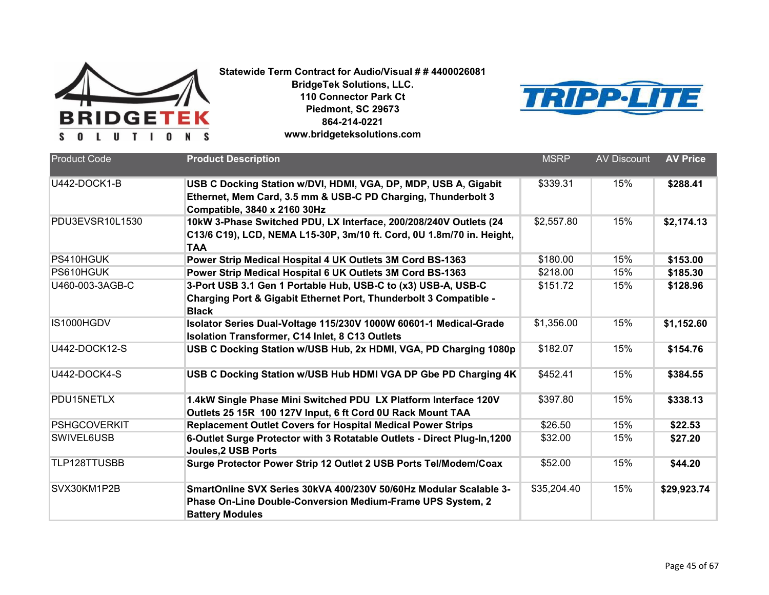



| <b>Product Code</b>  | <b>Product Description</b>                                                                                                                                       | <b>MSRP</b> | <b>AV Discount</b> | <b>AV Price</b> |
|----------------------|------------------------------------------------------------------------------------------------------------------------------------------------------------------|-------------|--------------------|-----------------|
| U442-DOCK1-B         | USB C Docking Station w/DVI, HDMI, VGA, DP, MDP, USB A, Gigabit<br>Ethernet, Mem Card, 3.5 mm & USB-C PD Charging, Thunderbolt 3<br>Compatible, 3840 x 2160 30Hz | \$339.31    | 15%                | \$288.41        |
| PDU3EVSR10L1530      | 10kW 3-Phase Switched PDU, LX Interface, 200/208/240V Outlets (24<br>C13/6 C19), LCD, NEMA L15-30P, 3m/10 ft. Cord, 0U 1.8m/70 in. Height,<br>TAA                | \$2,557.80  | 15%                | \$2,174.13      |
| PS410HGUK            | Power Strip Medical Hospital 4 UK Outlets 3M Cord BS-1363                                                                                                        | \$180.00    | 15%                | \$153.00        |
| PS610HGUK            | Power Strip Medical Hospital 6 UK Outlets 3M Cord BS-1363                                                                                                        | \$218.00    | 15%                | \$185.30        |
| U460-003-3AGB-C      | 3-Port USB 3.1 Gen 1 Portable Hub, USB-C to (x3) USB-A, USB-C<br>Charging Port & Gigabit Ethernet Port, Thunderbolt 3 Compatible -<br><b>Black</b>               | \$151.72    | 15%                | \$128.96        |
| IS1000HGDV           | Isolator Series Dual-Voltage 115/230V 1000W 60601-1 Medical-Grade<br><b>Isolation Transformer, C14 Inlet, 8 C13 Outlets</b>                                      | \$1,356.00  | 15%                | \$1,152.60      |
| <b>U442-DOCK12-S</b> | USB C Docking Station w/USB Hub, 2x HDMI, VGA, PD Charging 1080p                                                                                                 | \$182.07    | 15%                | \$154.76        |
| U442-DOCK4-S         | USB C Docking Station w/USB Hub HDMI VGA DP Gbe PD Charging 4K                                                                                                   | \$452.41    | 15%                | \$384.55        |
| PDU15NETLX           | 1.4kW Single Phase Mini Switched PDU LX Platform Interface 120V<br>Outlets 25 15R 100 127V Input, 6 ft Cord 0U Rack Mount TAA                                    | \$397.80    | 15%                | \$338.13        |
| <b>PSHGCOVERKIT</b>  | <b>Replacement Outlet Covers for Hospital Medical Power Strips</b>                                                                                               | \$26.50     | 15%                | \$22.53         |
| SWIVEL6USB           | 6-Outlet Surge Protector with 3 Rotatable Outlets - Direct Plug-In, 1200<br><b>Joules, 2 USB Ports</b>                                                           | \$32.00     | 15%                | \$27.20         |
| TLP128TTUSBB         | Surge Protector Power Strip 12 Outlet 2 USB Ports Tel/Modem/Coax                                                                                                 | \$52.00     | 15%                | \$44.20         |
| SVX30KM1P2B          | SmartOnline SVX Series 30kVA 400/230V 50/60Hz Modular Scalable 3-<br>Phase On-Line Double-Conversion Medium-Frame UPS System, 2<br><b>Battery Modules</b>        | \$35,204.40 | 15%                | \$29,923.74     |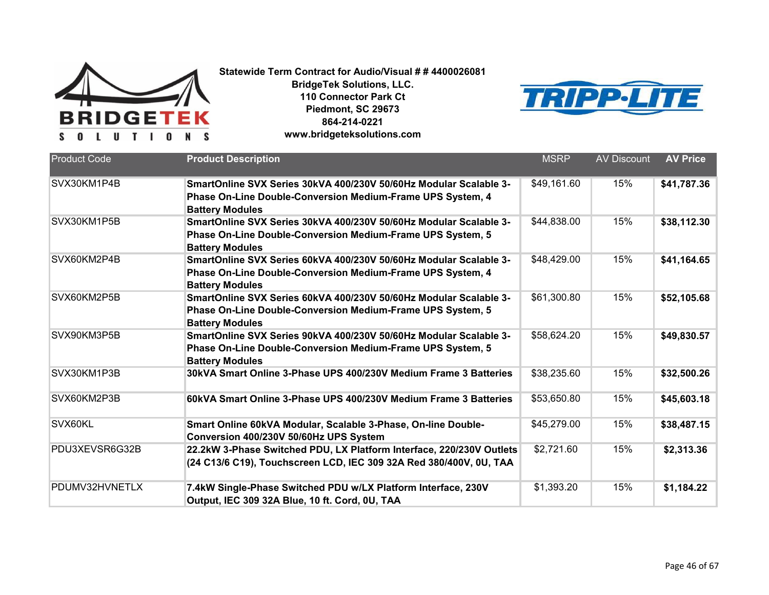



| <b>Product Code</b> | <b>Product Description</b>                                                                                                                                       | <b>MSRP</b> | <b>AV Discount</b> | <b>AV Price</b> |
|---------------------|------------------------------------------------------------------------------------------------------------------------------------------------------------------|-------------|--------------------|-----------------|
| SVX30KM1P4B         | SmartOnline SVX Series 30kVA 400/230V 50/60Hz Modular Scalable 3-<br>Phase On-Line Double-Conversion Medium-Frame UPS System, 4<br><b>Battery Modules</b>        | \$49,161.60 | 15%                | \$41,787.36     |
| SVX30KM1P5B         | SmartOnline SVX Series 30kVA 400/230V 50/60Hz Modular Scalable 3-<br>Phase On-Line Double-Conversion Medium-Frame UPS System, 5<br><b>Battery Modules</b>        | \$44,838.00 | 15%                | \$38,112.30     |
| SVX60KM2P4B         | SmartOnline SVX Series 60kVA 400/230V 50/60Hz Modular Scalable 3-<br>Phase On-Line Double-Conversion Medium-Frame UPS System, 4<br><b>Battery Modules</b>        | \$48,429.00 | 15%                | \$41,164.65     |
| SVX60KM2P5B         | SmartOnline SVX Series 60kVA 400/230V 50/60Hz Modular Scalable 3-<br><b>Phase On-Line Double-Conversion Medium-Frame UPS System, 5</b><br><b>Battery Modules</b> | \$61,300.80 | 15%                | \$52,105.68     |
| SVX90KM3P5B         | SmartOnline SVX Series 90kVA 400/230V 50/60Hz Modular Scalable 3-<br>Phase On-Line Double-Conversion Medium-Frame UPS System, 5<br><b>Battery Modules</b>        | \$58,624.20 | 15%                | \$49,830.57     |
| SVX30KM1P3B         | 30kVA Smart Online 3-Phase UPS 400/230V Medium Frame 3 Batteries                                                                                                 | \$38,235.60 | 15%                | \$32,500.26     |
| SVX60KM2P3B         | 60kVA Smart Online 3-Phase UPS 400/230V Medium Frame 3 Batteries                                                                                                 | \$53,650.80 | 15%                | \$45,603.18     |
| SVX60KL             | Smart Online 60kVA Modular, Scalable 3-Phase, On-line Double-<br>Conversion 400/230V 50/60Hz UPS System                                                          | \$45,279.00 | 15%                | \$38,487.15     |
| PDU3XEVSR6G32B      | 22.2kW 3-Phase Switched PDU, LX Platform Interface, 220/230V Outlets<br>(24 C13/6 C19), Touchscreen LCD, IEC 309 32A Red 380/400V, 0U, TAA                       | \$2,721.60  | 15%                | \$2,313.36      |
| PDUMV32HVNETLX      | 7.4kW Single-Phase Switched PDU w/LX Platform Interface, 230V<br>Output, IEC 309 32A Blue, 10 ft. Cord, 0U, TAA                                                  | \$1,393.20  | 15%                | \$1,184.22      |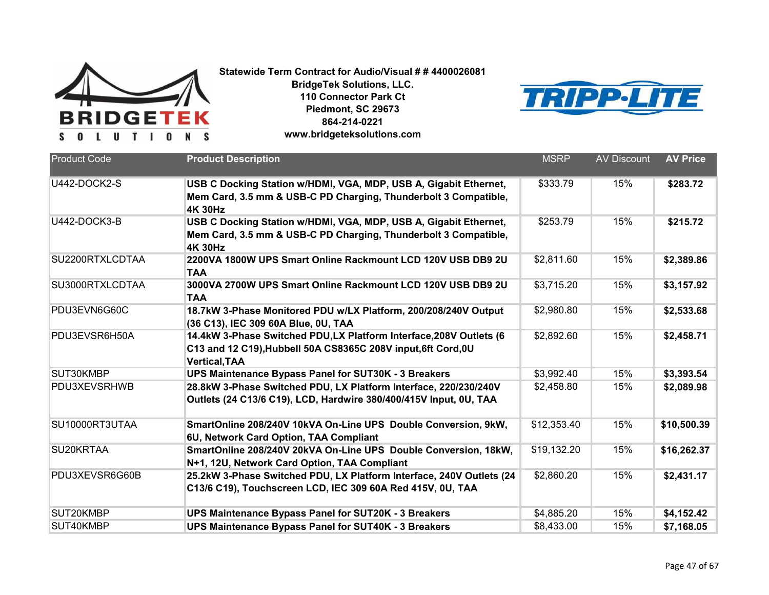



| <b>Product Code</b> | <b>Product Description</b>                                                                                                                                  | <b>MSRP</b> | <b>AV Discount</b> | <b>AV Price</b> |
|---------------------|-------------------------------------------------------------------------------------------------------------------------------------------------------------|-------------|--------------------|-----------------|
| U442-DOCK2-S        | USB C Docking Station w/HDMI, VGA, MDP, USB A, Gigabit Ethernet,<br>Mem Card, 3.5 mm & USB-C PD Charging, Thunderbolt 3 Compatible,<br><b>4K 30Hz</b>       | \$333.79    | 15%                | \$283.72        |
| U442-DOCK3-B        | USB C Docking Station w/HDMI, VGA, MDP, USB A, Gigabit Ethernet,<br>Mem Card, 3.5 mm & USB-C PD Charging, Thunderbolt 3 Compatible,<br><b>4K 30Hz</b>       | \$253.79    | 15%                | \$215.72        |
| SU2200RTXLCDTAA     | 2200VA 1800W UPS Smart Online Rackmount LCD 120V USB DB9 2U<br><b>TAA</b>                                                                                   | \$2,811.60  | 15%                | \$2,389.86      |
| SU3000RTXLCDTAA     | 3000VA 2700W UPS Smart Online Rackmount LCD 120V USB DB9 2U<br><b>TAA</b>                                                                                   | \$3,715.20  | 15%                | \$3,157.92      |
| PDU3EVN6G60C        | 18.7kW 3-Phase Monitored PDU w/LX Platform, 200/208/240V Output<br>(36 C13), IEC 309 60A Blue, 0U, TAA                                                      | \$2,980.80  | 15%                | \$2,533.68      |
| PDU3EVSR6H50A       | 14.4kW 3-Phase Switched PDU,LX Platform Interface, 208V Outlets (6<br>C13 and 12 C19), Hubbell 50A CS8365C 208V input, 6ft Cord, 0U<br><b>Vertical, TAA</b> | \$2,892.60  | 15%                | \$2,458.71      |
| SUT30KMBP           | UPS Maintenance Bypass Panel for SUT30K - 3 Breakers                                                                                                        | \$3,992.40  | 15%                | \$3,393.54      |
| PDU3XEVSRHWB        | 28.8kW 3-Phase Switched PDU, LX Platform Interface, 220/230/240V<br>Outlets (24 C13/6 C19), LCD, Hardwire 380/400/415V Input, 0U, TAA                       | \$2,458.80  | 15%                | \$2,089.98      |
| SU10000RT3UTAA      | SmartOnline 208/240V 10kVA On-Line UPS Double Conversion, 9kW,<br>6U, Network Card Option, TAA Compliant                                                    | \$12,353.40 | 15%                | \$10,500.39     |
| SU20KRTAA           | SmartOnline 208/240V 20kVA On-Line UPS Double Conversion, 18kW,<br>N+1, 12U, Network Card Option, TAA Compliant                                             | \$19,132.20 | 15%                | \$16,262.37     |
| PDU3XEVSR6G60B      | 25.2kW 3-Phase Switched PDU, LX Platform Interface, 240V Outlets (24<br>C13/6 C19), Touchscreen LCD, IEC 309 60A Red 415V, 0U, TAA                          | \$2,860.20  | 15%                | \$2,431.17      |
| SUT20KMBP           | UPS Maintenance Bypass Panel for SUT20K - 3 Breakers                                                                                                        | \$4,885.20  | 15%                | \$4,152.42      |
| SUT40KMBP           | <b>UPS Maintenance Bypass Panel for SUT40K - 3 Breakers</b>                                                                                                 | \$8,433.00  | 15%                | \$7,168.05      |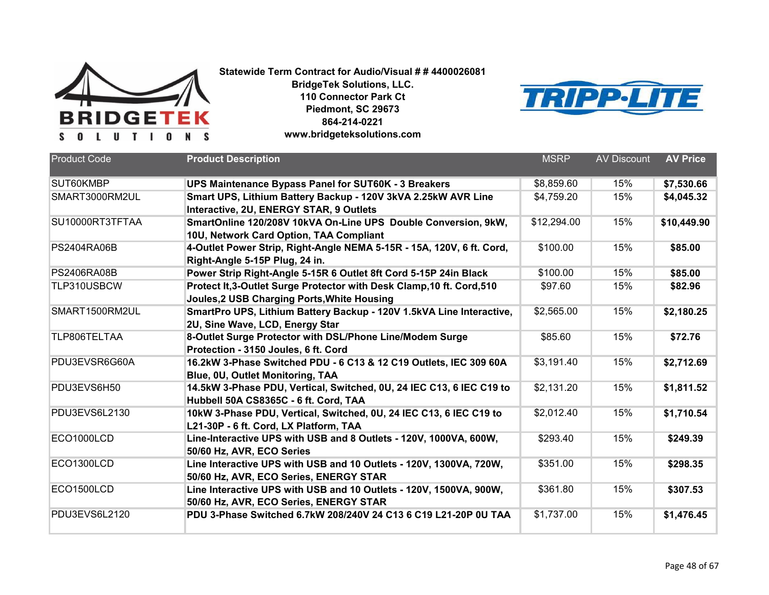



| <b>Product Code</b> | <b>Product Description</b>                                                                                           | <b>MSRP</b>            | <b>AV Discount</b> | <b>AV Price</b> |
|---------------------|----------------------------------------------------------------------------------------------------------------------|------------------------|--------------------|-----------------|
| SUT60KMBP           | UPS Maintenance Bypass Panel for SUT60K - 3 Breakers                                                                 | \$8,859.60             | 15%                | \$7,530.66      |
| SMART3000RM2UL      | Smart UPS, Lithium Battery Backup - 120V 3kVA 2.25kW AVR Line<br>Interactive, 2U, ENERGY STAR, 9 Outlets             | \$4,759.20             | 15%                | \$4,045.32      |
| SU10000RT3TFTAA     | SmartOnline 120/208V 10kVA On-Line UPS Double Conversion, 9kW,<br>10U, Network Card Option, TAA Compliant            | \$12,294.00            | 15%                | \$10,449.90     |
| <b>PS2404RA06B</b>  | 4-Outlet Power Strip, Right-Angle NEMA 5-15R - 15A, 120V, 6 ft. Cord,<br>Right-Angle 5-15P Plug, 24 in.              | \$100.00               | 15%                | \$85.00         |
| <b>PS2406RA08B</b>  | Power Strip Right-Angle 5-15R 6 Outlet 8ft Cord 5-15P 24in Black                                                     | \$100.00               | 15%                | \$85.00         |
| TLP310USBCW         | Protect It,3-Outlet Surge Protector with Desk Clamp, 10 ft. Cord, 510<br>Joules, 2 USB Charging Ports, White Housing | \$97.60                | 15%                | \$82.96         |
| SMART1500RM2UL      | SmartPro UPS, Lithium Battery Backup - 120V 1.5kVA Line Interactive,<br>2U, Sine Wave, LCD, Energy Star              | \$2,565.00             | 15%                | \$2,180.25      |
| TLP806TELTAA        | 8-Outlet Surge Protector with DSL/Phone Line/Modem Surge<br>Protection - 3150 Joules, 6 ft. Cord                     | \$85.60                | 15%                | \$72.76         |
| PDU3EVSR6G60A       | 16.2kW 3-Phase Switched PDU - 6 C13 & 12 C19 Outlets, IEC 309 60A<br>Blue, 0U, Outlet Monitoring, TAA                | \$3,191.40             | 15%                | \$2,712.69      |
| PDU3EVS6H50         | 14.5kW 3-Phase PDU, Vertical, Switched, 0U, 24 IEC C13, 6 IEC C19 to<br>Hubbell 50A CS8365C - 6 ft. Cord, TAA        | $\overline{$2,131.20}$ | 15%                | \$1,811.52      |
| PDU3EVS6L2130       | 10kW 3-Phase PDU, Vertical, Switched, 0U, 24 IEC C13, 6 IEC C19 to<br>L21-30P - 6 ft. Cord, LX Platform, TAA         | \$2,012.40             | 15%                | \$1,710.54      |
| ECO1000LCD          | Line-Interactive UPS with USB and 8 Outlets - 120V, 1000VA, 600W,<br>50/60 Hz, AVR, ECO Series                       | \$293.40               | 15%                | \$249.39        |
| ECO1300LCD          | Line Interactive UPS with USB and 10 Outlets - 120V, 1300VA, 720W,<br>50/60 Hz, AVR, ECO Series, ENERGY STAR         | \$351.00               | 15%                | \$298.35        |
| ECO1500LCD          | Line Interactive UPS with USB and 10 Outlets - 120V, 1500VA, 900W,<br>50/60 Hz, AVR, ECO Series, ENERGY STAR         | \$361.80               | 15%                | \$307.53        |
| PDU3EVS6L2120       | PDU 3-Phase Switched 6.7kW 208/240V 24 C13 6 C19 L21-20P 0U TAA                                                      | \$1,737.00             | 15%                | \$1,476.45      |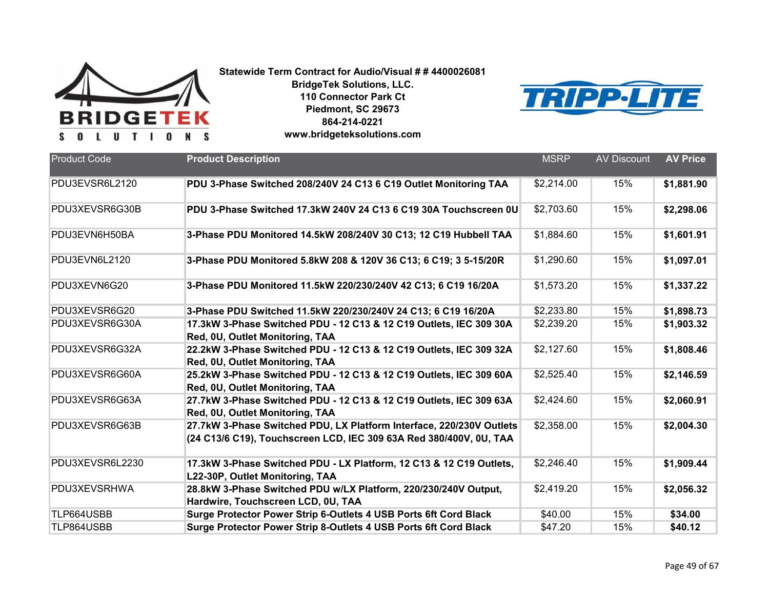



| <b>Product Code</b> | <b>Product Description</b>                                                                                                                 | <b>MSRP</b> | <b>AV Discount</b> | <b>AV Price</b> |
|---------------------|--------------------------------------------------------------------------------------------------------------------------------------------|-------------|--------------------|-----------------|
| PDU3EVSR6L2120      | PDU 3-Phase Switched 208/240V 24 C13 6 C19 Outlet Monitoring TAA                                                                           | \$2,214.00  | 15%                | \$1,881.90      |
| PDU3XEVSR6G30B      | PDU 3-Phase Switched 17.3kW 240V 24 C13 6 C19 30A Touchscreen 0U                                                                           | \$2,703.60  | 15%                | \$2,298.06      |
| PDU3EVN6H50BA       | 3-Phase PDU Monitored 14.5kW 208/240V 30 C13; 12 C19 Hubbell TAA                                                                           | \$1,884.60  | 15%                | \$1,601.91      |
| PDU3EVN6L2120       | 3-Phase PDU Monitored 5.8kW 208 & 120V 36 C13; 6 C19; 3 5-15/20R                                                                           | \$1,290.60  | 15%                | \$1,097.01      |
| PDU3XEVN6G20        | 3-Phase PDU Monitored 11.5kW 220/230/240V 42 C13; 6 C19 16/20A                                                                             | \$1,573.20  | 15%                | \$1,337.22      |
| PDU3XEVSR6G20       | 3-Phase PDU Switched 11.5kW 220/230/240V 24 C13; 6 C19 16/20A                                                                              | \$2,233.80  | 15%                | \$1,898.73      |
| PDU3XEVSR6G30A      | 17.3kW 3-Phase Switched PDU - 12 C13 & 12 C19 Outlets, IEC 309 30A<br>Red, 0U, Outlet Monitoring, TAA                                      | \$2,239.20  | 15%                | \$1,903.32      |
| PDU3XEVSR6G32A      | 22.2kW 3-Phase Switched PDU - 12 C13 & 12 C19 Outlets, IEC 309 32A<br>Red, 0U, Outlet Monitoring, TAA                                      | \$2,127.60  | 15%                | \$1,808.46      |
| PDU3XEVSR6G60A      | 25.2kW 3-Phase Switched PDU - 12 C13 & 12 C19 Outlets, IEC 309 60A<br>Red, 0U, Outlet Monitoring, TAA                                      | \$2,525.40  | 15%                | \$2,146.59      |
| PDU3XEVSR6G63A      | 27.7kW 3-Phase Switched PDU - 12 C13 & 12 C19 Outlets, IEC 309 63A<br>Red, 0U, Outlet Monitoring, TAA                                      | \$2,424.60  | 15%                | \$2,060.91      |
| PDU3XEVSR6G63B      | 27.7kW 3-Phase Switched PDU, LX Platform Interface, 220/230V Outlets<br>(24 C13/6 C19), Touchscreen LCD, IEC 309 63A Red 380/400V, 0U, TAA | \$2,358.00  | 15%                | \$2,004.30      |
| PDU3XEVSR6L2230     | 17.3kW 3-Phase Switched PDU - LX Platform, 12 C13 & 12 C19 Outlets,<br>L22-30P, Outlet Monitoring, TAA                                     | \$2,246.40  | 15%                | \$1,909.44      |
| PDU3XEVSRHWA        | 28.8kW 3-Phase Switched PDU w/LX Platform, 220/230/240V Output,<br>Hardwire, Touchscreen LCD, 0U, TAA                                      | \$2,419.20  | 15%                | \$2,056.32      |
| TLP664USBB          | Surge Protector Power Strip 6-Outlets 4 USB Ports 6ft Cord Black                                                                           | \$40.00     | 15%                | \$34.00         |
| TLP864USBB          | Surge Protector Power Strip 8-Outlets 4 USB Ports 6ft Cord Black                                                                           | \$47.20     | 15%                | \$40.12         |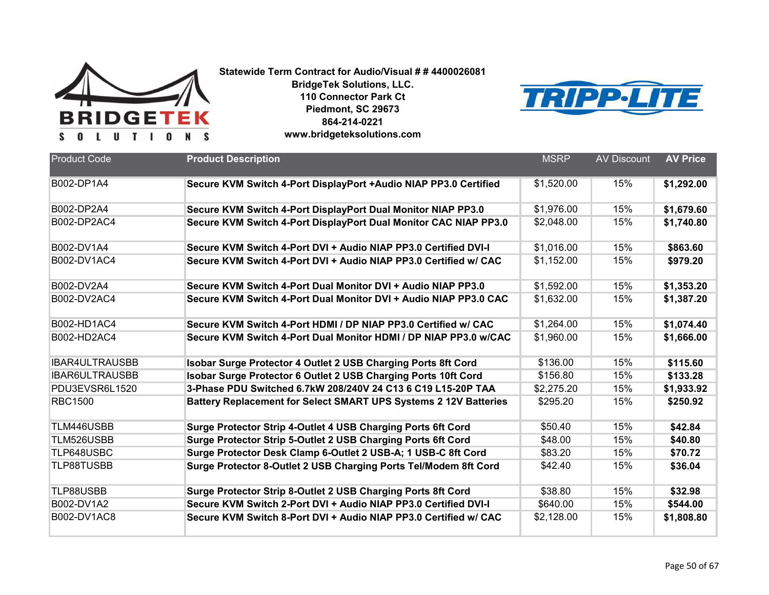



| <b>Product Code</b>   | <b>Product Description</b>                                       | <b>MSRP</b> | <b>AV Discount</b> | <b>AV Price</b> |
|-----------------------|------------------------------------------------------------------|-------------|--------------------|-----------------|
| B002-DP1A4            | Secure KVM Switch 4-Port DisplayPort +Audio NIAP PP3.0 Certified | \$1,520.00  | 15%                | \$1,292.00      |
| B002-DP2A4            | Secure KVM Switch 4-Port DisplayPort Dual Monitor NIAP PP3.0     | \$1,976.00  | 15%                | \$1,679.60      |
| B002-DP2AC4           | Secure KVM Switch 4-Port DisplayPort Dual Monitor CAC NIAP PP3.0 | \$2,048.00  | 15%                | \$1,740.80      |
| B002-DV1A4            | Secure KVM Switch 4-Port DVI + Audio NIAP PP3.0 Certified DVI-I  | \$1,016.00  | 15%                | \$863.60        |
| B002-DV1AC4           | Secure KVM Switch 4-Port DVI + Audio NIAP PP3.0 Certified w/ CAC | \$1,152.00  | 15%                | \$979.20        |
| B002-DV2A4            | Secure KVM Switch 4-Port Dual Monitor DVI + Audio NIAP PP3.0     | \$1,592.00  | 15%                | \$1,353.20      |
| B002-DV2AC4           | Secure KVM Switch 4-Port Dual Monitor DVI + Audio NIAP PP3.0 CAC | \$1,632.00  | 15%                | \$1,387.20      |
| B002-HD1AC4           | Secure KVM Switch 4-Port HDMI / DP NIAP PP3.0 Certified w/ CAC   | \$1,264.00  | 15%                | \$1,074.40      |
| B002-HD2AC4           | Secure KVM Switch 4-Port Dual Monitor HDMI / DP NIAP PP3.0 w/CAC | \$1,960.00  | 15%                | \$1,666.00      |
| <b>IBAR4ULTRAUSBB</b> | Isobar Surge Protector 4 Outlet 2 USB Charging Ports 8ft Cord    | \$136.00    | 15%                | \$115.60        |
| <b>IBAR6ULTRAUSBB</b> | Isobar Surge Protector 6 Outlet 2 USB Charging Ports 10ft Cord   | \$156.80    | 15%                | \$133.28        |
| PDU3EVSR6L1520        | 3-Phase PDU Switched 6.7kW 208/240V 24 C13 6 C19 L15-20P TAA     | \$2,275.20  | 15%                | \$1,933.92      |
| <b>RBC1500</b>        | Battery Replacement for Select SMART UPS Systems 2 12V Batteries | \$295.20    | 15%                | \$250.92        |
| TLM446USBB            | Surge Protector Strip 4-Outlet 4 USB Charging Ports 6ft Cord     | \$50.40     | 15%                | \$42.84         |
| TLM526USBB            | Surge Protector Strip 5-Outlet 2 USB Charging Ports 6ft Cord     | \$48.00     | 15%                | \$40.80         |
| TLP648USBC            | Surge Protector Desk Clamp 6-Outlet 2 USB-A; 1 USB-C 8ft Cord    | \$83.20     | 15%                | \$70.72         |
| <b>TLP88TUSBB</b>     | Surge Protector 8-Outlet 2 USB Charging Ports Tel/Modem 8ft Cord | \$42.40     | 15%                | \$36.04         |
| TLP88USBB             | Surge Protector Strip 8-Outlet 2 USB Charging Ports 8ft Cord     | \$38.80     | 15%                | \$32.98         |
| B002-DV1A2            | Secure KVM Switch 2-Port DVI + Audio NIAP PP3.0 Certified DVI-I  | \$640.00    | 15%                | \$544.00        |
| B002-DV1AC8           | Secure KVM Switch 8-Port DVI + Audio NIAP PP3.0 Certified w/ CAC | \$2,128.00  | 15%                | \$1,808.80      |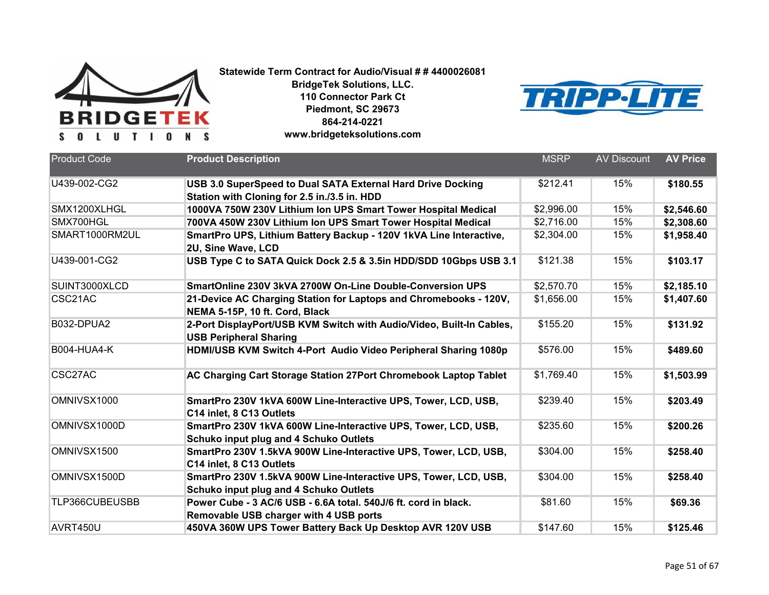



| <b>Product Code</b> | <b>Product Description</b>                                                                                      | <b>MSRP</b> | <b>AV Discount</b> | <b>AV Price</b> |
|---------------------|-----------------------------------------------------------------------------------------------------------------|-------------|--------------------|-----------------|
|                     |                                                                                                                 |             |                    |                 |
| U439-002-CG2        | USB 3.0 SuperSpeed to Dual SATA External Hard Drive Docking                                                     | \$212.41    | 15%                | \$180.55        |
|                     | Station with Cloning for 2.5 in./3.5 in. HDD                                                                    |             |                    |                 |
| SMX1200XLHGL        | 1000VA 750W 230V Lithium Ion UPS Smart Tower Hospital Medical                                                   | \$2,996.00  | 15%                | \$2,546.60      |
| SMX700HGL           | 700VA 450W 230V Lithium Ion UPS Smart Tower Hospital Medical                                                    | \$2,716.00  | 15%                | \$2,308.60      |
| SMART1000RM2UL      | SmartPro UPS, Lithium Battery Backup - 120V 1kVA Line Interactive,<br>2U, Sine Wave, LCD                        | \$2,304.00  | 15%                | \$1,958.40      |
| U439-001-CG2        | USB Type C to SATA Quick Dock 2.5 & 3.5in HDD/SDD 10Gbps USB 3.1                                                | \$121.38    | 15%                | \$103.17        |
| SUINT3000XLCD       | SmartOnline 230V 3kVA 2700W On-Line Double-Conversion UPS                                                       | \$2,570.70  | 15%                | \$2,185.10      |
| CSC21AC             | 21-Device AC Charging Station for Laptops and Chromebooks - 120V,<br>NEMA 5-15P, 10 ft. Cord, Black             | \$1,656.00  | 15%                | \$1,407.60      |
| B032-DPUA2          | 2-Port DisplayPort/USB KVM Switch with Audio/Video, Built-In Cables,<br><b>USB Peripheral Sharing</b>           | \$155.20    | 15%                | \$131.92        |
| <b>B004-HUA4-K</b>  | HDMI/USB KVM Switch 4-Port Audio Video Peripheral Sharing 1080p                                                 | \$576.00    | 15%                | \$489.60        |
| CSC27AC             | AC Charging Cart Storage Station 27Port Chromebook Laptop Tablet                                                | \$1,769.40  | 15%                | \$1,503.99      |
| OMNIVSX1000         | SmartPro 230V 1kVA 600W Line-Interactive UPS, Tower, LCD, USB,<br>C14 inlet, 8 C13 Outlets                      | \$239.40    | 15%                | \$203.49        |
| OMNIVSX1000D        | SmartPro 230V 1kVA 600W Line-Interactive UPS, Tower, LCD, USB,<br><b>Schuko input plug and 4 Schuko Outlets</b> | \$235.60    | 15%                | \$200.26        |
| OMNIVSX1500         | SmartPro 230V 1.5kVA 900W Line-Interactive UPS, Tower, LCD, USB,<br>C14 inlet, 8 C13 Outlets                    | \$304.00    | 15%                | \$258.40        |
| OMNIVSX1500D        | SmartPro 230V 1.5kVA 900W Line-Interactive UPS, Tower, LCD, USB,<br>Schuko input plug and 4 Schuko Outlets      | \$304.00    | 15%                | \$258.40        |
| TLP366CUBEUSBB      | Power Cube - 3 AC/6 USB - 6.6A total. 540J/6 ft. cord in black.<br>Removable USB charger with 4 USB ports       | \$81.60     | 15%                | \$69.36         |
| AVRT450U            | 450VA 360W UPS Tower Battery Back Up Desktop AVR 120V USB                                                       | \$147.60    | 15%                | \$125.46        |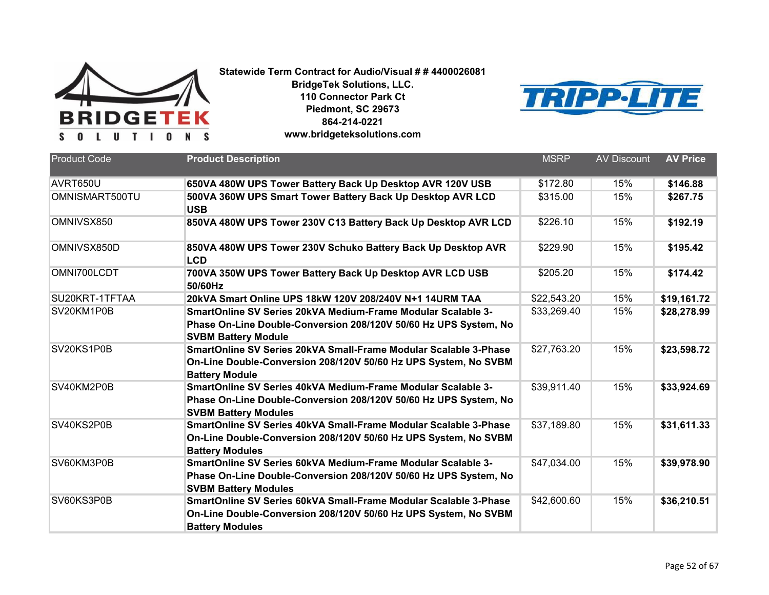



| <b>Product Code</b> | <b>Product Description</b>                                                                                                                                      | <b>MSRP</b> | <b>AV Discount</b> | <b>AV Price</b> |
|---------------------|-----------------------------------------------------------------------------------------------------------------------------------------------------------------|-------------|--------------------|-----------------|
| AVRT650U            | 650VA 480W UPS Tower Battery Back Up Desktop AVR 120V USB                                                                                                       | \$172.80    | 15%                | \$146.88        |
| OMNISMART500TU      | 500VA 360W UPS Smart Tower Battery Back Up Desktop AVR LCD<br><b>USB</b>                                                                                        | \$315.00    | 15%                | \$267.75        |
| OMNIVSX850          | 850VA 480W UPS Tower 230V C13 Battery Back Up Desktop AVR LCD                                                                                                   | \$226.10    | 15%                | \$192.19        |
| OMNIVSX850D         | 850VA 480W UPS Tower 230V Schuko Battery Back Up Desktop AVR<br><b>LCD</b>                                                                                      | \$229.90    | 15%                | \$195.42        |
| OMNI700LCDT         | 700VA 350W UPS Tower Battery Back Up Desktop AVR LCD USB<br>50/60Hz                                                                                             | \$205.20    | 15%                | \$174.42        |
| SU20KRT-1TFTAA      | 20kVA Smart Online UPS 18kW 120V 208/240V N+1 14URM TAA                                                                                                         | \$22,543.20 | 15%                | \$19,161.72     |
| SV20KM1P0B          | SmartOnline SV Series 20kVA Medium-Frame Modular Scalable 3-<br>Phase On-Line Double-Conversion 208/120V 50/60 Hz UPS System, No<br><b>SVBM Battery Module</b>  | \$33,269.40 | 15%                | \$28,278.99     |
| SV20KS1P0B          | SmartOnline SV Series 20kVA Small-Frame Modular Scalable 3-Phase<br>On-Line Double-Conversion 208/120V 50/60 Hz UPS System, No SVBM<br><b>Battery Module</b>    | \$27,763.20 | 15%                | \$23,598.72     |
| SV40KM2P0B          | SmartOnline SV Series 40kVA Medium-Frame Modular Scalable 3-<br>Phase On-Line Double-Conversion 208/120V 50/60 Hz UPS System, No<br><b>SVBM Battery Modules</b> | \$39,911.40 | 15%                | \$33,924.69     |
| SV40KS2P0B          | SmartOnline SV Series 40kVA Small-Frame Modular Scalable 3-Phase<br>On-Line Double-Conversion 208/120V 50/60 Hz UPS System, No SVBM<br><b>Battery Modules</b>   | \$37,189.80 | 15%                | \$31,611.33     |
| SV60KM3P0B          | SmartOnline SV Series 60kVA Medium-Frame Modular Scalable 3-<br>Phase On-Line Double-Conversion 208/120V 50/60 Hz UPS System, No<br><b>SVBM Battery Modules</b> | \$47,034.00 | 15%                | \$39,978.90     |
| SV60KS3P0B          | SmartOnline SV Series 60kVA Small-Frame Modular Scalable 3-Phase<br>On-Line Double-Conversion 208/120V 50/60 Hz UPS System, No SVBM<br><b>Battery Modules</b>   | \$42,600.60 | 15%                | \$36,210.51     |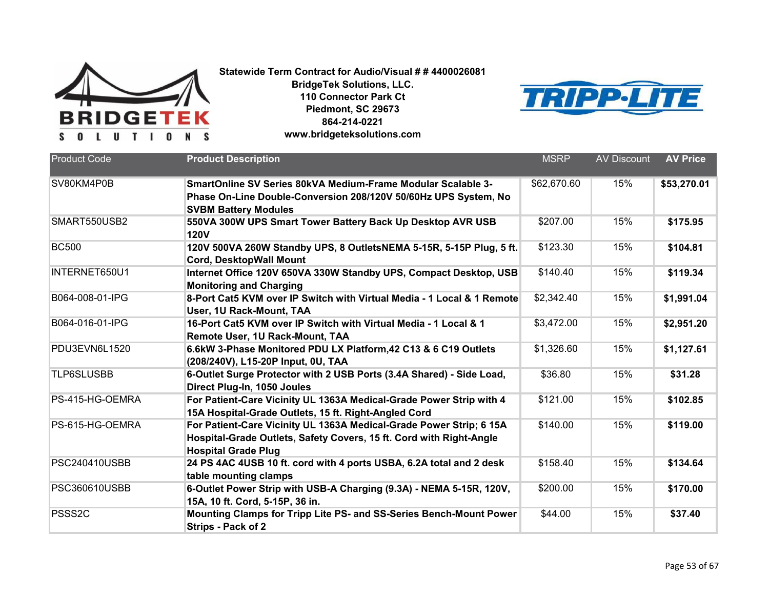



| <b>Product Code</b>  | <b>Product Description</b>                                                                                                                                               | <b>MSRP</b> | <b>AV Discount</b> | <b>AV Price</b> |
|----------------------|--------------------------------------------------------------------------------------------------------------------------------------------------------------------------|-------------|--------------------|-----------------|
| SV80KM4P0B           | SmartOnline SV Series 80kVA Medium-Frame Modular Scalable 3-<br>Phase On-Line Double-Conversion 208/120V 50/60Hz UPS System, No<br><b>SVBM Battery Modules</b>           | \$62,670.60 | 15%                | \$53,270.01     |
| SMART550USB2         | 550VA 300W UPS Smart Tower Battery Back Up Desktop AVR USB<br><b>120V</b>                                                                                                | \$207.00    | 15%                | \$175.95        |
| <b>BC500</b>         | 120V 500VA 260W Standby UPS, 8 OutletsNEMA 5-15R, 5-15P Plug, 5 ft.<br><b>Cord, DesktopWall Mount</b>                                                                    | \$123.30    | 15%                | \$104.81        |
| INTERNET650U1        | Internet Office 120V 650VA 330W Standby UPS, Compact Desktop, USB<br><b>Monitoring and Charging</b>                                                                      | \$140.40    | 15%                | \$119.34        |
| B064-008-01-IPG      | 8-Port Cat5 KVM over IP Switch with Virtual Media - 1 Local & 1 Remote<br>User, 1U Rack-Mount, TAA                                                                       | \$2,342.40  | 15%                | \$1,991.04      |
| B064-016-01-IPG      | 16-Port Cat5 KVM over IP Switch with Virtual Media - 1 Local & 1<br>Remote User, 1U Rack-Mount, TAA                                                                      | \$3,472.00  | 15%                | \$2,951.20      |
| PDU3EVN6L1520        | 6.6kW 3-Phase Monitored PDU LX Platform, 42 C13 & 6 C19 Outlets<br>(208/240V), L15-20P Input, 0U, TAA                                                                    | \$1,326.60  | 15%                | \$1,127.61      |
| <b>TLP6SLUSBB</b>    | 6-Outlet Surge Protector with 2 USB Ports (3.4A Shared) - Side Load,<br>Direct Plug-In, 1050 Joules                                                                      | \$36.80     | 15%                | \$31.28         |
| PS-415-HG-OEMRA      | For Patient-Care Vicinity UL 1363A Medical-Grade Power Strip with 4<br>15A Hospital-Grade Outlets, 15 ft. Right-Angled Cord                                              | \$121.00    | 15%                | \$102.85        |
| PS-615-HG-OEMRA      | For Patient-Care Vicinity UL 1363A Medical-Grade Power Strip; 6 15A<br>Hospital-Grade Outlets, Safety Covers, 15 ft. Cord with Right-Angle<br><b>Hospital Grade Plug</b> | \$140.00    | 15%                | \$119.00        |
| <b>PSC240410USBB</b> | 24 PS 4AC 4USB 10 ft. cord with 4 ports USBA, 6.2A total and 2 desk<br>table mounting clamps                                                                             | \$158.40    | 15%                | \$134.64        |
| PSC360610USBB        | 6-Outlet Power Strip with USB-A Charging (9.3A) - NEMA 5-15R, 120V,<br>15A, 10 ft. Cord, 5-15P, 36 in.                                                                   | \$200.00    | 15%                | \$170.00        |
| PSSS <sub>2C</sub>   | Mounting Clamps for Tripp Lite PS- and SS-Series Bench-Mount Power<br><b>Strips - Pack of 2</b>                                                                          | \$44.00     | 15%                | \$37.40         |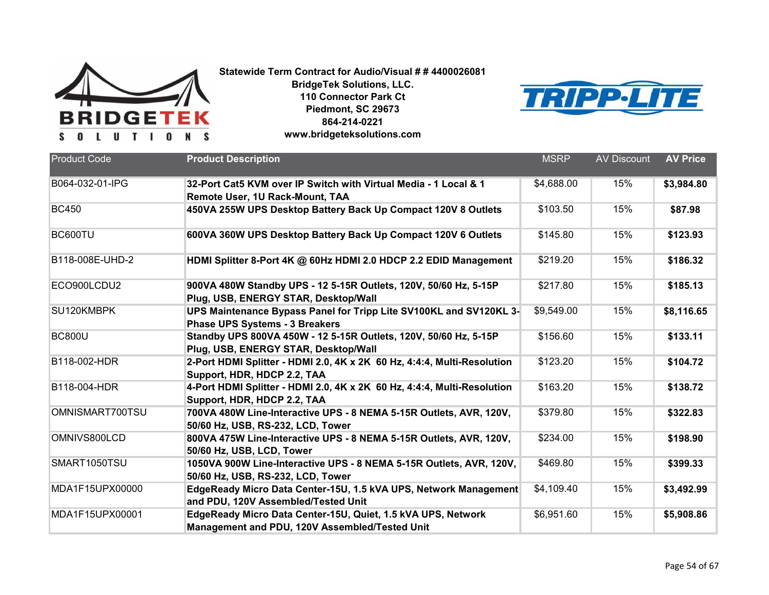



| <b>Product Code</b> | <b>Product Description</b>                                                                                     | <b>MSRP</b> | <b>AV Discount</b> | <b>AV Price</b> |
|---------------------|----------------------------------------------------------------------------------------------------------------|-------------|--------------------|-----------------|
| B064-032-01-IPG     | 32-Port Cat5 KVM over IP Switch with Virtual Media - 1 Local & 1<br>Remote User, 1U Rack-Mount, TAA            | \$4,688.00  | 15%                | \$3,984.80      |
| <b>BC450</b>        | 450VA 255W UPS Desktop Battery Back Up Compact 120V 8 Outlets                                                  | \$103.50    | 15%                | \$87.98         |
| BC600TU             | 600VA 360W UPS Desktop Battery Back Up Compact 120V 6 Outlets                                                  | \$145.80    | 15%                | \$123.93        |
| B118-008E-UHD-2     | HDMI Splitter 8-Port 4K @ 60Hz HDMI 2.0 HDCP 2.2 EDID Management                                               | \$219.20    | 15%                | \$186.32        |
| ECO900LCDU2         | 900VA 480W Standby UPS - 12 5-15R Outlets, 120V, 50/60 Hz, 5-15P<br>Plug, USB, ENERGY STAR, Desktop/Wall       | \$217.80    | 15%                | \$185.13        |
| SU120KMBPK          | UPS Maintenance Bypass Panel for Tripp Lite SV100KL and SV120KL 3-<br><b>Phase UPS Systems - 3 Breakers</b>    | \$9,549.00  | 15%                | \$8,116.65      |
| <b>BC800U</b>       | Standby UPS 800VA 450W - 12 5-15R Outlets, 120V, 50/60 Hz, 5-15P<br>Plug, USB, ENERGY STAR, Desktop/Wall       | \$156.60    | 15%                | \$133.11        |
| B118-002-HDR        | 2-Port HDMI Splitter - HDMI 2.0, 4K x 2K 60 Hz, 4:4:4, Multi-Resolution<br>Support, HDR, HDCP 2.2, TAA         | \$123.20    | 15%                | \$104.72        |
| B118-004-HDR        | 4-Port HDMI Splitter - HDMI 2.0, 4K x 2K 60 Hz, 4:4:4, Multi-Resolution<br>Support, HDR, HDCP 2.2, TAA         | \$163.20    | 15%                | \$138.72        |
| OMNISMART700TSU     | 700VA 480W Line-Interactive UPS - 8 NEMA 5-15R Outlets, AVR, 120V,<br>50/60 Hz, USB, RS-232, LCD, Tower        | \$379.80    | 15%                | \$322.83        |
| OMNIVS800LCD        | 800VA 475W Line-Interactive UPS - 8 NEMA 5-15R Outlets, AVR, 120V,<br>50/60 Hz, USB, LCD, Tower                | \$234.00    | 15%                | \$198.90        |
| SMART1050TSU        | 1050VA 900W Line-Interactive UPS - 8 NEMA 5-15R Outlets, AVR, 120V,<br>50/60 Hz, USB, RS-232, LCD, Tower       | \$469.80    | 15%                | \$399.33        |
| MDA1F15UPX00000     | EdgeReady Micro Data Center-15U, 1.5 kVA UPS, Network Management<br>and PDU, 120V Assembled/Tested Unit        | \$4,109.40  | 15%                | \$3,492.99      |
| MDA1F15UPX00001     | EdgeReady Micro Data Center-15U, Quiet, 1.5 kVA UPS, Network<br>Management and PDU, 120V Assembled/Tested Unit | \$6,951.60  | 15%                | \$5,908.86      |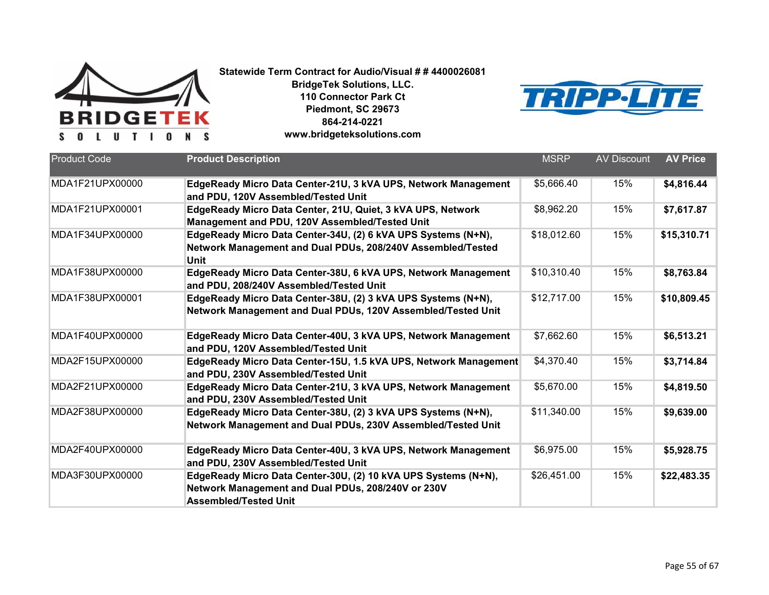



| <b>Product Code</b> | <b>Product Description</b>                                                                                                                           | <b>MSRP</b> | <b>AV Discount</b> | <b>AV Price</b> |
|---------------------|------------------------------------------------------------------------------------------------------------------------------------------------------|-------------|--------------------|-----------------|
|                     |                                                                                                                                                      |             |                    |                 |
| MDA1F21UPX00000     | EdgeReady Micro Data Center-21U, 3 kVA UPS, Network Management<br>and PDU, 120V Assembled/Tested Unit                                                | \$5,666.40  | 15%                | \$4,816.44      |
| MDA1F21UPX00001     | EdgeReady Micro Data Center, 21U, Quiet, 3 kVA UPS, Network<br>Management and PDU, 120V Assembled/Tested Unit                                        | \$8,962.20  | 15%                | \$7,617.87      |
| MDA1F34UPX00000     | EdgeReady Micro Data Center-34U, (2) 6 kVA UPS Systems (N+N),<br>Network Management and Dual PDUs, 208/240V Assembled/Tested<br><b>Unit</b>          | \$18,012.60 | 15%                | \$15,310.71     |
| MDA1F38UPX00000     | EdgeReady Micro Data Center-38U, 6 kVA UPS, Network Management<br>and PDU, 208/240V Assembled/Tested Unit                                            | \$10,310.40 | 15%                | \$8,763.84      |
| MDA1F38UPX00001     | EdgeReady Micro Data Center-38U, (2) 3 kVA UPS Systems (N+N),<br>Network Management and Dual PDUs, 120V Assembled/Tested Unit                        | \$12,717.00 | 15%                | \$10,809.45     |
| MDA1F40UPX00000     | EdgeReady Micro Data Center-40U, 3 kVA UPS, Network Management<br>and PDU, 120V Assembled/Tested Unit                                                | \$7,662.60  | 15%                | \$6,513.21      |
| MDA2F15UPX00000     | EdgeReady Micro Data Center-15U, 1.5 kVA UPS, Network Management<br>and PDU, 230V Assembled/Tested Unit                                              | \$4,370.40  | 15%                | \$3,714.84      |
| MDA2F21UPX00000     | EdgeReady Micro Data Center-21U, 3 kVA UPS, Network Management<br>and PDU, 230V Assembled/Tested Unit                                                | \$5,670.00  | 15%                | \$4,819.50      |
| MDA2F38UPX00000     | EdgeReady Micro Data Center-38U, (2) 3 kVA UPS Systems (N+N),<br>Network Management and Dual PDUs, 230V Assembled/Tested Unit                        | \$11,340.00 | 15%                | \$9,639.00      |
| MDA2F40UPX00000     | EdgeReady Micro Data Center-40U, 3 kVA UPS, Network Management<br>and PDU, 230V Assembled/Tested Unit                                                | \$6,975.00  | 15%                | \$5,928.75      |
| MDA3F30UPX00000     | EdgeReady Micro Data Center-30U, (2) 10 kVA UPS Systems (N+N),<br>Network Management and Dual PDUs, 208/240V or 230V<br><b>Assembled/Tested Unit</b> | \$26,451.00 | 15%                | \$22,483.35     |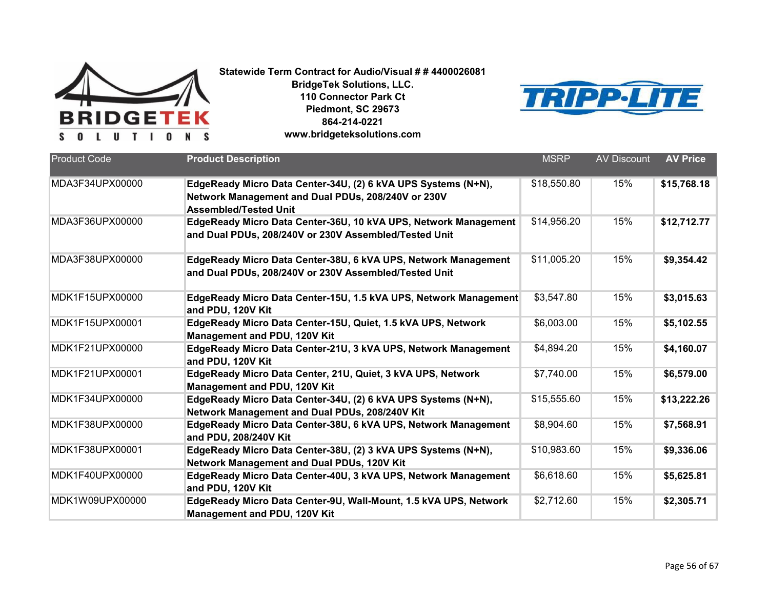



| <b>Product Code</b> | <b>Product Description</b>                                                                                                                          | <b>MSRP</b> | <b>AV Discount</b> | <b>AV Price</b> |
|---------------------|-----------------------------------------------------------------------------------------------------------------------------------------------------|-------------|--------------------|-----------------|
| MDA3F34UPX00000     | EdgeReady Micro Data Center-34U, (2) 6 kVA UPS Systems (N+N),<br>Network Management and Dual PDUs, 208/240V or 230V<br><b>Assembled/Tested Unit</b> | \$18,550.80 | 15%                | \$15,768.18     |
| MDA3F36UPX00000     | EdgeReady Micro Data Center-36U, 10 kVA UPS, Network Management<br>and Dual PDUs, 208/240V or 230V Assembled/Tested Unit                            | \$14,956.20 | 15%                | \$12,712.77     |
| MDA3F38UPX00000     | EdgeReady Micro Data Center-38U, 6 kVA UPS, Network Management<br>and Dual PDUs, 208/240V or 230V Assembled/Tested Unit                             | \$11,005.20 | 15%                | \$9,354.42      |
| MDK1F15UPX00000     | EdgeReady Micro Data Center-15U, 1.5 kVA UPS, Network Management<br>and PDU, 120V Kit                                                               | \$3,547.80  | 15%                | \$3,015.63      |
| MDK1F15UPX00001     | EdgeReady Micro Data Center-15U, Quiet, 1.5 kVA UPS, Network<br>Management and PDU, 120V Kit                                                        | \$6,003.00  | 15%                | \$5,102.55      |
| MDK1F21UPX00000     | EdgeReady Micro Data Center-21U, 3 kVA UPS, Network Management<br>and PDU, 120V Kit                                                                 | \$4,894.20  | 15%                | \$4,160.07      |
| MDK1F21UPX00001     | EdgeReady Micro Data Center, 21U, Quiet, 3 kVA UPS, Network<br>Management and PDU, 120V Kit                                                         | \$7,740.00  | 15%                | \$6,579.00      |
| MDK1F34UPX00000     | EdgeReady Micro Data Center-34U, (2) 6 kVA UPS Systems (N+N),<br>Network Management and Dual PDUs, 208/240V Kit                                     | \$15,555.60 | 15%                | \$13,222.26     |
| MDK1F38UPX00000     | EdgeReady Micro Data Center-38U, 6 kVA UPS, Network Management<br>and PDU, 208/240V Kit                                                             | \$8,904.60  | 15%                | \$7,568.91      |
| MDK1F38UPX00001     | EdgeReady Micro Data Center-38U, (2) 3 kVA UPS Systems (N+N),<br>Network Management and Dual PDUs, 120V Kit                                         | \$10,983.60 | 15%                | \$9,336.06      |
| MDK1F40UPX00000     | EdgeReady Micro Data Center-40U, 3 kVA UPS, Network Management<br>and PDU, 120V Kit                                                                 | \$6,618.60  | 15%                | \$5,625.81      |
| MDK1W09UPX00000     | EdgeReady Micro Data Center-9U, Wall-Mount, 1.5 kVA UPS, Network<br>Management and PDU, 120V Kit                                                    | \$2,712.60  | 15%                | \$2,305.71      |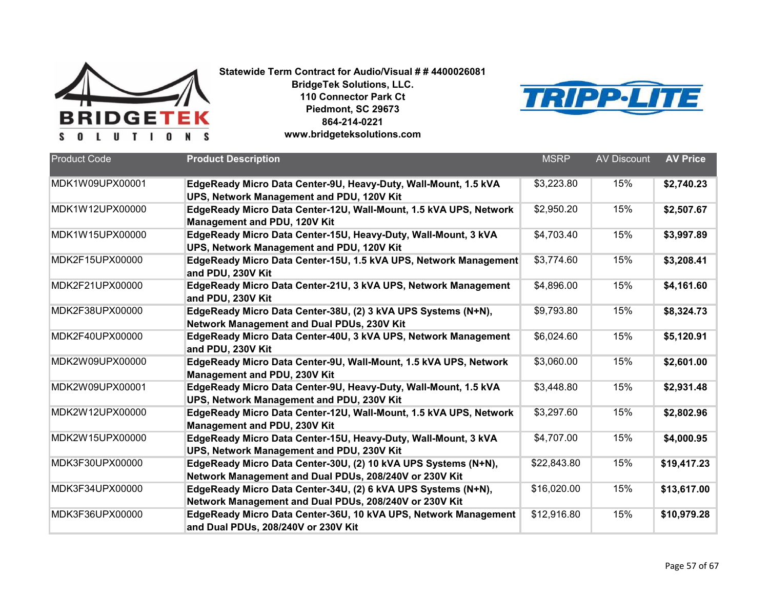



| <b>Product Code</b> | <b>Product Description</b>                                        | <b>MSRP</b> | <b>AV Discount</b> | <b>AV Price</b> |
|---------------------|-------------------------------------------------------------------|-------------|--------------------|-----------------|
|                     |                                                                   |             |                    |                 |
| MDK1W09UPX00001     | EdgeReady Micro Data Center-9U, Heavy-Duty, Wall-Mount, 1.5 kVA   | \$3,223.80  | 15%                | \$2,740.23      |
|                     | UPS, Network Management and PDU, 120V Kit                         |             |                    |                 |
| MDK1W12UPX00000     | EdgeReady Micro Data Center-12U, Wall-Mount, 1.5 kVA UPS, Network | \$2,950.20  | 15%                | \$2,507.67      |
|                     | Management and PDU, 120V Kit                                      |             |                    |                 |
| MDK1W15UPX00000     | EdgeReady Micro Data Center-15U, Heavy-Duty, Wall-Mount, 3 kVA    | \$4,703.40  | 15%                | \$3,997.89      |
|                     | UPS, Network Management and PDU, 120V Kit                         |             |                    |                 |
| MDK2F15UPX00000     | EdgeReady Micro Data Center-15U, 1.5 kVA UPS, Network Management  | \$3,774.60  | 15%                | \$3,208.41      |
|                     | and PDU, 230V Kit                                                 |             |                    |                 |
| MDK2F21UPX00000     | EdgeReady Micro Data Center-21U, 3 kVA UPS, Network Management    | \$4,896.00  | 15%                | \$4,161.60      |
|                     | and PDU, 230V Kit                                                 |             |                    |                 |
| MDK2F38UPX00000     | EdgeReady Micro Data Center-38U, (2) 3 kVA UPS Systems (N+N),     | \$9,793.80  | 15%                | \$8,324.73      |
|                     | Network Management and Dual PDUs, 230V Kit                        |             |                    |                 |
| MDK2F40UPX00000     | EdgeReady Micro Data Center-40U, 3 kVA UPS, Network Management    | \$6,024.60  | 15%                | \$5,120.91      |
|                     | and PDU, 230V Kit                                                 |             |                    |                 |
| MDK2W09UPX00000     | EdgeReady Micro Data Center-9U, Wall-Mount, 1.5 kVA UPS, Network  | \$3,060.00  | 15%                | \$2,601.00      |
|                     | Management and PDU, 230V Kit                                      |             |                    |                 |
| MDK2W09UPX00001     | EdgeReady Micro Data Center-9U, Heavy-Duty, Wall-Mount, 1.5 kVA   | \$3,448.80  | 15%                | \$2,931.48      |
|                     | UPS, Network Management and PDU, 230V Kit                         |             |                    |                 |
| MDK2W12UPX00000     | EdgeReady Micro Data Center-12U, Wall-Mount, 1.5 kVA UPS, Network | \$3,297.60  | 15%                | \$2,802.96      |
|                     | Management and PDU, 230V Kit                                      |             |                    |                 |
| MDK2W15UPX00000     | EdgeReady Micro Data Center-15U, Heavy-Duty, Wall-Mount, 3 kVA    | \$4,707.00  | 15%                | \$4,000.95      |
|                     | UPS, Network Management and PDU, 230V Kit                         |             |                    |                 |
| MDK3F30UPX00000     | EdgeReady Micro Data Center-30U, (2) 10 kVA UPS Systems (N+N),    | \$22,843.80 | 15%                | \$19,417.23     |
|                     | Network Management and Dual PDUs, 208/240V or 230V Kit            |             |                    |                 |
| MDK3F34UPX00000     | EdgeReady Micro Data Center-34U, (2) 6 kVA UPS Systems (N+N),     | \$16,020.00 | 15%                | \$13,617.00     |
|                     | Network Management and Dual PDUs, 208/240V or 230V Kit            |             |                    |                 |
| MDK3F36UPX00000     | EdgeReady Micro Data Center-36U, 10 kVA UPS, Network Management   | \$12,916.80 | 15%                | \$10,979.28     |
|                     | and Dual PDUs, 208/240V or 230V Kit                               |             |                    |                 |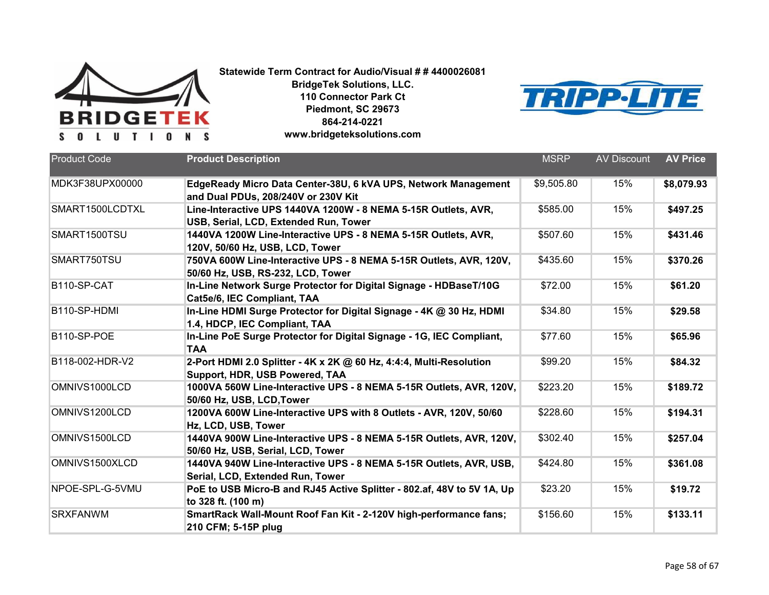



| <b>Product Code</b> | <b>Product Description</b>                                                                               | <b>MSRP</b> | <b>AV Discount</b> | <b>AV Price</b> |
|---------------------|----------------------------------------------------------------------------------------------------------|-------------|--------------------|-----------------|
|                     |                                                                                                          |             |                    |                 |
| MDK3F38UPX00000     | EdgeReady Micro Data Center-38U, 6 kVA UPS, Network Management<br>and Dual PDUs, 208/240V or 230V Kit    | \$9,505.80  | 15%                | \$8,079.93      |
| SMART1500LCDTXL     | Line-Interactive UPS 1440VA 1200W - 8 NEMA 5-15R Outlets, AVR,<br>USB, Serial, LCD, Extended Run, Tower  | \$585.00    | 15%                | \$497.25        |
| SMART1500TSU        | 1440VA 1200W Line-Interactive UPS - 8 NEMA 5-15R Outlets, AVR,<br>120V, 50/60 Hz, USB, LCD, Tower        | \$507.60    | 15%                | \$431.46        |
| SMART750TSU         | 750VA 600W Line-Interactive UPS - 8 NEMA 5-15R Outlets, AVR, 120V,<br>50/60 Hz, USB, RS-232, LCD, Tower  | \$435.60    | 15%                | \$370.26        |
| B110-SP-CAT         | In-Line Network Surge Protector for Digital Signage - HDBaseT/10G<br>Cat5e/6, IEC Compliant, TAA         | \$72.00     | 15%                | \$61.20         |
| B110-SP-HDMI        | In-Line HDMI Surge Protector for Digital Signage - 4K @ 30 Hz, HDMI<br>1.4, HDCP, IEC Compliant, TAA     | \$34.80     | 15%                | \$29.58         |
| B110-SP-POE         | In-Line PoE Surge Protector for Digital Signage - 1G, IEC Compliant,<br><b>TAA</b>                       | \$77.60     | 15%                | \$65.96         |
| B118-002-HDR-V2     | 2-Port HDMI 2.0 Splitter - 4K x 2K @ 60 Hz, 4:4:4, Multi-Resolution<br>Support, HDR, USB Powered, TAA    | \$99.20     | 15%                | \$84.32         |
| OMNIVS1000LCD       | 1000VA 560W Line-Interactive UPS - 8 NEMA 5-15R Outlets, AVR, 120V,<br>50/60 Hz, USB, LCD, Tower         | \$223.20    | 15%                | \$189.72        |
| OMNIVS1200LCD       | 1200VA 600W Line-Interactive UPS with 8 Outlets - AVR, 120V, 50/60<br>Hz, LCD, USB, Tower                | \$228.60    | 15%                | \$194.31        |
| OMNIVS1500LCD       | 1440VA 900W Line-Interactive UPS - 8 NEMA 5-15R Outlets, AVR, 120V,<br>50/60 Hz, USB, Serial, LCD, Tower | \$302.40    | 15%                | \$257.04        |
| OMNIVS1500XLCD      | 1440VA 940W Line-Interactive UPS - 8 NEMA 5-15R Outlets, AVR, USB,<br>Serial, LCD, Extended Run, Tower   | \$424.80    | 15%                | \$361.08        |
| NPOE-SPL-G-5VMU     | PoE to USB Micro-B and RJ45 Active Splitter - 802.af, 48V to 5V 1A, Up<br>to 328 ft. (100 m)             | \$23.20     | 15%                | \$19.72         |
| <b>SRXFANWM</b>     | SmartRack Wall-Mount Roof Fan Kit - 2-120V high-performance fans;<br>210 CFM; 5-15P plug                 | \$156.60    | 15%                | \$133.11        |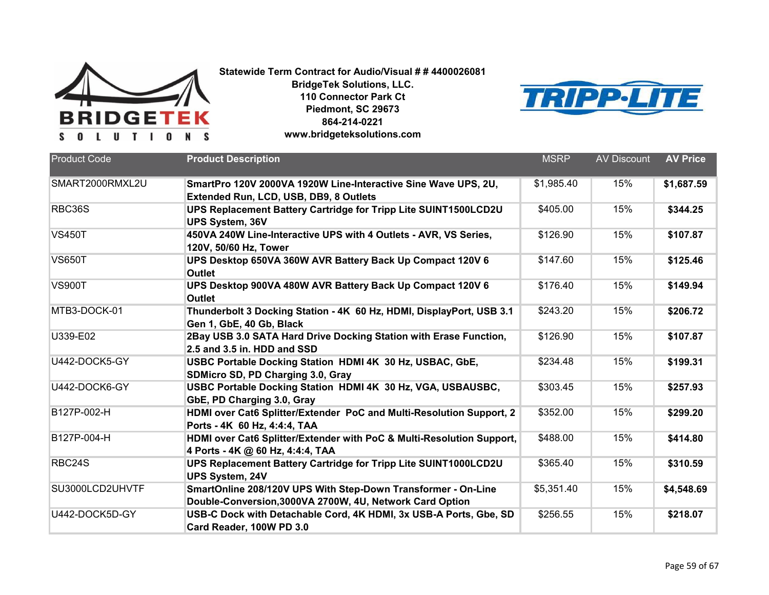



| <b>Product Code</b> | <b>Product Description</b>                                                                       | <b>MSRP</b> | <b>AV Discount</b> | <b>AV Price</b> |
|---------------------|--------------------------------------------------------------------------------------------------|-------------|--------------------|-----------------|
|                     |                                                                                                  |             |                    |                 |
| SMART2000RMXL2U     | SmartPro 120V 2000VA 1920W Line-Interactive Sine Wave UPS, 2U,                                   | \$1,985.40  | 15%                | \$1,687.59      |
|                     | Extended Run, LCD, USB, DB9, 8 Outlets                                                           |             |                    |                 |
| RBC36S              | UPS Replacement Battery Cartridge for Tripp Lite SUINT1500LCD2U                                  | \$405.00    | 15%                | \$344.25        |
|                     | <b>UPS System, 36V</b>                                                                           |             |                    |                 |
| <b>VS450T</b>       | 450VA 240W Line-Interactive UPS with 4 Outlets - AVR, VS Series,                                 | \$126.90    | 15%                | \$107.87        |
|                     | 120V, 50/60 Hz, Tower                                                                            |             |                    |                 |
| <b>VS650T</b>       | UPS Desktop 650VA 360W AVR Battery Back Up Compact 120V 6                                        | \$147.60    | 15%                | \$125.46        |
|                     | Outlet                                                                                           |             |                    |                 |
| <b>VS900T</b>       | UPS Desktop 900VA 480W AVR Battery Back Up Compact 120V 6                                        | \$176.40    | 15%                | \$149.94        |
|                     | <b>Outlet</b>                                                                                    |             |                    |                 |
| MTB3-DOCK-01        | Thunderbolt 3 Docking Station - 4K 60 Hz, HDMI, DisplayPort, USB 3.1<br>Gen 1, GbE, 40 Gb, Black | \$243.20    | 15%                | \$206.72        |
| U339-E02            | 2Bay USB 3.0 SATA Hard Drive Docking Station with Erase Function,                                | \$126.90    | 15%                | \$107.87        |
|                     | 2.5 and 3.5 in. HDD and SSD                                                                      |             |                    |                 |
| U442-DOCK5-GY       | USBC Portable Docking Station HDMI 4K 30 Hz, USBAC, GbE,                                         | \$234.48    | 15%                | \$199.31        |
|                     | SDMicro SD, PD Charging 3.0, Gray                                                                |             |                    |                 |
| U442-DOCK6-GY       | USBC Portable Docking Station HDMI 4K 30 Hz, VGA, USBAUSBC,                                      | \$303.45    | 15%                | \$257.93        |
|                     | GbE, PD Charging 3.0, Gray                                                                       |             |                    |                 |
| B127P-002-H         | HDMI over Cat6 Splitter/Extender PoC and Multi-Resolution Support, 2                             | \$352.00    | 15%                | \$299.20        |
|                     | Ports - 4K 60 Hz, 4:4:4, TAA                                                                     |             |                    |                 |
| B127P-004-H         | HDMI over Cat6 Splitter/Extender with PoC & Multi-Resolution Support,                            | \$488.00    | 15%                | \$414.80        |
|                     | 4 Ports - 4K @ 60 Hz, 4:4:4, TAA                                                                 |             |                    |                 |
| RBC24S              | UPS Replacement Battery Cartridge for Tripp Lite SUINT1000LCD2U                                  | \$365.40    | 15%                | \$310.59        |
|                     | <b>UPS System, 24V</b>                                                                           |             |                    |                 |
| SU3000LCD2UHVTF     | SmartOnline 208/120V UPS With Step-Down Transformer - On-Line                                    | \$5,351.40  | 15%                | \$4,548.69      |
|                     | Double-Conversion, 3000VA 2700W, 4U, Network Card Option                                         |             |                    |                 |
| U442-DOCK5D-GY      | USB-C Dock with Detachable Cord, 4K HDMI, 3x USB-A Ports, Gbe, SD                                | \$256.55    | 15%                | \$218.07        |
|                     | Card Reader, 100W PD 3.0                                                                         |             |                    |                 |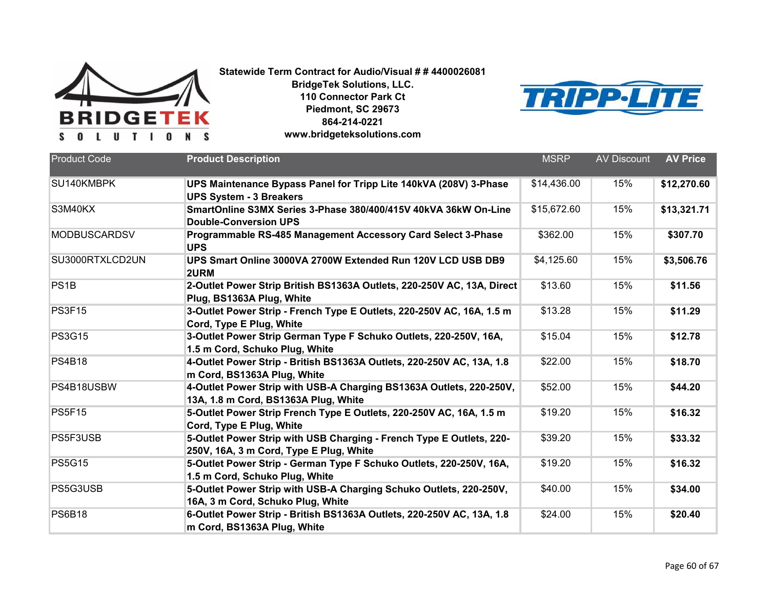



| <b>Product Code</b> | <b>Product Description</b>                                                                        | <b>MSRP</b> | <b>AV Discount</b> | <b>AV Price</b> |
|---------------------|---------------------------------------------------------------------------------------------------|-------------|--------------------|-----------------|
|                     |                                                                                                   |             |                    |                 |
| SU140KMBPK          | UPS Maintenance Bypass Panel for Tripp Lite 140kVA (208V) 3-Phase                                 | \$14,436.00 | 15%                | \$12,270.60     |
|                     | <b>UPS System - 3 Breakers</b>                                                                    |             |                    |                 |
| S3M40KX             | SmartOnline S3MX Series 3-Phase 380/400/415V 40kVA 36kW On-Line                                   | \$15,672.60 | 15%                | \$13,321.71     |
|                     | <b>Double-Conversion UPS</b>                                                                      |             |                    |                 |
| <b>MODBUSCARDSV</b> | Programmable RS-485 Management Accessory Card Select 3-Phase<br><b>UPS</b>                        | \$362.00    | 15%                | \$307.70        |
| SU3000RTXLCD2UN     | UPS Smart Online 3000VA 2700W Extended Run 120V LCD USB DB9<br>2URM                               | \$4,125.60  | 15%                | \$3,506.76      |
| PS <sub>1</sub> B   | 2-Outlet Power Strip British BS1363A Outlets, 220-250V AC, 13A, Direct                            | \$13.60     | 15%                | \$11.56         |
|                     | Plug, BS1363A Plug, White                                                                         |             |                    |                 |
| <b>PS3F15</b>       | 3-Outlet Power Strip - French Type E Outlets, 220-250V AC, 16A, 1.5 m<br>Cord, Type E Plug, White | \$13.28     | 15%                | \$11.29         |
| <b>PS3G15</b>       | 3-Outlet Power Strip German Type F Schuko Outlets, 220-250V, 16A,                                 | \$15.04     | 15%                | \$12.78         |
|                     | 1.5 m Cord, Schuko Plug, White                                                                    |             |                    |                 |
| <b>PS4B18</b>       | 4-Outlet Power Strip - British BS1363A Outlets, 220-250V AC, 13A, 1.8                             | \$22.00     | 15%                | \$18.70         |
|                     | m Cord, BS1363A Plug, White                                                                       |             |                    |                 |
| PS4B18USBW          | 4-Outlet Power Strip with USB-A Charging BS1363A Outlets, 220-250V,                               | \$52.00     | 15%                | \$44.20         |
|                     | 13A, 1.8 m Cord, BS1363A Plug, White                                                              |             |                    |                 |
| <b>PS5F15</b>       | 5-Outlet Power Strip French Type E Outlets, 220-250V AC, 16A, 1.5 m<br>Cord, Type E Plug, White   | \$19.20     | 15%                | \$16.32         |
| PS5F3USB            | 5-Outlet Power Strip with USB Charging - French Type E Outlets, 220-                              | \$39.20     | 15%                | \$33.32         |
|                     | 250V, 16A, 3 m Cord, Type E Plug, White                                                           |             |                    |                 |
| <b>PS5G15</b>       | 5-Outlet Power Strip - German Type F Schuko Outlets, 220-250V, 16A,                               | \$19.20     | 15%                | \$16.32         |
|                     | 1.5 m Cord, Schuko Plug, White                                                                    |             |                    |                 |
| PS5G3USB            | 5-Outlet Power Strip with USB-A Charging Schuko Outlets, 220-250V,                                | \$40.00     | 15%                | \$34.00         |
|                     | 16A, 3 m Cord, Schuko Plug, White                                                                 |             |                    |                 |
| <b>PS6B18</b>       | 6-Outlet Power Strip - British BS1363A Outlets, 220-250V AC, 13A, 1.8                             | \$24.00     | 15%                | \$20.40         |
|                     | m Cord, BS1363A Plug, White                                                                       |             |                    |                 |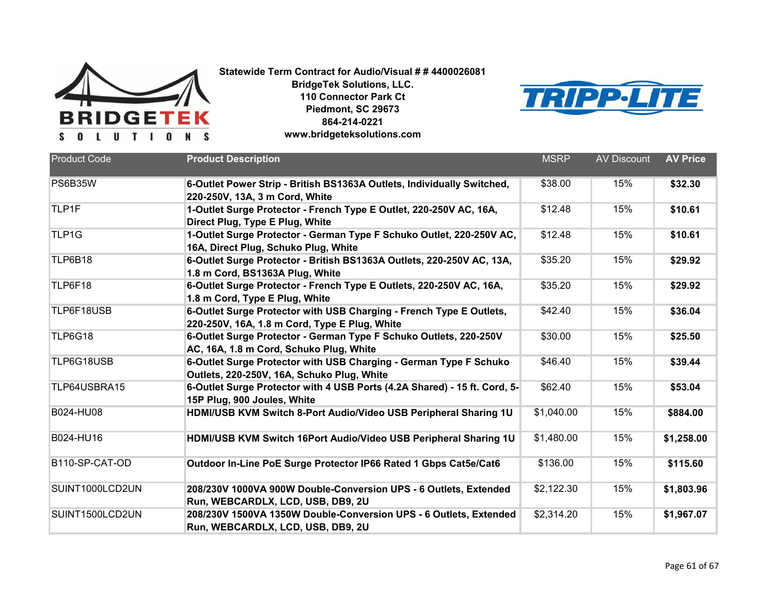



| <b>Product Code</b> | <b>Product Description</b>                                                                                           | <b>MSRP</b> | <b>AV Discount</b> | <b>AV Price</b> |
|---------------------|----------------------------------------------------------------------------------------------------------------------|-------------|--------------------|-----------------|
|                     |                                                                                                                      |             |                    |                 |
| PS6B35W             | 6-Outlet Power Strip - British BS1363A Outlets, Individually Switched,<br>220-250V, 13A, 3 m Cord, White             | \$38.00     | 15%                | \$32.30         |
| TLP1F               | 1-Outlet Surge Protector - French Type E Outlet, 220-250V AC, 16A,<br>Direct Plug, Type E Plug, White                | \$12.48     | 15%                | \$10.61         |
| TLP1G               | 1-Outlet Surge Protector - German Type F Schuko Outlet, 220-250V AC,<br>16A, Direct Plug, Schuko Plug, White         | \$12.48     | 15%                | \$10.61         |
| TLP6B18             | 6-Outlet Surge Protector - British BS1363A Outlets, 220-250V AC, 13A,<br>1.8 m Cord, BS1363A Plug, White             | \$35.20     | 15%                | \$29.92         |
| TLP6F18             | 6-Outlet Surge Protector - French Type E Outlets, 220-250V AC, 16A,<br>1.8 m Cord, Type E Plug, White                | \$35.20     | 15%                | \$29.92         |
| TLP6F18USB          | 6-Outlet Surge Protector with USB Charging - French Type E Outlets,<br>220-250V, 16A, 1.8 m Cord, Type E Plug, White | \$42.40     | 15%                | \$36.04         |
| <b>TLP6G18</b>      | 6-Outlet Surge Protector - German Type F Schuko Outlets, 220-250V<br>AC, 16A, 1.8 m Cord, Schuko Plug, White         | \$30.00     | 15%                | \$25.50         |
| TLP6G18USB          | 6-Outlet Surge Protector with USB Charging - German Type F Schuko<br>Outlets, 220-250V, 16A, Schuko Plug, White      | \$46.40     | 15%                | \$39.44         |
| TLP64USBRA15        | 6-Outlet Surge Protector with 4 USB Ports (4.2A Shared) - 15 ft. Cord, 5-<br>15P Plug, 900 Joules, White             | \$62.40     | 15%                | \$53.04         |
| B024-HU08           | HDMI/USB KVM Switch 8-Port Audio/Video USB Peripheral Sharing 1U                                                     | \$1,040.00  | 15%                | \$884.00        |
| B024-HU16           | HDMI/USB KVM Switch 16Port Audio/Video USB Peripheral Sharing 1U                                                     | \$1,480.00  | 15%                | \$1,258.00      |
| B110-SP-CAT-OD      | Outdoor In-Line PoE Surge Protector IP66 Rated 1 Gbps Cat5e/Cat6                                                     | \$136.00    | 15%                | \$115.60        |
| SUINT1000LCD2UN     | 208/230V 1000VA 900W Double-Conversion UPS - 6 Outlets, Extended<br>Run, WEBCARDLX, LCD, USB, DB9, 2U                | \$2,122.30  | 15%                | \$1,803.96      |
| SUINT1500LCD2UN     | 208/230V 1500VA 1350W Double-Conversion UPS - 6 Outlets, Extended<br>Run, WEBCARDLX, LCD, USB, DB9, 2U               | \$2,314.20  | 15%                | \$1,967.07      |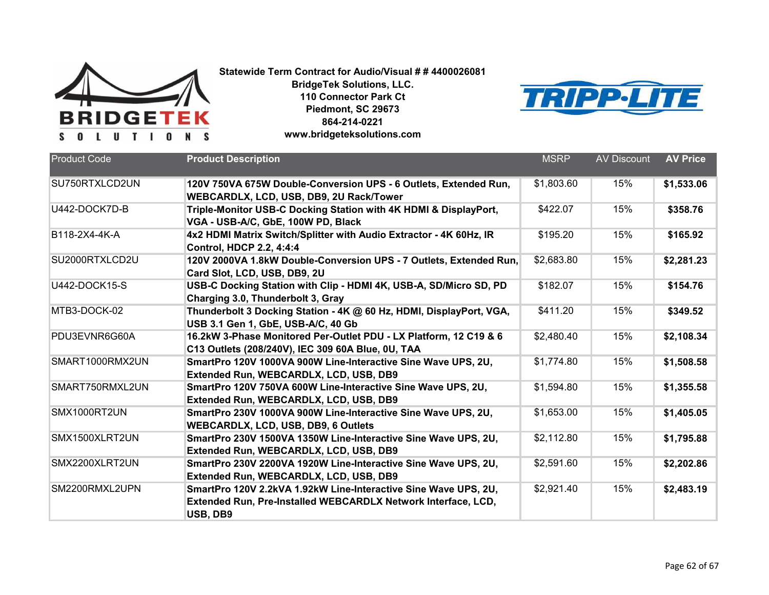



| <b>Product Code</b>  | <b>Product Description</b>                                                                                                                   | <b>MSRP</b> | <b>AV Discount</b> | <b>AV Price</b> |
|----------------------|----------------------------------------------------------------------------------------------------------------------------------------------|-------------|--------------------|-----------------|
| SU750RTXLCD2UN       | 120V 750VA 675W Double-Conversion UPS - 6 Outlets, Extended Run,<br>WEBCARDLX, LCD, USB, DB9, 2U Rack/Tower                                  | \$1,803.60  | 15%                | \$1,533.06      |
| U442-DOCK7D-B        | Triple-Monitor USB-C Docking Station with 4K HDMI & DisplayPort,<br>VGA - USB-A/C, GbE, 100W PD, Black                                       | \$422.07    | 15%                | \$358.76        |
| B118-2X4-4K-A        | 4x2 HDMI Matrix Switch/Splitter with Audio Extractor - 4K 60Hz, IR<br><b>Control, HDCP 2.2, 4:4:4</b>                                        | \$195.20    | 15%                | \$165.92        |
| SU2000RTXLCD2U       | 120V 2000VA 1.8kW Double-Conversion UPS - 7 Outlets, Extended Run,<br>Card Slot, LCD, USB, DB9, 2U                                           | \$2,683.80  | 15%                | \$2,281.23      |
| <b>U442-DOCK15-S</b> | USB-C Docking Station with Clip - HDMI 4K, USB-A, SD/Micro SD, PD<br>Charging 3.0, Thunderbolt 3, Gray                                       | \$182.07    | 15%                | \$154.76        |
| MTB3-DOCK-02         | Thunderbolt 3 Docking Station - 4K @ 60 Hz, HDMI, DisplayPort, VGA,<br>USB 3.1 Gen 1, GbE, USB-A/C, 40 Gb                                    | \$411.20    | 15%                | \$349.52        |
| PDU3EVNR6G60A        | 16.2kW 3-Phase Monitored Per-Outlet PDU - LX Platform, 12 C19 & 6<br>C13 Outlets (208/240V), IEC 309 60A Blue, 0U, TAA                       | \$2,480.40  | 15%                | \$2,108.34      |
| SMART1000RMX2UN      | SmartPro 120V 1000VA 900W Line-Interactive Sine Wave UPS, 2U,<br>Extended Run, WEBCARDLX, LCD, USB, DB9                                      | \$1,774.80  | 15%                | \$1,508.58      |
| SMART750RMXL2UN      | SmartPro 120V 750VA 600W Line-Interactive Sine Wave UPS, 2U,<br>Extended Run, WEBCARDLX, LCD, USB, DB9                                       | \$1,594.80  | 15%                | \$1,355.58      |
| SMX1000RT2UN         | SmartPro 230V 1000VA 900W Line-Interactive Sine Wave UPS, 2U,<br><b>WEBCARDLX, LCD, USB, DB9, 6 Outlets</b>                                  | \$1,653.00  | 15%                | \$1,405.05      |
| SMX1500XLRT2UN       | SmartPro 230V 1500VA 1350W Line-Interactive Sine Wave UPS, 2U,<br>Extended Run, WEBCARDLX, LCD, USB, DB9                                     | \$2,112.80  | 15%                | \$1,795.88      |
| SMX2200XLRT2UN       | SmartPro 230V 2200VA 1920W Line-Interactive Sine Wave UPS, 2U,<br>Extended Run, WEBCARDLX, LCD, USB, DB9                                     | \$2,591.60  | 15%                | \$2,202.86      |
| SM2200RMXL2UPN       | SmartPro 120V 2.2kVA 1.92kW Line-Interactive Sine Wave UPS, 2U,<br>Extended Run, Pre-Installed WEBCARDLX Network Interface, LCD,<br>USB, DB9 | \$2,921.40  | 15%                | \$2,483.19      |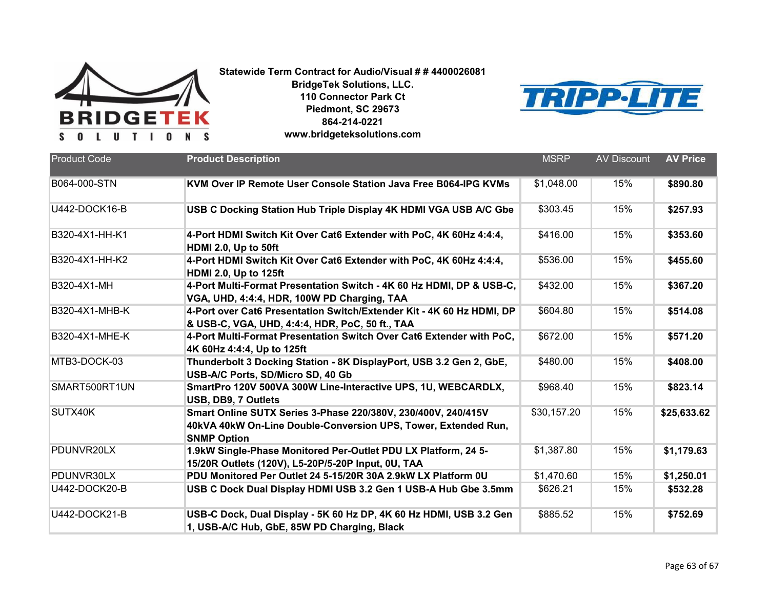

**BridgeTek Solutions, LLC. 110 Connector Park Ct Piedmont, SC 29673 864-214-0221**



|  |  |  | www.bridgeteksolutions.com |
|--|--|--|----------------------------|
|--|--|--|----------------------------|

| <b>Product Code</b>  | <b>Product Description</b>                                                                                                                            | <b>MSRP</b> | <b>AV Discount</b> | <b>AV Price</b> |
|----------------------|-------------------------------------------------------------------------------------------------------------------------------------------------------|-------------|--------------------|-----------------|
| B064-000-STN         | KVM Over IP Remote User Console Station Java Free B064-IPG KVMs                                                                                       | \$1,048.00  | 15%                | \$890.80        |
| <b>U442-DOCK16-B</b> | USB C Docking Station Hub Triple Display 4K HDMI VGA USB A/C Gbe                                                                                      | \$303.45    | 15%                | \$257.93        |
| B320-4X1-HH-K1       | 4-Port HDMI Switch Kit Over Cat6 Extender with PoC, 4K 60Hz 4:4:4,<br>HDMI 2.0, Up to 50ft                                                            | \$416.00    | 15%                | \$353.60        |
| B320-4X1-HH-K2       | 4-Port HDMI Switch Kit Over Cat6 Extender with PoC, 4K 60Hz 4:4:4,<br><b>HDMI 2.0, Up to 125ft</b>                                                    | \$536.00    | 15%                | \$455.60        |
| B320-4X1-MH          | 4-Port Multi-Format Presentation Switch - 4K 60 Hz HDMI, DP & USB-C,<br>VGA, UHD, 4:4:4, HDR, 100W PD Charging, TAA                                   | \$432.00    | 15%                | \$367.20        |
| B320-4X1-MHB-K       | 4-Port over Cat6 Presentation Switch/Extender Kit - 4K 60 Hz HDMI, DP<br>& USB-C, VGA, UHD, 4:4:4, HDR, PoC, 50 ft., TAA                              | \$604.80    | 15%                | \$514.08        |
| B320-4X1-MHE-K       | 4-Port Multi-Format Presentation Switch Over Cat6 Extender with PoC,<br>4K 60Hz 4:4:4, Up to 125ft                                                    | \$672.00    | 15%                | \$571.20        |
| MTB3-DOCK-03         | Thunderbolt 3 Docking Station - 8K DisplayPort, USB 3.2 Gen 2, GbE,<br>USB-A/C Ports, SD/Micro SD, 40 Gb                                              | \$480.00    | 15%                | \$408.00        |
| SMART500RT1UN        | SmartPro 120V 500VA 300W Line-Interactive UPS, 1U, WEBCARDLX,<br>USB, DB9, 7 Outlets                                                                  | \$968.40    | 15%                | \$823.14        |
| SUTX40K              | Smart Online SUTX Series 3-Phase 220/380V, 230/400V, 240/415V<br>40kVA 40kW On-Line Double-Conversion UPS, Tower, Extended Run,<br><b>SNMP Option</b> | \$30,157.20 | 15%                | \$25,633.62     |
| PDUNVR20LX           | 1.9kW Single-Phase Monitored Per-Outlet PDU LX Platform, 24 5-<br>15/20R Outlets (120V), L5-20P/5-20P Input, 0U, TAA                                  | \$1,387.80  | 15%                | \$1,179.63      |
| PDUNVR30LX           | PDU Monitored Per Outlet 24 5-15/20R 30A 2.9kW LX Platform 0U                                                                                         | \$1,470.60  | 15%                | \$1,250.01      |
| U442-DOCK20-B        | USB C Dock Dual Display HDMI USB 3.2 Gen 1 USB-A Hub Gbe 3.5mm                                                                                        | \$626.21    | 15%                | \$532.28        |
| <b>U442-DOCK21-B</b> | USB-C Dock, Dual Display - 5K 60 Hz DP, 4K 60 Hz HDMI, USB 3.2 Gen<br>1, USB-A/C Hub, GbE, 85W PD Charging, Black                                     | \$885.52    | 15%                | \$752.69        |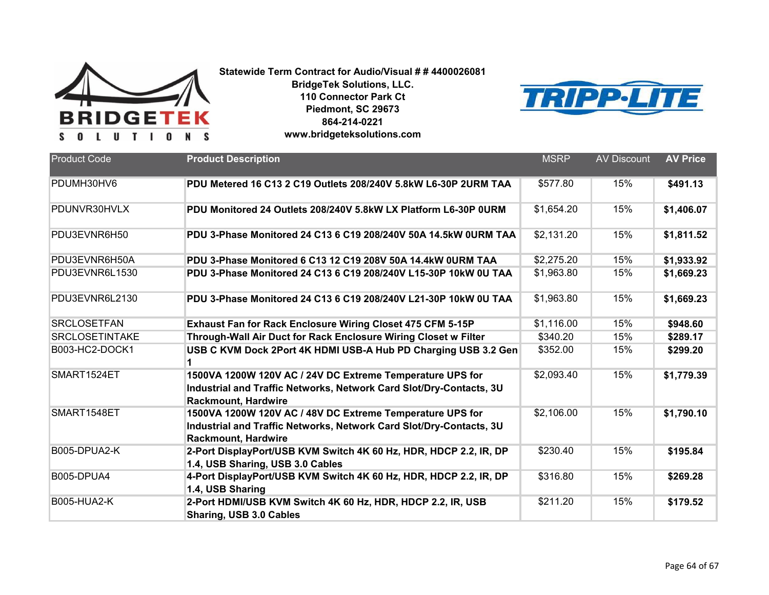

**BridgeTek Solutions, LLC. 110 Connector Park Ct Piedmont, SC 29673 864-214-0221**



**www.bridgeteksolutions.com**

| <b>Product Code</b>   | <b>Product Description</b>                                                                                                                                     | <b>MSRP</b> | <b>AV Discount</b> | <b>AV Price</b> |
|-----------------------|----------------------------------------------------------------------------------------------------------------------------------------------------------------|-------------|--------------------|-----------------|
| PDUMH30HV6            | PDU Metered 16 C13 2 C19 Outlets 208/240V 5.8kW L6-30P 2URM TAA                                                                                                | \$577.80    | 15%                | \$491.13        |
| PDUNVR30HVLX          | PDU Monitored 24 Outlets 208/240V 5.8kW LX Platform L6-30P 0URM                                                                                                | \$1,654.20  | 15%                | \$1,406.07      |
| PDU3EVNR6H50          | PDU 3-Phase Monitored 24 C13 6 C19 208/240V 50A 14.5kW 0URM TAA                                                                                                | \$2,131.20  | 15%                | \$1,811.52      |
| PDU3EVNR6H50A         | PDU 3-Phase Monitored 6 C13 12 C19 208V 50A 14.4kW 0URM TAA                                                                                                    | \$2,275.20  | 15%                | \$1,933.92      |
| PDU3EVNR6L1530        | PDU 3-Phase Monitored 24 C13 6 C19 208/240V L15-30P 10kW 0U TAA                                                                                                | \$1,963.80  | 15%                | \$1,669.23      |
| PDU3EVNR6L2130        | PDU 3-Phase Monitored 24 C13 6 C19 208/240V L21-30P 10kW 0U TAA                                                                                                | \$1,963.80  | 15%                | \$1,669.23      |
| <b>SRCLOSETFAN</b>    | Exhaust Fan for Rack Enclosure Wiring Closet 475 CFM 5-15P                                                                                                     | \$1,116.00  | 15%                | \$948.60        |
| <b>SRCLOSETINTAKE</b> | Through-Wall Air Duct for Rack Enclosure Wiring Closet w Filter                                                                                                | \$340.20    | 15%                | \$289.17        |
| B003-HC2-DOCK1        | USB C KVM Dock 2Port 4K HDMI USB-A Hub PD Charging USB 3.2 Gen                                                                                                 | \$352.00    | 15%                | \$299.20        |
| SMART1524ET           | 1500VA 1200W 120V AC / 24V DC Extreme Temperature UPS for<br>Industrial and Traffic Networks, Network Card Slot/Dry-Contacts, 3U<br><b>Rackmount, Hardwire</b> | \$2,093.40  | 15%                | \$1,779.39      |
| SMART1548ET           | 1500VA 1200W 120V AC / 48V DC Extreme Temperature UPS for<br>Industrial and Traffic Networks, Network Card Slot/Dry-Contacts, 3U<br><b>Rackmount, Hardwire</b> | \$2,106.00  | 15%                | \$1,790.10      |
| B005-DPUA2-K          | 2-Port DisplayPort/USB KVM Switch 4K 60 Hz, HDR, HDCP 2.2, IR, DP<br>1.4, USB Sharing, USB 3.0 Cables                                                          | \$230.40    | 15%                | \$195.84        |
| <b>B005-DPUA4</b>     | 4-Port DisplayPort/USB KVM Switch 4K 60 Hz, HDR, HDCP 2.2, IR, DP<br>1.4, USB Sharing                                                                          | \$316.80    | 15%                | \$269.28        |
| <b>B005-HUA2-K</b>    | 2-Port HDMI/USB KVM Switch 4K 60 Hz, HDR, HDCP 2.2, IR, USB<br>Sharing, USB 3.0 Cables                                                                         | \$211.20    | 15%                | \$179.52        |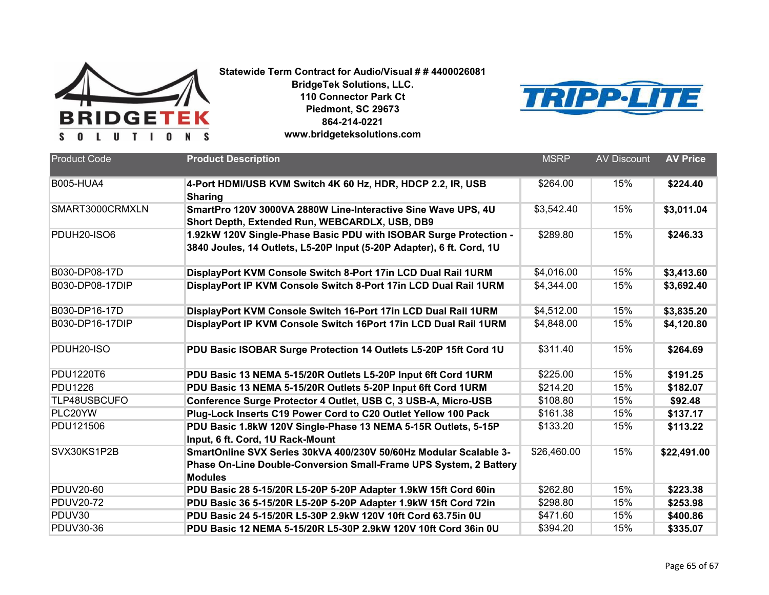

**BridgeTek Solutions, LLC. 110 Connector Park Ct Piedmont, SC 29673 864-214-0221**



|  | www.bridgeteksolutions.com |  |  |
|--|----------------------------|--|--|
|--|----------------------------|--|--|

| <b>Product Code</b>    | <b>Product Description</b>                                                                                                                               | <b>MSRP</b> | <b>AV Discount</b> | <b>AV Price</b> |
|------------------------|----------------------------------------------------------------------------------------------------------------------------------------------------------|-------------|--------------------|-----------------|
| <b>B005-HUA4</b>       | 4-Port HDMI/USB KVM Switch 4K 60 Hz, HDR, HDCP 2.2, IR, USB<br><b>Sharing</b>                                                                            | \$264.00    | 15%                | \$224.40        |
| SMART3000CRMXLN        | SmartPro 120V 3000VA 2880W Line-Interactive Sine Wave UPS, 4U<br>Short Depth, Extended Run, WEBCARDLX, USB, DB9                                          | \$3,542.40  | 15%                | \$3,011.04      |
| PDUH20-ISO6            | 1.92kW 120V Single-Phase Basic PDU with ISOBAR Surge Protection -<br>3840 Joules, 14 Outlets, L5-20P Input (5-20P Adapter), 6 ft. Cord, 1U               | \$289.80    | 15%                | \$246.33        |
| B030-DP08-17D          | DisplayPort KVM Console Switch 8-Port 17in LCD Dual Rail 1URM                                                                                            | \$4,016.00  | 15%                | \$3,413.60      |
| B030-DP08-17DIP        | DisplayPort IP KVM Console Switch 8-Port 17in LCD Dual Rail 1URM                                                                                         | \$4,344.00  | 15%                | \$3,692.40      |
| B030-DP16-17D          | DisplayPort KVM Console Switch 16-Port 17in LCD Dual Rail 1URM                                                                                           | \$4,512.00  | 15%                | \$3,835.20      |
| B030-DP16-17DIP        | DisplayPort IP KVM Console Switch 16Port 17in LCD Dual Rail 1URM                                                                                         | \$4,848.00  | 15%                | \$4,120.80      |
| PDUH <sub>20-ISO</sub> | PDU Basic ISOBAR Surge Protection 14 Outlets L5-20P 15ft Cord 1U                                                                                         | \$311.40    | 15%                | \$264.69        |
| <b>PDU1220T6</b>       | PDU Basic 13 NEMA 5-15/20R Outlets L5-20P Input 6ft Cord 1URM                                                                                            | \$225.00    | 15%                | \$191.25        |
| <b>PDU1226</b>         | PDU Basic 13 NEMA 5-15/20R Outlets 5-20P Input 6ft Cord 1URM                                                                                             | \$214.20    | 15%                | \$182.07        |
| TLP48USBCUFO           | Conference Surge Protector 4 Outlet, USB C, 3 USB-A, Micro-USB                                                                                           | \$108.80    | 15%                | \$92.48         |
| PLC20YW                | Plug-Lock Inserts C19 Power Cord to C20 Outlet Yellow 100 Pack                                                                                           | \$161.38    | 15%                | \$137.17        |
| PDU121506              | PDU Basic 1.8kW 120V Single-Phase 13 NEMA 5-15R Outlets, 5-15P<br>Input, 6 ft. Cord, 1U Rack-Mount                                                       | \$133.20    | 15%                | \$113.22        |
| SVX30KS1P2B            | SmartOnline SVX Series 30kVA 400/230V 50/60Hz Modular Scalable 3-<br>Phase On-Line Double-Conversion Small-Frame UPS System, 2 Battery<br><b>Modules</b> | \$26,460.00 | 15%                | \$22,491.00     |
| <b>PDUV20-60</b>       | PDU Basic 28 5-15/20R L5-20P 5-20P Adapter 1.9kW 15ft Cord 60in                                                                                          | \$262.80    | 15%                | \$223.38        |
| <b>PDUV20-72</b>       | PDU Basic 36 5-15/20R L5-20P 5-20P Adapter 1.9kW 15ft Cord 72in                                                                                          | \$298.80    | 15%                | \$253.98        |
| PDUV30                 | PDU Basic 24 5-15/20R L5-30P 2.9kW 120V 10ft Cord 63.75in 0U                                                                                             | \$471.60    | 15%                | \$400.86        |
| <b>PDUV30-36</b>       | PDU Basic 12 NEMA 5-15/20R L5-30P 2.9kW 120V 10ft Cord 36in 0U                                                                                           | \$394.20    | 15%                | \$335.07        |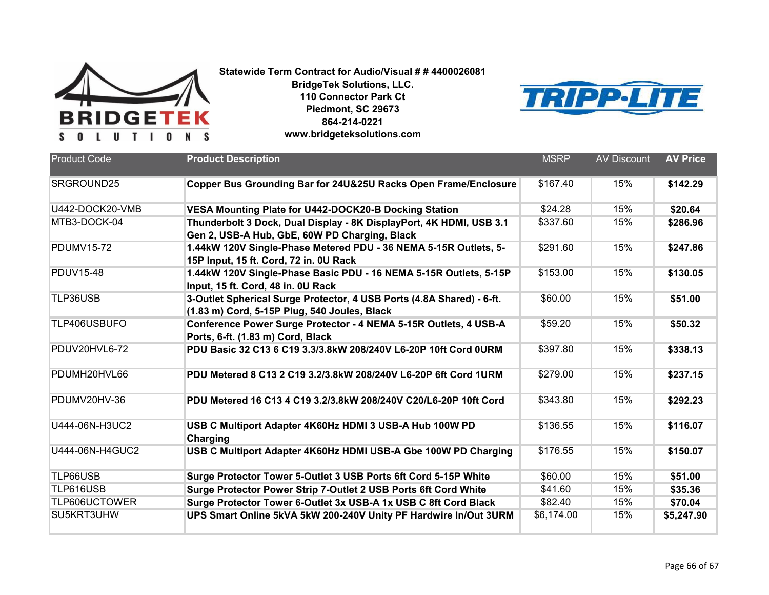

**BridgeTek Solutions, LLC. 110 Connector Park Ct Piedmont, SC 29673 864-214-0221**



|  | www.bridgeteksolutions.com |  |  |
|--|----------------------------|--|--|
|--|----------------------------|--|--|

| <b>Product Code</b> | <b>Product Description</b>                                                                                            | <b>MSRP</b> | <b>AV Discount</b> | <b>AV Price</b> |
|---------------------|-----------------------------------------------------------------------------------------------------------------------|-------------|--------------------|-----------------|
| SRGROUND25          | Copper Bus Grounding Bar for 24U&25U Racks Open Frame/Enclosure                                                       | \$167.40    | 15%                | \$142.29        |
| U442-DOCK20-VMB     | VESA Mounting Plate for U442-DOCK20-B Docking Station                                                                 | \$24.28     | 15%                | \$20.64         |
| MTB3-DOCK-04        | Thunderbolt 3 Dock, Dual Display - 8K DisplayPort, 4K HDMI, USB 3.1<br>Gen 2, USB-A Hub, GbE, 60W PD Charging, Black  | \$337.60    | 15%                | \$286.96        |
| <b>PDUMV15-72</b>   | 1.44kW 120V Single-Phase Metered PDU - 36 NEMA 5-15R Outlets, 5-<br>15P Input, 15 ft. Cord, 72 in. 0U Rack            | \$291.60    | 15%                | \$247.86        |
| <b>PDUV15-48</b>    | 1.44kW 120V Single-Phase Basic PDU - 16 NEMA 5-15R Outlets, 5-15P<br>Input, 15 ft. Cord, 48 in. 0U Rack               | \$153.00    | 15%                | \$130.05        |
| TLP36USB            | 3-Outlet Spherical Surge Protector, 4 USB Ports (4.8A Shared) - 6-ft.<br>(1.83 m) Cord, 5-15P Plug, 540 Joules, Black | \$60.00     | 15%                | \$51.00         |
| TLP406USBUFO        | Conference Power Surge Protector - 4 NEMA 5-15R Outlets, 4 USB-A<br>Ports, 6-ft. (1.83 m) Cord, Black                 | \$59.20     | 15%                | \$50.32         |
| PDUV20HVL6-72       | PDU Basic 32 C13 6 C19 3.3/3.8kW 208/240V L6-20P 10ft Cord 0URM                                                       | \$397.80    | 15%                | \$338.13        |
| PDUMH20HVL66        | PDU Metered 8 C13 2 C19 3.2/3.8kW 208/240V L6-20P 6ft Cord 1URM                                                       | \$279.00    | 15%                | \$237.15        |
| PDUMV20HV-36        | PDU Metered 16 C13 4 C19 3.2/3.8kW 208/240V C20/L6-20P 10ft Cord                                                      | \$343.80    | 15%                | \$292.23        |
| U444-06N-H3UC2      | USB C Multiport Adapter 4K60Hz HDMI 3 USB-A Hub 100W PD<br>Charging                                                   | \$136.55    | 15%                | \$116.07        |
| U444-06N-H4GUC2     | USB C Multiport Adapter 4K60Hz HDMI USB-A Gbe 100W PD Charging                                                        | \$176.55    | 15%                | \$150.07        |
| TLP66USB            | Surge Protector Tower 5-Outlet 3 USB Ports 6ft Cord 5-15P White                                                       | \$60.00     | 15%                | \$51.00         |
| TLP616USB           | Surge Protector Power Strip 7-Outlet 2 USB Ports 6ft Cord White                                                       | \$41.60     | 15%                | \$35.36         |
| TLP606UCTOWER       | Surge Protector Tower 6-Outlet 3x USB-A 1x USB C 8ft Cord Black                                                       | \$82.40     | 15%                | \$70.04         |
| SU5KRT3UHW          | UPS Smart Online 5kVA 5kW 200-240V Unity PF Hardwire In/Out 3URM                                                      | \$6,174.00  | 15%                | \$5,247.90      |